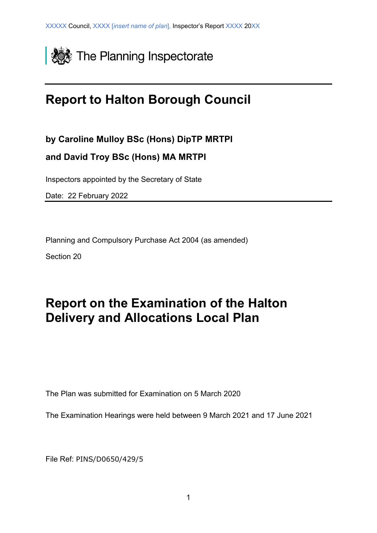

# **Report to Halton Borough Council**

**by Caroline Mulloy BSc (Hons) DipTP MRTPI**

**and David Troy BSc (Hons) MA MRTPI**

Inspectors appointed by the Secretary of State

Date: 22 February 2022

Planning and Compulsory Purchase Act 2004 (as amended)

Section 20

# **Report on the Examination of the Halton Delivery and Allocations Local Plan**

The Plan was submitted for Examination on 5 March 2020

The Examination Hearings were held between 9 March 2021 and 17 June 2021

File Ref: PINS/D0650/429/5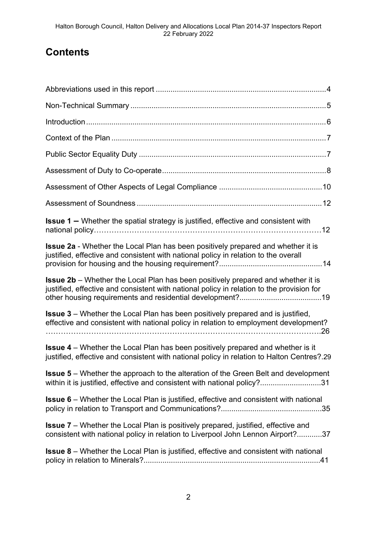## **Contents**

| <b>Issue 1 –</b> Whether the spatial strategy is justified, effective and consistent with                                                                                            |  |
|--------------------------------------------------------------------------------------------------------------------------------------------------------------------------------------|--|
| <b>Issue 2a</b> - Whether the Local Plan has been positively prepared and whether it is<br>justified, effective and consistent with national policy in relation to the overall       |  |
| <b>Issue 2b</b> – Whether the Local Plan has been positively prepared and whether it is<br>justified, effective and consistent with national policy in relation to the provision for |  |
| <b>Issue 3</b> – Whether the Local Plan has been positively prepared and is justified,<br>effective and consistent with national policy in relation to employment development?       |  |
| <b>Issue 4</b> – Whether the Local Plan has been positively prepared and whether is it<br>justified, effective and consistent with national policy in relation to Halton Centres?.29 |  |
| <b>Issue 5</b> – Whether the approach to the alteration of the Green Belt and development<br>within it is justified, effective and consistent with national policy?31                |  |
| <b>Issue 6</b> – Whether the Local Plan is justified, effective and consistent with national                                                                                         |  |
| <b>Issue 7</b> – Whether the Local Plan is positively prepared, justified, effective and<br>consistent with national policy in relation to Liverpool John Lennon Airport?37          |  |
| <b>Issue 8</b> – Whether the Local Plan is justified, effective and consistent with national                                                                                         |  |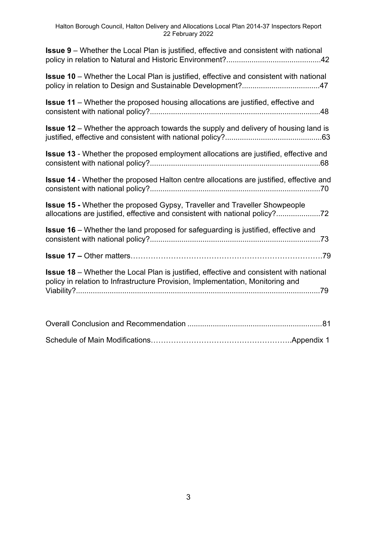| <b>Issue 9</b> – Whether the Local Plan is justified, effective and consistent with national                                                                                    |
|---------------------------------------------------------------------------------------------------------------------------------------------------------------------------------|
| <b>Issue 10</b> – Whether the Local Plan is justified, effective and consistent with national                                                                                   |
| <b>Issue 11</b> – Whether the proposed housing allocations are justified, effective and                                                                                         |
| <b>Issue 12</b> – Whether the approach towards the supply and delivery of housing land is                                                                                       |
| <b>Issue 13</b> - Whether the proposed employment allocations are justified, effective and                                                                                      |
| Issue 14 - Whether the proposed Halton centre allocations are justified, effective and                                                                                          |
| Issue 15 - Whether the proposed Gypsy, Traveller and Traveller Showpeople<br>allocations are justified, effective and consistent with national policy?72                        |
| <b>Issue 16</b> – Whether the land proposed for safeguarding is justified, effective and                                                                                        |
|                                                                                                                                                                                 |
| <b>Issue 18</b> – Whether the Local Plan is justified, effective and consistent with national<br>policy in relation to Infrastructure Provision, Implementation, Monitoring and |
|                                                                                                                                                                                 |
|                                                                                                                                                                                 |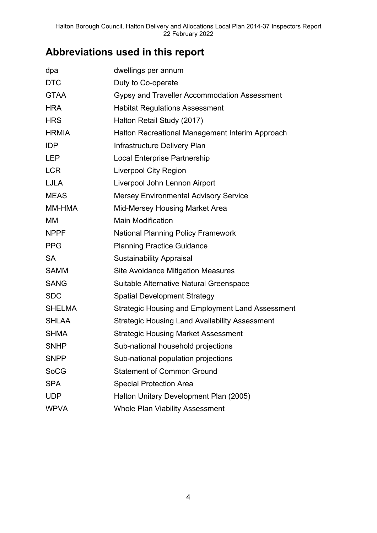## **Abbreviations used in this report**

| dpa           | dwellings per annum                                     |
|---------------|---------------------------------------------------------|
| <b>DTC</b>    | Duty to Co-operate                                      |
| <b>GTAA</b>   | Gypsy and Traveller Accommodation Assessment            |
| <b>HRA</b>    | <b>Habitat Regulations Assessment</b>                   |
| <b>HRS</b>    | Halton Retail Study (2017)                              |
| <b>HRMIA</b>  | Halton Recreational Management Interim Approach         |
| <b>IDP</b>    | Infrastructure Delivery Plan                            |
| <b>LEP</b>    | <b>Local Enterprise Partnership</b>                     |
| <b>LCR</b>    | <b>Liverpool City Region</b>                            |
| <b>LJLA</b>   | Liverpool John Lennon Airport                           |
| <b>MEAS</b>   | <b>Mersey Environmental Advisory Service</b>            |
| MM-HMA        | Mid-Mersey Housing Market Area                          |
| <b>MM</b>     | <b>Main Modification</b>                                |
| <b>NPPF</b>   | <b>National Planning Policy Framework</b>               |
| <b>PPG</b>    | <b>Planning Practice Guidance</b>                       |
| <b>SA</b>     | <b>Sustainability Appraisal</b>                         |
| <b>SAMM</b>   | <b>Site Avoidance Mitigation Measures</b>               |
| <b>SANG</b>   | Suitable Alternative Natural Greenspace                 |
| <b>SDC</b>    | <b>Spatial Development Strategy</b>                     |
| <b>SHELMA</b> | <b>Strategic Housing and Employment Land Assessment</b> |
| <b>SHLAA</b>  | <b>Strategic Housing Land Availability Assessment</b>   |
| <b>SHMA</b>   | <b>Strategic Housing Market Assessment</b>              |
| <b>SNHP</b>   | Sub-national household projections                      |
| <b>SNPP</b>   | Sub-national population projections                     |
| <b>SoCG</b>   | <b>Statement of Common Ground</b>                       |
| <b>SPA</b>    | <b>Special Protection Area</b>                          |
| <b>UDP</b>    | Halton Unitary Development Plan (2005)                  |
| <b>WPVA</b>   | <b>Whole Plan Viability Assessment</b>                  |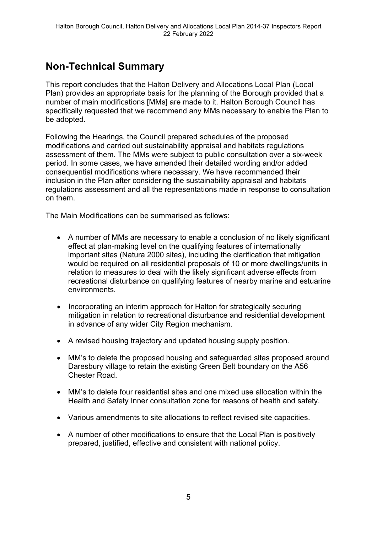## **Non-Technical Summary**

This report concludes that the Halton Delivery and Allocations Local Plan (Local Plan) provides an appropriate basis for the planning of the Borough provided that a number of main modifications [MMs] are made to it. Halton Borough Council has specifically requested that we recommend any MMs necessary to enable the Plan to be adopted.

Following the Hearings, the Council prepared schedules of the proposed modifications and carried out sustainability appraisal and habitats regulations assessment of them. The MMs were subject to public consultation over a six-week period. In some cases, we have amended their detailed wording and/or added consequential modifications where necessary. We have recommended their inclusion in the Plan after considering the sustainability appraisal and habitats regulations assessment and all the representations made in response to consultation on them.

The Main Modifications can be summarised as follows:

- A number of MMs are necessary to enable a conclusion of no likely significant effect at plan-making level on the qualifying features of internationally important sites (Natura 2000 sites), including the clarification that mitigation would be required on all residential proposals of 10 or more dwellings/units in relation to measures to deal with the likely significant adverse effects from recreational disturbance on qualifying features of nearby marine and estuarine environments.
- Incorporating an interim approach for Halton for strategically securing mitigation in relation to recreational disturbance and residential development in advance of any wider City Region mechanism.
- A revised housing trajectory and updated housing supply position.
- MM's to delete the proposed housing and safeguarded sites proposed around Daresbury village to retain the existing Green Belt boundary on the A56 Chester Road.
- MM's to delete four residential sites and one mixed use allocation within the Health and Safety Inner consultation zone for reasons of health and safety.
- Various amendments to site allocations to reflect revised site capacities.
- A number of other modifications to ensure that the Local Plan is positively prepared, justified, effective and consistent with national policy.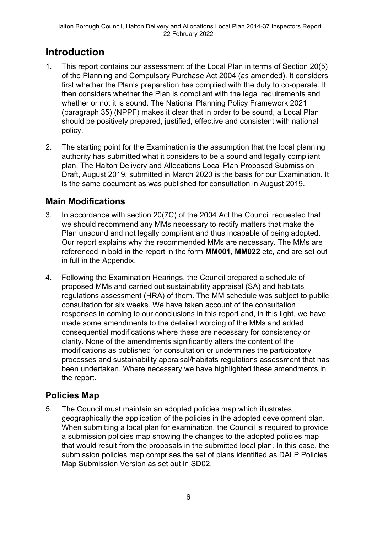## **Introduction**

- 1. This report contains our assessment of the Local Plan in terms of Section 20(5) of the Planning and Compulsory Purchase Act 2004 (as amended). It considers first whether the Plan's preparation has complied with the duty to co-operate. It then considers whether the Plan is compliant with the legal requirements and whether or not it is sound. The National Planning Policy Framework 2021 (paragraph 35) (NPPF) makes it clear that in order to be sound, a Local Plan should be positively prepared, justified, effective and consistent with national policy.
- 2. The starting point for the Examination is the assumption that the local planning authority has submitted what it considers to be a sound and legally compliant plan. The Halton Delivery and Allocations Local Plan Proposed Submission Draft, August 2019, submitted in March 2020 is the basis for our Examination. It is the same document as was published for consultation in August 2019.

## **Main Modifications**

- 3. In accordance with section 20(7C) of the 2004 Act the Council requested that we should recommend any MMs necessary to rectify matters that make the Plan unsound and not legally compliant and thus incapable of being adopted. Our report explains why the recommended MMs are necessary. The MMs are referenced in bold in the report in the form **MM001, MM022** etc, and are set out in full in the Appendix.
- 4. Following the Examination Hearings, the Council prepared a schedule of proposed MMs and carried out sustainability appraisal (SA) and habitats regulations assessment (HRA) of them. The MM schedule was subject to public consultation for six weeks. We have taken account of the consultation responses in coming to our conclusions in this report and, in this light, we have made some amendments to the detailed wording of the MMs and added consequential modifications where these are necessary for consistency or clarity. None of the amendments significantly alters the content of the modifications as published for consultation or undermines the participatory processes and sustainability appraisal/habitats regulations assessment that has been undertaken. Where necessary we have highlighted these amendments in the report.

## **Policies Map**

5. The Council must maintain an adopted policies map which illustrates geographically the application of the policies in the adopted development plan. When submitting a local plan for examination, the Council is required to provide a submission policies map showing the changes to the adopted policies map that would result from the proposals in the submitted local plan. In this case, the submission policies map comprises the set of plans identified as DALP Policies Map Submission Version as set out in SD02.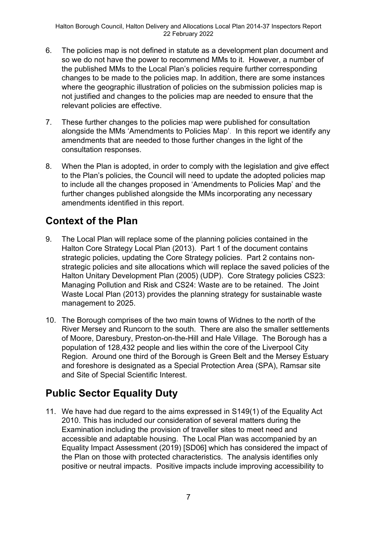- 6. The policies map is not defined in statute as a development plan document and so we do not have the power to recommend MMs to it. However, a number of the published MMs to the Local Plan's policies require further corresponding changes to be made to the policies map. In addition, there are some instances where the geographic illustration of policies on the submission policies map is not justified and changes to the policies map are needed to ensure that the relevant policies are effective.
- 7. These further changes to the policies map were published for consultation alongside the MMs 'Amendments to Policies Map'. In this report we identify any amendments that are needed to those further changes in the light of the consultation responses.
- 8. When the Plan is adopted, in order to comply with the legislation and give effect to the Plan's policies, the Council will need to update the adopted policies map to include all the changes proposed in 'Amendments to Policies Map' and the further changes published alongside the MMs incorporating any necessary amendments identified in this report.

## **Context of the Plan**

- 9. The Local Plan will replace some of the planning policies contained in the Halton Core Strategy Local Plan (2013). Part 1 of the document contains strategic policies, updating the Core Strategy policies. Part 2 contains nonstrategic policies and site allocations which will replace the saved policies of the Halton Unitary Development Plan (2005) (UDP). Core Strategy policies CS23: Managing Pollution and Risk and CS24: Waste are to be retained. The Joint Waste Local Plan (2013) provides the planning strategy for sustainable waste management to 2025.
- 10. The Borough comprises of the two main towns of Widnes to the north of the River Mersey and Runcorn to the south. There are also the smaller settlements of Moore, Daresbury, Preston-on-the-Hill and Hale Village. The Borough has a population of 128,432 people and lies within the core of the Liverpool City Region. Around one third of the Borough is Green Belt and the Mersey Estuary and foreshore is designated as a Special Protection Area (SPA), Ramsar site and Site of Special Scientific Interest.

## **Public Sector Equality Duty**

11. We have had due regard to the aims expressed in S149(1) of the Equality Act 2010. This has included our consideration of several matters during the Examination including the provision of traveller sites to meet need and accessible and adaptable housing. The Local Plan was accompanied by an Equality Impact Assessment (2019) [SD06] which has considered the impact of the Plan on those with protected characteristics. The analysis identifies only positive or neutral impacts. Positive impacts include improving accessibility to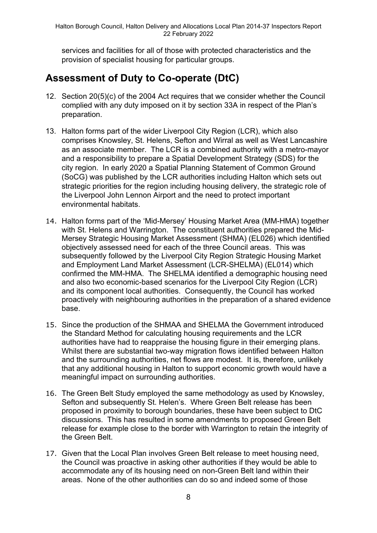services and facilities for all of those with protected characteristics and the provision of specialist housing for particular groups.

## **Assessment of Duty to Co-operate (DtC)**

- 12. Section 20(5)(c) of the 2004 Act requires that we consider whether the Council complied with any duty imposed on it by section 33A in respect of the Plan's preparation.
- 13. Halton forms part of the wider Liverpool City Region (LCR), which also comprises Knowsley, St. Helens, Sefton and Wirral as well as West Lancashire as an associate member. The LCR is a combined authority with a metro-mayor and a responsibility to prepare a Spatial Development Strategy (SDS) for the city region. In early 2020 a Spatial Planning Statement of Common Ground (SoCG) was published by the LCR authorities including Halton which sets out strategic priorities for the region including housing delivery, the strategic role of the Liverpool John Lennon Airport and the need to protect important environmental habitats.
- 14. Halton forms part of the 'Mid-Mersey' Housing Market Area (MM-HMA) together with St. Helens and Warrington. The constituent authorities prepared the Mid-Mersey Strategic Housing Market Assessment (SHMA) (EL026) which identified objectively assessed need for each of the three Council areas. This was subsequently followed by the Liverpool City Region Strategic Housing Market and Employment Land Market Assessment (LCR-SHELMA) (EL014) which confirmed the MM-HMA. The SHELMA identified a demographic housing need and also two economic-based scenarios for the Liverpool City Region (LCR) and its component local authorities. Consequently, the Council has worked proactively with neighbouring authorities in the preparation of a shared evidence base.
- 15. Since the production of the SHMAA and SHELMA the Government introduced the Standard Method for calculating housing requirements and the LCR authorities have had to reappraise the housing figure in their emerging plans. Whilst there are substantial two-way migration flows identified between Halton and the surrounding authorities, net flows are modest. It is, therefore, unlikely that any additional housing in Halton to support economic growth would have a meaningful impact on surrounding authorities.
- 16. The Green Belt Study employed the same methodology as used by Knowsley, Sefton and subsequently St. Helen's. Where Green Belt release has been proposed in proximity to borough boundaries, these have been subject to DtC discussions. This has resulted in some amendments to proposed Green Belt release for example close to the border with Warrington to retain the integrity of the Green Belt.
- 17. Given that the Local Plan involves Green Belt release to meet housing need, the Council was proactive in asking other authorities if they would be able to accommodate any of its housing need on non-Green Belt land within their areas. None of the other authorities can do so and indeed some of those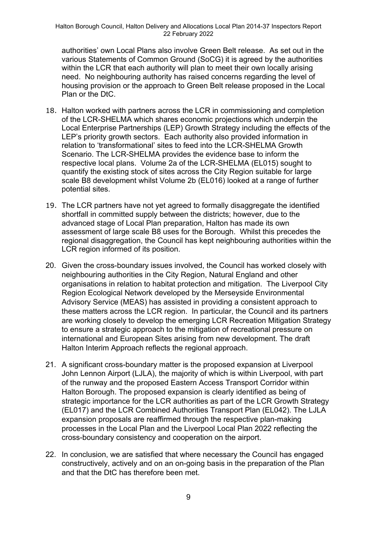authorities' own Local Plans also involve Green Belt release. As set out in the various Statements of Common Ground (SoCG) it is agreed by the authorities within the LCR that each authority will plan to meet their own locally arising need. No neighbouring authority has raised concerns regarding the level of housing provision or the approach to Green Belt release proposed in the Local Plan or the DtC.

- 18. Halton worked with partners across the LCR in commissioning and completion of the LCR-SHELMA which shares economic projections which underpin the Local Enterprise Partnerships (LEP) Growth Strategy including the effects of the LEP's priority growth sectors. Each authority also provided information in relation to 'transformational' sites to feed into the LCR-SHELMA Growth Scenario. The LCR-SHELMA provides the evidence base to inform the respective local plans. Volume 2a of the LCR-SHELMA (EL015) sought to quantify the existing stock of sites across the City Region suitable for large scale B8 development whilst Volume 2b (EL016) looked at a range of further potential sites.
- 19. The LCR partners have not yet agreed to formally disaggregate the identified shortfall in committed supply between the districts; however, due to the advanced stage of Local Plan preparation, Halton has made its own assessment of large scale B8 uses for the Borough. Whilst this precedes the regional disaggregation, the Council has kept neighbouring authorities within the LCR region informed of its position.
- 20. Given the cross-boundary issues involved, the Council has worked closely with neighbouring authorities in the City Region, Natural England and other organisations in relation to habitat protection and mitigation. The Liverpool City Region Ecological Network developed by the Merseyside Environmental Advisory Service (MEAS) has assisted in providing a consistent approach to these matters across the LCR region. In particular, the Council and its partners are working closely to develop the emerging LCR Recreation Mitigation Strategy to ensure a strategic approach to the mitigation of recreational pressure on international and European Sites arising from new development. The draft Halton Interim Approach reflects the regional approach.
- 21. A significant cross-boundary matter is the proposed expansion at Liverpool John Lennon Airport (LJLA), the majority of which is within Liverpool, with part of the runway and the proposed Eastern Access Transport Corridor within Halton Borough. The proposed expansion is clearly identified as being of strategic importance for the LCR authorities as part of the LCR Growth Strategy (EL017) and the LCR Combined Authorities Transport Plan (EL042). The LJLA expansion proposals are reaffirmed through the respective plan-making processes in the Local Plan and the Liverpool Local Plan 2022 reflecting the cross-boundary consistency and cooperation on the airport.
- 22. In conclusion, we are satisfied that where necessary the Council has engaged constructively, actively and on an on-going basis in the preparation of the Plan and that the DtC has therefore been met.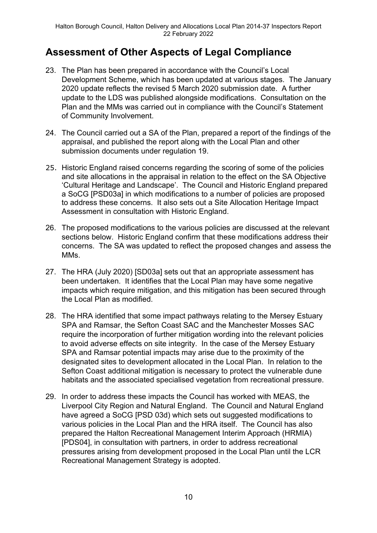## **Assessment of Other Aspects of Legal Compliance**

- 23. The Plan has been prepared in accordance with the Council's Local Development Scheme, which has been updated at various stages. The January 2020 update reflects the revised 5 March 2020 submission date. A further update to the LDS was published alongside modifications. Consultation on the Plan and the MMs was carried out in compliance with the Council's Statement of Community Involvement.
- 24. The Council carried out a SA of the Plan, prepared a report of the findings of the appraisal, and published the report along with the Local Plan and other submission documents under regulation 19.
- 25. Historic England raised concerns regarding the scoring of some of the policies and site allocations in the appraisal in relation to the effect on the SA Objective 'Cultural Heritage and Landscape'. The Council and Historic England prepared a SoCG [PSD03a] in which modifications to a number of policies are proposed to address these concerns. It also sets out a Site Allocation Heritage Impact Assessment in consultation with Historic England.
- 26. The proposed modifications to the various policies are discussed at the relevant sections below. Historic England confirm that these modifications address their concerns. The SA was updated to reflect the proposed changes and assess the MM<sub>s</sub>.
- 27. The HRA (July 2020) [SD03a] sets out that an appropriate assessment has been undertaken. It identifies that the Local Plan may have some negative impacts which require mitigation, and this mitigation has been secured through the Local Plan as modified.
- 28. The HRA identified that some impact pathways relating to the Mersey Estuary SPA and Ramsar, the Sefton Coast SAC and the Manchester Mosses SAC require the incorporation of further mitigation wording into the relevant policies to avoid adverse effects on site integrity. In the case of the Mersey Estuary SPA and Ramsar potential impacts may arise due to the proximity of the designated sites to development allocated in the Local Plan. In relation to the Sefton Coast additional mitigation is necessary to protect the vulnerable dune habitats and the associated specialised vegetation from recreational pressure.
- 29. In order to address these impacts the Council has worked with MEAS, the Liverpool City Region and Natural England. The Council and Natural England have agreed a SoCG [PSD 03d) which sets out suggested modifications to various policies in the Local Plan and the HRA itself. The Council has also prepared the Halton Recreational Management Interim Approach (HRMIA) [PDS04], in consultation with partners, in order to address recreational pressures arising from development proposed in the Local Plan until the LCR Recreational Management Strategy is adopted.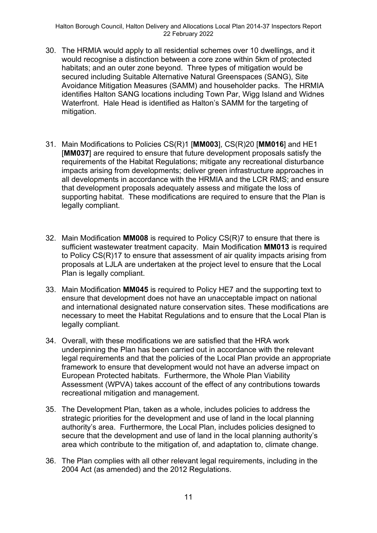- 30. The HRMIA would apply to all residential schemes over 10 dwellings, and it would recognise a distinction between a core zone within 5km of protected habitats; and an outer zone beyond. Three types of mitigation would be secured including Suitable Alternative Natural Greenspaces (SANG), Site Avoidance Mitigation Measures (SAMM) and householder packs. The HRMIA identifies Halton SANG locations including Town Par, Wigg Island and Widnes Waterfront. Hale Head is identified as Halton's SAMM for the targeting of mitigation.
- 31. Main Modifications to Policies CS(R)1 [**MM003**], CS(R)20 [**MM016**] and HE1 [**MM037**] are required to ensure that future development proposals satisfy the requirements of the Habitat Regulations; mitigate any recreational disturbance impacts arising from developments; deliver green infrastructure approaches in all developments in accordance with the HRMIA and the LCR RMS; and ensure that development proposals adequately assess and mitigate the loss of supporting habitat. These modifications are required to ensure that the Plan is legally compliant.
- 32. Main Modification **MM008** is required to Policy CS(R)7 to ensure that there is sufficient wastewater treatment capacity. Main Modification **MM013** is required to Policy CS(R)17 to ensure that assessment of air quality impacts arising from proposals at LJLA are undertaken at the project level to ensure that the Local Plan is legally compliant.
- 33. Main Modification **MM045** is required to Policy HE7 and the supporting text to ensure that development does not have an unacceptable impact on national and international designated nature conservation sites. These modifications are necessary to meet the Habitat Regulations and to ensure that the Local Plan is legally compliant.
- 34. Overall, with these modifications we are satisfied that the HRA work underpinning the Plan has been carried out in accordance with the relevant legal requirements and that the policies of the Local Plan provide an appropriate framework to ensure that development would not have an adverse impact on European Protected habitats. Furthermore, the Whole Plan Viability Assessment (WPVA) takes account of the effect of any contributions towards recreational mitigation and management.
- 35. The Development Plan, taken as a whole, includes policies to address the strategic priorities for the development and use of land in the local planning authority's area. Furthermore, the Local Plan, includes policies designed to secure that the development and use of land in the local planning authority's area which contribute to the mitigation of, and adaptation to, climate change.
- 36. The Plan complies with all other relevant legal requirements, including in the 2004 Act (as amended) and the 2012 Regulations.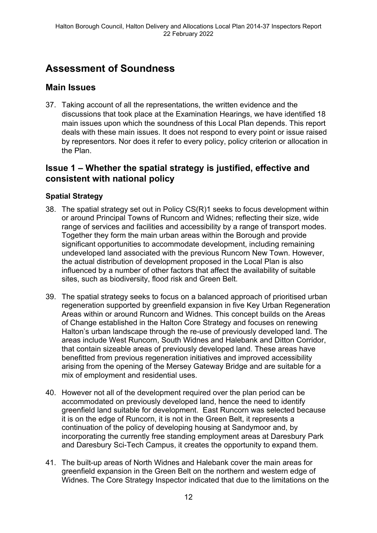## **Assessment of Soundness**

## **Main Issues**

37. Taking account of all the representations, the written evidence and the discussions that took place at the Examination Hearings, we have identified 18 main issues upon which the soundness of this Local Plan depends. This report deals with these main issues. It does not respond to every point or issue raised by representors. Nor does it refer to every policy, policy criterion or allocation in the Plan.

## **Issue 1 – Whether the spatial strategy is justified, effective and consistent with national policy**

## **Spatial Strategy**

- 38. The spatial strategy set out in Policy CS(R)1 seeks to focus development within or around Principal Towns of Runcorn and Widnes; reflecting their size, wide range of services and facilities and accessibility by a range of transport modes. Together they form the main urban areas within the Borough and provide significant opportunities to accommodate development, including remaining undeveloped land associated with the previous Runcorn New Town. However, the actual distribution of development proposed in the Local Plan is also influenced by a number of other factors that affect the availability of suitable sites, such as biodiversity, flood risk and Green Belt.
- 39. The spatial strategy seeks to focus on a balanced approach of prioritised urban regeneration supported by greenfield expansion in five Key Urban Regeneration Areas within or around Runcorn and Widnes. This concept builds on the Areas of Change established in the Halton Core Strategy and focuses on renewing Halton's urban landscape through the re-use of previously developed land. The areas include West Runcorn, South Widnes and Halebank and Ditton Corridor, that contain sizeable areas of previously developed land. These areas have benefitted from previous regeneration initiatives and improved accessibility arising from the opening of the Mersey Gateway Bridge and are suitable for a mix of employment and residential uses.
- 40. However not all of the development required over the plan period can be accommodated on previously developed land, hence the need to identify greenfield land suitable for development. East Runcorn was selected because it is on the edge of Runcorn, it is not in the Green Belt, it represents a continuation of the policy of developing housing at Sandymoor and, by incorporating the currently free standing employment areas at Daresbury Park and Daresbury Sci-Tech Campus, it creates the opportunity to expand them.
- 41. The built-up areas of North Widnes and Halebank cover the main areas for greenfield expansion in the Green Belt on the northern and western edge of Widnes. The Core Strategy Inspector indicated that due to the limitations on the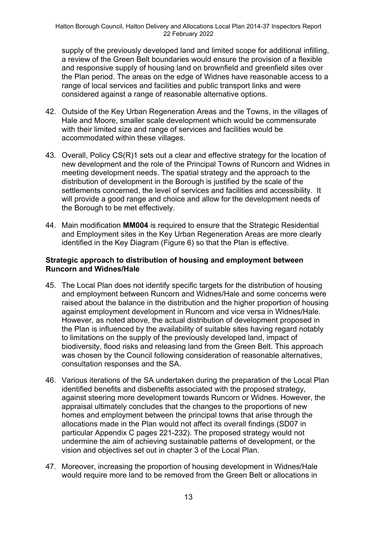supply of the previously developed land and limited scope for additional infilling, a review of the Green Belt boundaries would ensure the provision of a flexible and responsive supply of housing land on brownfield and greenfield sites over the Plan period. The areas on the edge of Widnes have reasonable access to a range of local services and facilities and public transport links and were considered against a range of reasonable alternative options.

- 42. Outside of the Key Urban Regeneration Areas and the Towns, in the villages of Hale and Moore, smaller scale development which would be commensurate with their limited size and range of services and facilities would be accommodated within these villages.
- 43. Overall, Policy CS(R)1 sets out a clear and effective strategy for the location of new development and the role of the Principal Towns of Runcorn and Widnes in meeting development needs. The spatial strategy and the approach to the distribution of development in the Borough is justified by the scale of the settlements concerned, the level of services and facilities and accessibility. It will provide a good range and choice and allow for the development needs of the Borough to be met effectively.
- 44. Main modification **MM004** is required to ensure that the Strategic Residential and Employment sites in the Key Urban Regeneration Areas are more clearly identified in the Key Diagram (Figure 6) so that the Plan is effective.

#### **Strategic approach to distribution of housing and employment between Runcorn and Widnes/Hale**

- 45. The Local Plan does not identify specific targets for the distribution of housing and employment between Runcorn and Widnes/Hale and some concerns were raised about the balance in the distribution and the higher proportion of housing against employment development in Runcorn and vice versa in Widnes/Hale. However, as noted above, the actual distribution of development proposed in the Plan is influenced by the availability of suitable sites having regard notably to limitations on the supply of the previously developed land, impact of biodiversity, flood risks and releasing land from the Green Belt. This approach was chosen by the Council following consideration of reasonable alternatives, consultation responses and the SA.
- 46. Various iterations of the SA undertaken during the preparation of the Local Plan identified benefits and disbenefits associated with the proposed strategy, against steering more development towards Runcorn or Widnes. However, the appraisal ultimately concludes that the changes to the proportions of new homes and employment between the principal towns that arise through the allocations made in the Plan would not affect its overall findings (SD07 in particular Appendix C pages 221-232). The proposed strategy would not undermine the aim of achieving sustainable patterns of development, or the vision and objectives set out in chapter 3 of the Local Plan.
- 47. Moreover, increasing the proportion of housing development in Widnes/Hale would require more land to be removed from the Green Belt or allocations in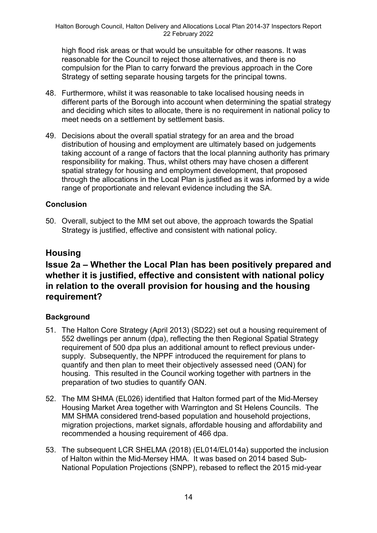high flood risk areas or that would be unsuitable for other reasons. It was reasonable for the Council to reject those alternatives, and there is no compulsion for the Plan to carry forward the previous approach in the Core Strategy of setting separate housing targets for the principal towns.

- 48. Furthermore, whilst it was reasonable to take localised housing needs in different parts of the Borough into account when determining the spatial strategy and deciding which sites to allocate, there is no requirement in national policy to meet needs on a settlement by settlement basis.
- 49. Decisions about the overall spatial strategy for an area and the broad distribution of housing and employment are ultimately based on judgements taking account of a range of factors that the local planning authority has primary responsibility for making. Thus, whilst others may have chosen a different spatial strategy for housing and employment development, that proposed through the allocations in the Local Plan is justified as it was informed by a wide range of proportionate and relevant evidence including the SA.

### **Conclusion**

50. Overall, subject to the MM set out above, the approach towards the Spatial Strategy is justified, effective and consistent with national policy.

## **Housing**

## **Issue 2a – Whether the Local Plan has been positively prepared and whether it is justified, effective and consistent with national policy in relation to the overall provision for housing and the housing requirement?**

### **Background**

- 51. The Halton Core Strategy (April 2013) (SD22) set out a housing requirement of 552 dwellings per annum (dpa), reflecting the then Regional Spatial Strategy requirement of 500 dpa plus an additional amount to reflect previous undersupply. Subsequently, the NPPF introduced the requirement for plans to quantify and then plan to meet their objectively assessed need (OAN) for housing. This resulted in the Council working together with partners in the preparation of two studies to quantify OAN.
- 52. The MM SHMA (EL026) identified that Halton formed part of the Mid-Mersey Housing Market Area together with Warrington and St Helens Councils. The MM SHMA considered trend-based population and household projections, migration projections, market signals, affordable housing and affordability and recommended a housing requirement of 466 dpa.
- 53. The subsequent LCR SHELMA (2018) (EL014/EL014a) supported the inclusion of Halton within the Mid-Mersey HMA. It was based on 2014 based Sub-National Population Projections (SNPP), rebased to reflect the 2015 mid-year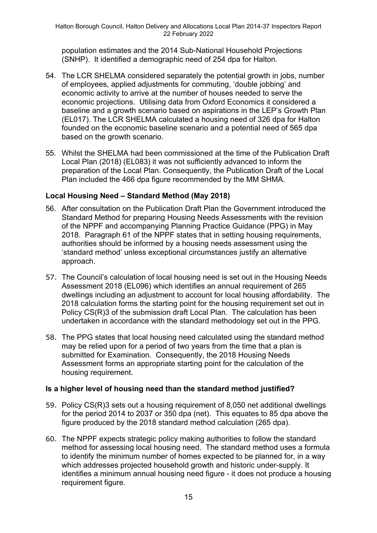population estimates and the 2014 Sub-National Household Projections (SNHP). It identified a demographic need of 254 dpa for Halton.

- 54. The LCR SHELMA considered separately the potential growth in jobs, number of employees, applied adjustments for commuting, 'double jobbing' and economic activity to arrive at the number of houses needed to serve the economic projections. Utilising data from Oxford Economics it considered a baseline and a growth scenario based on aspirations in the LEP's Growth Plan (EL017). The LCR SHELMA calculated a housing need of 326 dpa for Halton founded on the economic baseline scenario and a potential need of 565 dpa based on the growth scenario.
- 55. Whilst the SHELMA had been commissioned at the time of the Publication Draft Local Plan (2018) (EL083) it was not sufficiently advanced to inform the preparation of the Local Plan. Consequently, the Publication Draft of the Local Plan included the 466 dpa figure recommended by the MM SHMA.

### **Local Housing Need – Standard Method (May 2018)**

- 56. After consultation on the Publication Draft Plan the Government introduced the Standard Method for preparing Housing Needs Assessments with the revision of the NPPF and accompanying Planning Practice Guidance (PPG) in May 2018. Paragraph 61 of the NPPF states that in setting housing requirements, authorities should be informed by a housing needs assessment using the 'standard method' unless exceptional circumstances justify an alternative approach.
- 57. The Council's calculation of local housing need is set out in the Housing Needs Assessment 2018 (EL096) which identifies an annual requirement of 265 dwellings including an adjustment to account for local housing affordability. The 2018 calculation forms the starting point for the housing requirement set out in Policy CS(R)3 of the submission draft Local Plan. The calculation has been undertaken in accordance with the standard methodology set out in the PPG.
- 58. The PPG states that local housing need calculated using the standard method may be relied upon for a period of two years from the time that a plan is submitted for Examination. Consequently, the 2018 Housing Needs Assessment forms an appropriate starting point for the calculation of the housing requirement.

### **Is a higher level of housing need than the standard method justified?**

- 59. Policy CS(R)3 sets out a housing requirement of 8,050 net additional dwellings for the period 2014 to 2037 or 350 dpa (net). This equates to 85 dpa above the figure produced by the 2018 standard method calculation (265 dpa).
- 60. The NPPF expects strategic policy making authorities to follow the standard method for assessing local housing need. The standard method uses a formula to identify the minimum number of homes expected to be planned for, in a way which addresses projected household growth and historic under-supply. It identifies a minimum annual housing need figure - it does not produce a housing requirement figure.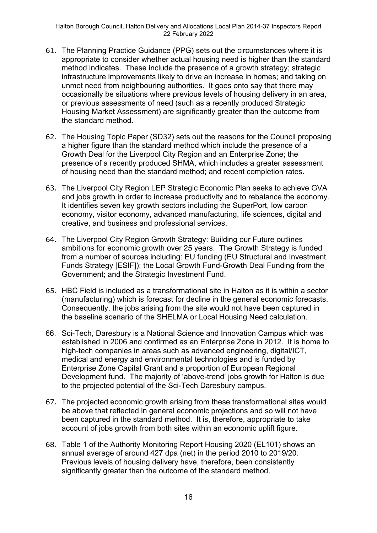- 61. The Planning Practice Guidance (PPG) sets out the circumstances where it is appropriate to consider whether actual housing need is higher than the standard method indicates. These include the presence of a growth strategy; strategic infrastructure improvements likely to drive an increase in homes; and taking on unmet need from neighbouring authorities. It goes onto say that there may occasionally be situations where previous levels of housing delivery in an area, or previous assessments of need (such as a recently produced Strategic Housing Market Assessment) are significantly greater than the outcome from the standard method.
- 62. The Housing Topic Paper (SD32) sets out the reasons for the Council proposing a higher figure than the standard method which include the presence of a Growth Deal for the Liverpool City Region and an Enterprise Zone; the presence of a recently produced SHMA, which includes a greater assessment of housing need than the standard method; and recent completion rates.
- 63. The Liverpool City Region LEP Strategic Economic Plan seeks to achieve GVA and jobs growth in order to increase productivity and to rebalance the economy. It identifies seven key growth sectors including the SuperPort, low carbon economy, visitor economy, advanced manufacturing, life sciences, digital and creative, and business and professional services.
- 64. The Liverpool City Region Growth Strategy: Building our Future outlines ambitions for economic growth over 25 years. The Growth Strategy is funded from a number of sources including: EU funding (EU Structural and Investment Funds Strategy [ESIF]); the Local Growth Fund-Growth Deal Funding from the Government; and the Strategic Investment Fund.
- 65. HBC Field is included as a transformational site in Halton as it is within a sector (manufacturing) which is forecast for decline in the general economic forecasts. Consequently, the jobs arising from the site would not have been captured in the baseline scenario of the SHELMA or Local Housing Need calculation.
- 66. Sci-Tech, Daresbury is a National Science and Innovation Campus which was established in 2006 and confirmed as an Enterprise Zone in 2012. It is home to high-tech companies in areas such as advanced engineering, digital/ICT, medical and energy and environmental technologies and is funded by Enterprise Zone Capital Grant and a proportion of European Regional Development fund. The majority of 'above-trend' jobs growth for Halton is due to the projected potential of the Sci-Tech Daresbury campus.
- 67. The projected economic growth arising from these transformational sites would be above that reflected in general economic projections and so will not have been captured in the standard method. It is, therefore, appropriate to take account of jobs growth from both sites within an economic uplift figure.
- 68. Table 1 of the Authority Monitoring Report Housing 2020 (EL101) shows an annual average of around 427 dpa (net) in the period 2010 to 2019/20. Previous levels of housing delivery have, therefore, been consistently significantly greater than the outcome of the standard method.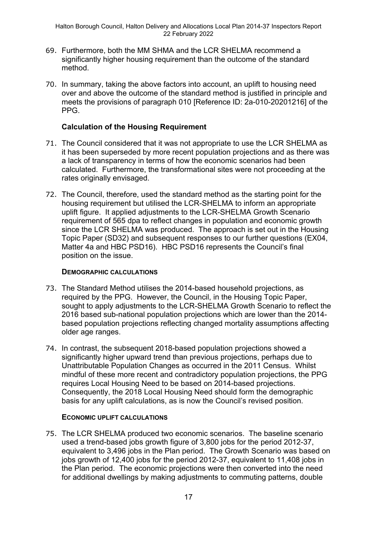- 69. Furthermore, both the MM SHMA and the LCR SHELMA recommend a significantly higher housing requirement than the outcome of the standard method.
- 70. In summary, taking the above factors into account, an uplift to housing need over and above the outcome of the standard method is justified in principle and meets the provisions of paragraph 010 [Reference ID: 2a-010-20201216] of the PPG.

### **Calculation of the Housing Requirement**

- 71. The Council considered that it was not appropriate to use the LCR SHELMA as it has been superseded by more recent population projections and as there was a lack of transparency in terms of how the economic scenarios had been calculated. Furthermore, the transformational sites were not proceeding at the rates originally envisaged.
- 72. The Council, therefore, used the standard method as the starting point for the housing requirement but utilised the LCR-SHELMA to inform an appropriate uplift figure. It applied adjustments to the LCR-SHELMA Growth Scenario requirement of 565 dpa to reflect changes in population and economic growth since the LCR SHELMA was produced. The approach is set out in the Housing Topic Paper (SD32) and subsequent responses to our further questions (EX04, Matter 4a and HBC PSD16). HBC PSD16 represents the Council's final position on the issue.

#### **DEMOGRAPHIC CALCULATIONS**

- 73. The Standard Method utilises the 2014-based household projections, as required by the PPG. However, the Council, in the Housing Topic Paper, sought to apply adjustments to the LCR-SHELMA Growth Scenario to reflect the 2016 based sub-national population projections which are lower than the 2014 based population projections reflecting changed mortality assumptions affecting older age ranges.
- 74. In contrast, the subsequent 2018-based population projections showed a significantly higher upward trend than previous projections, perhaps due to Unattributable Population Changes as occurred in the 2011 Census. Whilst mindful of these more recent and contradictory population projections, the PPG requires Local Housing Need to be based on 2014-based projections. Consequently, the 2018 Local Housing Need should form the demographic basis for any uplift calculations, as is now the Council's revised position.

#### **ECONOMIC UPLIFT CALCULATIONS**

75. The LCR SHELMA produced two economic scenarios. The baseline scenario used a trend-based jobs growth figure of 3,800 jobs for the period 2012-37, equivalent to 3,496 jobs in the Plan period. The Growth Scenario was based on jobs growth of 12,400 jobs for the period 2012-37, equivalent to 11,408 jobs in the Plan period. The economic projections were then converted into the need for additional dwellings by making adjustments to commuting patterns, double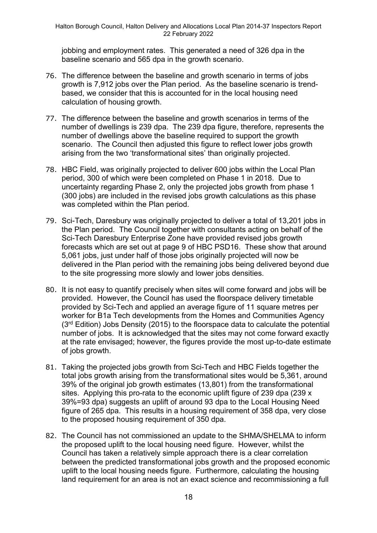jobbing and employment rates. This generated a need of 326 dpa in the baseline scenario and 565 dpa in the growth scenario.

- 76. The difference between the baseline and growth scenario in terms of jobs growth is 7,912 jobs over the Plan period. As the baseline scenario is trendbased, we consider that this is accounted for in the local housing need calculation of housing growth.
- 77. The difference between the baseline and growth scenarios in terms of the number of dwellings is 239 dpa. The 239 dpa figure, therefore, represents the number of dwellings above the baseline required to support the growth scenario. The Council then adjusted this figure to reflect lower jobs growth arising from the two 'transformational sites' than originally projected.
- 78. HBC Field, was originally projected to deliver 600 jobs within the Local Plan period, 300 of which were been completed on Phase 1 in 2018. Due to uncertainty regarding Phase 2, only the projected jobs growth from phase 1 (300 jobs) are included in the revised jobs growth calculations as this phase was completed within the Plan period.
- 79. Sci-Tech, Daresbury was originally projected to deliver a total of 13,201 jobs in the Plan period. The Council together with consultants acting on behalf of the Sci-Tech Daresbury Enterprise Zone have provided revised jobs growth forecasts which are set out at page 9 of HBC PSD16. These show that around 5,061 jobs, just under half of those jobs originally projected will now be delivered in the Plan period with the remaining jobs being delivered beyond due to the site progressing more slowly and lower jobs densities.
- 80. It is not easy to quantify precisely when sites will come forward and jobs will be provided. However, the Council has used the floorspace delivery timetable provided by Sci-Tech and applied an average figure of 11 square metres per worker for B1a Tech developments from the Homes and Communities Agency  $(3<sup>rd</sup> Edition)$  Jobs Density (2015) to the floorspace data to calculate the potential number of jobs. It is acknowledged that the sites may not come forward exactly at the rate envisaged; however, the figures provide the most up-to-date estimate of jobs growth.
- 81. Taking the projected jobs growth from Sci-Tech and HBC Fields together the total jobs growth arising from the transformational sites would be 5,361, around 39% of the original job growth estimates (13,801) from the transformational sites. Applying this pro-rata to the economic uplift figure of 239 dpa (239 x 39%=93 dpa) suggests an uplift of around 93 dpa to the Local Housing Need figure of 265 dpa. This results in a housing requirement of 358 dpa, very close to the proposed housing requirement of 350 dpa.
- 82. The Council has not commissioned an update to the SHMA/SHELMA to inform the proposed uplift to the local housing need figure. However, whilst the Council has taken a relatively simple approach there is a clear correlation between the predicted transformational jobs growth and the proposed economic uplift to the local housing needs figure. Furthermore, calculating the housing land requirement for an area is not an exact science and recommissioning a full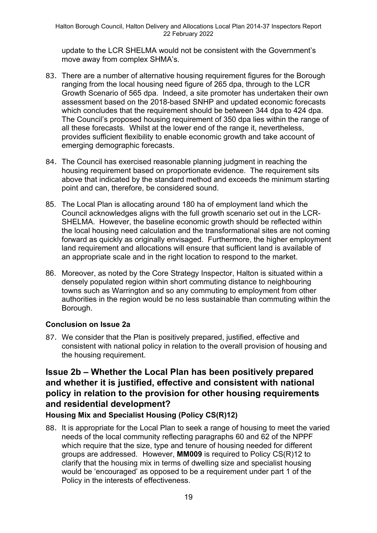update to the LCR SHELMA would not be consistent with the Government's move away from complex SHMA's.

- 83. There are a number of alternative housing requirement figures for the Borough ranging from the local housing need figure of 265 dpa, through to the LCR Growth Scenario of 565 dpa. Indeed, a site promoter has undertaken their own assessment based on the 2018-based SNHP and updated economic forecasts which concludes that the requirement should be between 344 dpa to 424 dpa. The Council's proposed housing requirement of 350 dpa lies within the range of all these forecasts. Whilst at the lower end of the range it, nevertheless, provides sufficient flexibility to enable economic growth and take account of emerging demographic forecasts.
- 84. The Council has exercised reasonable planning judgment in reaching the housing requirement based on proportionate evidence. The requirement sits above that indicated by the standard method and exceeds the minimum starting point and can, therefore, be considered sound.
- 85. The Local Plan is allocating around 180 ha of employment land which the Council acknowledges aligns with the full growth scenario set out in the LCR-SHELMA. However, the baseline economic growth should be reflected within the local housing need calculation and the transformational sites are not coming forward as quickly as originally envisaged. Furthermore, the higher employment land requirement and allocations will ensure that sufficient land is available of an appropriate scale and in the right location to respond to the market.
- 86. Moreover, as noted by the Core Strategy Inspector, Halton is situated within a densely populated region within short commuting distance to neighbouring towns such as Warrington and so any commuting to employment from other authorities in the region would be no less sustainable than commuting within the Borough.

### **Conclusion on Issue 2a**

87. We consider that the Plan is positively prepared, justified, effective and consistent with national policy in relation to the overall provision of housing and the housing requirement.

## **Issue 2b – Whether the Local Plan has been positively prepared and whether it is justified, effective and consistent with national policy in relation to the provision for other housing requirements and residential development?**

## **Housing Mix and Specialist Housing (Policy CS(R)12)**

88. It is appropriate for the Local Plan to seek a range of housing to meet the varied needs of the local community reflecting paragraphs 60 and 62 of the NPPF which require that the size, type and tenure of housing needed for different groups are addressed. However, **MM009** is required to Policy CS(R)12 to clarify that the housing mix in terms of dwelling size and specialist housing would be 'encouraged' as opposed to be a requirement under part 1 of the Policy in the interests of effectiveness.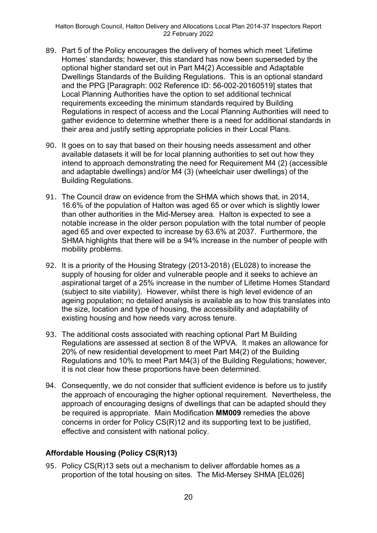- 89. Part 5 of the Policy encourages the delivery of homes which meet 'Lifetime Homes' standards; however, this standard has now been superseded by the optional higher standard set out in Part M4(2) Accessible and Adaptable Dwellings Standards of the Building Regulations. This is an optional standard and the PPG [Paragraph: 002 Reference ID: 56-002-20160519] states that Local Planning Authorities have the option to set additional technical requirements exceeding the minimum standards required by Building Regulations in respect of access and the Local Planning Authorities will need to gather evidence to determine whether there is a need for additional standards in their area and justify setting appropriate policies in their Local Plans.
- 90. It goes on to say that based on their housing needs assessment and other available datasets it will be for local planning authorities to set out how they intend to approach demonstrating the need for Requirement M4 (2) (accessible and adaptable dwellings) and/or M4 (3) (wheelchair user dwellings) of the Building Regulations.
- 91. The Council draw on evidence from the SHMA which shows that, in 2014, 16.6% of the population of Halton was aged 65 or over which is slightly lower than other authorities in the Mid-Mersey area. Halton is expected to see a notable increase in the older person population with the total number of people aged 65 and over expected to increase by 63.6% at 2037. Furthermore, the SHMA highlights that there will be a 94% increase in the number of people with mobility problems.
- 92. It is a priority of the Housing Strategy (2013-2018) (EL028) to increase the supply of housing for older and vulnerable people and it seeks to achieve an aspirational target of a 25% increase in the number of Lifetime Homes Standard (subject to site viability). However, whilst there is high level evidence of an ageing population; no detailed analysis is available as to how this translates into the size, location and type of housing, the accessibility and adaptability of existing housing and how needs vary across tenure.
- 93. The additional costs associated with reaching optional Part M Building Regulations are assessed at section 8 of the WPVA. It makes an allowance for 20% of new residential development to meet Part M4(2) of the Building Regulations and 10% to meet Part M4(3) of the Building Regulations; however, it is not clear how these proportions have been determined.
- 94. Consequently, we do not consider that sufficient evidence is before us to justify the approach of encouraging the higher optional requirement. Nevertheless, the approach of encouraging designs of dwellings that can be adapted should they be required is appropriate. Main Modification **MM009** remedies the above concerns in order for Policy CS(R)12 and its supporting text to be justified, effective and consistent with national policy.

## **Affordable Housing (Policy CS(R)13)**

95. Policy CS(R)13 sets out a mechanism to deliver affordable homes as a proportion of the total housing on sites. The Mid-Mersey SHMA [EL026]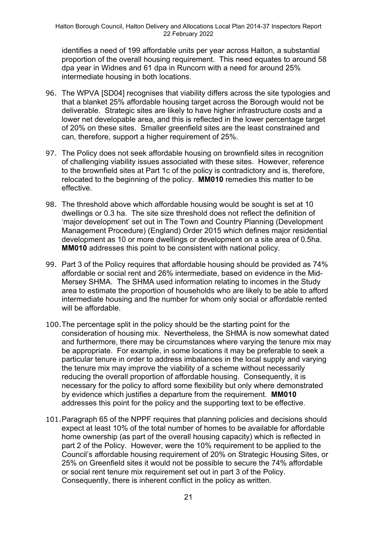identifies a need of 199 affordable units per year across Halton, a substantial proportion of the overall housing requirement. This need equates to around 58 dpa year in Widnes and 61 dpa in Runcorn with a need for around 25% intermediate housing in both locations.

- 96. The WPVA [SD04] recognises that viability differs across the site typologies and that a blanket 25% affordable housing target across the Borough would not be deliverable. Strategic sites are likely to have higher infrastructure costs and a lower net developable area, and this is reflected in the lower percentage target of 20% on these sites. Smaller greenfield sites are the least constrained and can, therefore, support a higher requirement of 25%.
- 97. The Policy does not seek affordable housing on brownfield sites in recognition of challenging viability issues associated with these sites. However, reference to the brownfield sites at Part 1c of the policy is contradictory and is, therefore, relocated to the beginning of the policy. **MM010** remedies this matter to be effective.
- 98. The threshold above which affordable housing would be sought is set at 10 dwellings or 0.3 ha. The site size threshold does not reflect the definition of 'major development' set out in The Town and Country Planning (Development Management Procedure) (England) Order 2015 which defines major residential development as 10 or more dwellings or development on a site area of 0.5ha. **MM010** addresses this point to be consistent with national policy.
- 99. Part 3 of the Policy requires that affordable housing should be provided as 74% affordable or social rent and 26% intermediate, based on evidence in the Mid-Mersey SHMA. The SHMA used information relating to incomes in the Study area to estimate the proportion of households who are likely to be able to afford intermediate housing and the number for whom only social or affordable rented will be affordable.
- 100.The percentage split in the policy should be the starting point for the consideration of housing mix. Nevertheless, the SHMA is now somewhat dated and furthermore, there may be circumstances where varying the tenure mix may be appropriate. For example, in some locations it may be preferable to seek a particular tenure in order to address imbalances in the local supply and varying the tenure mix may improve the viability of a scheme without necessarily reducing the overall proportion of affordable housing. Consequently, it is necessary for the policy to afford some flexibility but only where demonstrated by evidence which justifies a departure from the requirement. **MM010** addresses this point for the policy and the supporting text to be effective.
- 101.Paragraph 65 of the NPPF requires that planning policies and decisions should expect at least 10% of the total number of homes to be available for affordable home ownership (as part of the overall housing capacity) which is reflected in part 2 of the Policy. However, were the 10% requirement to be applied to the Council's affordable housing requirement of 20% on Strategic Housing Sites, or 25% on Greenfield sites it would not be possible to secure the 74% affordable or social rent tenure mix requirement set out in part 3 of the Policy. Consequently, there is inherent conflict in the policy as written.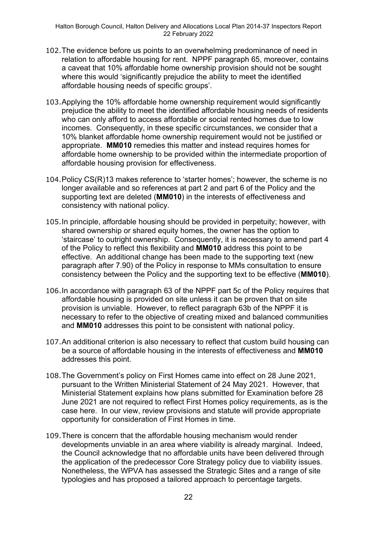- 102.The evidence before us points to an overwhelming predominance of need in relation to affordable housing for rent. NPPF paragraph 65, moreover, contains a caveat that 10% affordable home ownership provision should not be sought where this would 'significantly prejudice the ability to meet the identified affordable housing needs of specific groups'.
- 103.Applying the 10% affordable home ownership requirement would significantly prejudice the ability to meet the identified affordable housing needs of residents who can only afford to access affordable or social rented homes due to low incomes. Consequently, in these specific circumstances, we consider that a 10% blanket affordable home ownership requirement would not be justified or appropriate. **MM010** remedies this matter and instead requires homes for affordable home ownership to be provided within the intermediate proportion of affordable housing provision for effectiveness.
- 104.Policy CS(R)13 makes reference to 'starter homes'; however, the scheme is no longer available and so references at part 2 and part 6 of the Policy and the supporting text are deleted (**MM010**) in the interests of effectiveness and consistency with national policy.
- 105.In principle, affordable housing should be provided in perpetuity; however, with shared ownership or shared equity homes, the owner has the option to 'staircase' to outright ownership. Consequently, it is necessary to amend part 4 of the Policy to reflect this flexibility and **MM010** address this point to be effective. An additional change has been made to the supporting text (new paragraph after 7.90) of the Policy in response to MMs consultation to ensure consistency between the Policy and the supporting text to be effective (**MM010**).
- 106.In accordance with paragraph 63 of the NPPF part 5c of the Policy requires that affordable housing is provided on site unless it can be proven that on site provision is unviable. However, to reflect paragraph 63b of the NPPF it is necessary to refer to the objective of creating mixed and balanced communities and **MM010** addresses this point to be consistent with national policy.
- 107.An additional criterion is also necessary to reflect that custom build housing can be a source of affordable housing in the interests of effectiveness and **MM010** addresses this point.
- 108.The Government's policy on First Homes came into effect on 28 June 2021, pursuant to the Written Ministerial Statement of 24 May 2021. However, that Ministerial Statement explains how plans submitted for Examination before 28 June 2021 are not required to reflect First Homes policy requirements, as is the case here. In our view, review provisions and statute will provide appropriate opportunity for consideration of First Homes in time.
- 109.There is concern that the affordable housing mechanism would render developments unviable in an area where viability is already marginal. Indeed, the Council acknowledge that no affordable units have been delivered through the application of the predecessor Core Strategy policy due to viability issues. Nonetheless, the WPVA has assessed the Strategic Sites and a range of site typologies and has proposed a tailored approach to percentage targets.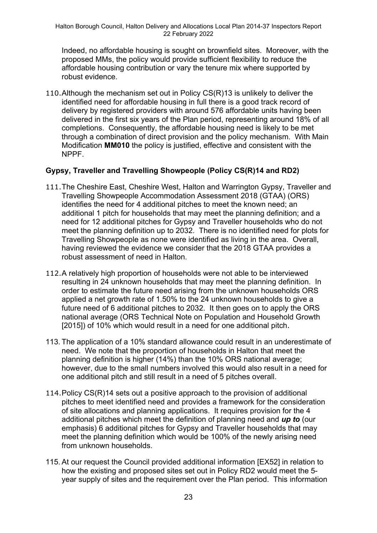Indeed, no affordable housing is sought on brownfield sites. Moreover, with the proposed MMs, the policy would provide sufficient flexibility to reduce the affordable housing contribution or vary the tenure mix where supported by robust evidence.

110.Although the mechanism set out in Policy CS(R)13 is unlikely to deliver the identified need for affordable housing in full there is a good track record of delivery by registered providers with around 576 affordable units having been delivered in the first six years of the Plan period, representing around 18% of all completions. Consequently, the affordable housing need is likely to be met through a combination of direct provision and the policy mechanism. With Main Modification **MM010** the policy is justified, effective and consistent with the NPPF.

### **Gypsy, Traveller and Travelling Showpeople (Policy CS(R)14 and RD2)**

- 111.The Cheshire East, Cheshire West, Halton and Warrington Gypsy, Traveller and Travelling Showpeople Accommodation Assessment 2018 (GTAA) (ORS) identifies the need for 4 additional pitches to meet the known need; an additional 1 pitch for households that may meet the planning definition; and a need for 12 additional pitches for Gypsy and Traveller households who do not meet the planning definition up to 2032. There is no identified need for plots for Travelling Showpeople as none were identified as living in the area. Overall, having reviewed the evidence we consider that the 2018 GTAA provides a robust assessment of need in Halton.
- 112.A relatively high proportion of households were not able to be interviewed resulting in 24 unknown households that may meet the planning definition. In order to estimate the future need arising from the unknown households ORS applied a net growth rate of 1.50% to the 24 unknown households to give a future need of 6 additional pitches to 2032. It then goes on to apply the ORS national average (ORS Technical Note on Population and Household Growth [2015]) of 10% which would result in a need for one additional pitch.
- 113. The application of a 10% standard allowance could result in an underestimate of need. We note that the proportion of households in Halton that meet the planning definition is higher (14%) than the 10% ORS national average; however, due to the small numbers involved this would also result in a need for one additional pitch and still result in a need of 5 pitches overall.
- 114.Policy CS(R)14 sets out a positive approach to the provision of additional pitches to meet identified need and provides a framework for the consideration of site allocations and planning applications. It requires provision for the 4 additional pitches which meet the definition of planning need and *up to* (our emphasis) 6 additional pitches for Gypsy and Traveller households that may meet the planning definition which would be 100% of the newly arising need from unknown households.
- 115. At our request the Council provided additional information [EX52] in relation to how the existing and proposed sites set out in Policy RD2 would meet the 5 year supply of sites and the requirement over the Plan period. This information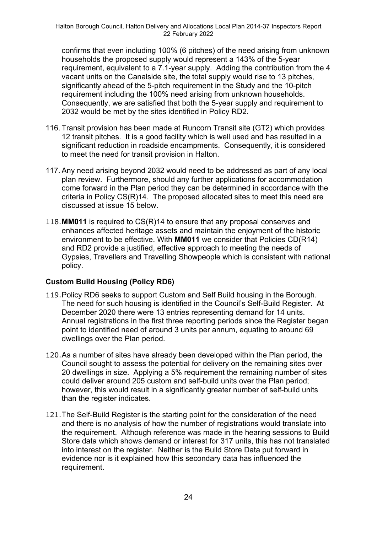confirms that even including 100% (6 pitches) of the need arising from unknown households the proposed supply would represent a 143% of the 5-year requirement, equivalent to a 7.1-year supply. Adding the contribution from the 4 vacant units on the Canalside site, the total supply would rise to 13 pitches, significantly ahead of the 5-pitch requirement in the Study and the 10-pitch requirement including the 100% need arising from unknown households. Consequently, we are satisfied that both the 5-year supply and requirement to 2032 would be met by the sites identified in Policy RD2.

- 116. Transit provision has been made at Runcorn Transit site (GT2) which provides 12 transit pitches. It is a good facility which is well used and has resulted in a significant reduction in roadside encampments. Consequently, it is considered to meet the need for transit provision in Halton.
- 117. Any need arising beyond 2032 would need to be addressed as part of any local plan review. Furthermore, should any further applications for accommodation come forward in the Plan period they can be determined in accordance with the criteria in Policy CS(R)14. The proposed allocated sites to meet this need are discussed at issue 15 below.
- 118.**MM011** is required to CS(R)14 to ensure that any proposal conserves and enhances affected heritage assets and maintain the enjoyment of the historic environment to be effective. With **MM011** we consider that Policies CD(R14) and RD2 provide a justified, effective approach to meeting the needs of Gypsies, Travellers and Travelling Showpeople which is consistent with national policy.

### **Custom Build Housing (Policy RD6)**

- 119.Policy RD6 seeks to support Custom and Self Build housing in the Borough. The need for such housing is identified in the Council's Self-Build Register. At December 2020 there were 13 entries representing demand for 14 units. Annual registrations in the first three reporting periods since the Register began point to identified need of around 3 units per annum, equating to around 69 dwellings over the Plan period.
- 120.As a number of sites have already been developed within the Plan period, the Council sought to assess the potential for delivery on the remaining sites over 20 dwellings in size. Applying a 5% requirement the remaining number of sites could deliver around 205 custom and self-build units over the Plan period; however, this would result in a significantly greater number of self-build units than the register indicates.
- 121.The Self-Build Register is the starting point for the consideration of the need and there is no analysis of how the number of registrations would translate into the requirement. Although reference was made in the hearing sessions to Build Store data which shows demand or interest for 317 units, this has not translated into interest on the register. Neither is the Build Store Data put forward in evidence nor is it explained how this secondary data has influenced the requirement.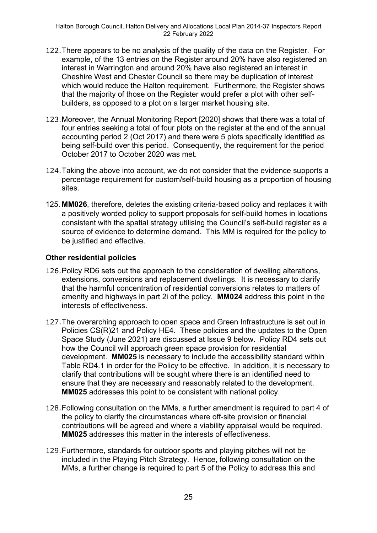- 122.There appears to be no analysis of the quality of the data on the Register. For example, of the 13 entries on the Register around 20% have also registered an interest in Warrington and around 20% have also registered an interest in Cheshire West and Chester Council so there may be duplication of interest which would reduce the Halton requirement. Furthermore, the Register shows that the majority of those on the Register would prefer a plot with other selfbuilders, as opposed to a plot on a larger market housing site.
- 123.Moreover, the Annual Monitoring Report [2020] shows that there was a total of four entries seeking a total of four plots on the register at the end of the annual accounting period 2 (Oct 2017) and there were 5 plots specifically identified as being self-build over this period. Consequently, the requirement for the period October 2017 to October 2020 was met.
- 124.Taking the above into account, we do not consider that the evidence supports a percentage requirement for custom/self-build housing as a proportion of housing sites.
- 125. **MM026**, therefore, deletes the existing criteria-based policy and replaces it with a positively worded policy to support proposals for self-build homes in locations consistent with the spatial strategy utilising the Council's self-build register as a source of evidence to determine demand. This MM is required for the policy to be justified and effective.

### **Other residential policies**

- 126.Policy RD6 sets out the approach to the consideration of dwelling alterations, extensions, conversions and replacement dwellings. It is necessary to clarify that the harmful concentration of residential conversions relates to matters of amenity and highways in part 2i of the policy. **MM024** address this point in the interests of effectiveness.
- 127.The overarching approach to open space and Green Infrastructure is set out in Policies CS(R)21 and Policy HE4. These policies and the updates to the Open Space Study (June 2021) are discussed at Issue 9 below. Policy RD4 sets out how the Council will approach green space provision for residential development. **MM025** is necessary to include the accessibility standard within Table RD4.1 in order for the Policy to be effective. In addition, it is necessary to clarify that contributions will be sought where there is an identified need to ensure that they are necessary and reasonably related to the development. **MM025** addresses this point to be consistent with national policy.
- 128.Following consultation on the MMs, a further amendment is required to part 4 of the policy to clarify the circumstances where off-site provision or financial contributions will be agreed and where a viability appraisal would be required. **MM025** addresses this matter in the interests of effectiveness.
- 129.Furthermore, standards for outdoor sports and playing pitches will not be included in the Playing Pitch Strategy. Hence, following consultation on the MMs, a further change is required to part 5 of the Policy to address this and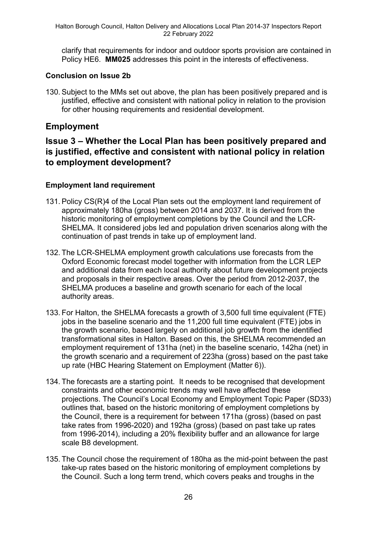clarify that requirements for indoor and outdoor sports provision are contained in Policy HE6. **MM025** addresses this point in the interests of effectiveness.

### **Conclusion on Issue 2b**

130. Subject to the MMs set out above, the plan has been positively prepared and is justified, effective and consistent with national policy in relation to the provision for other housing requirements and residential development.

## **Employment**

## **Issue 3 – Whether the Local Plan has been positively prepared and is justified, effective and consistent with national policy in relation to employment development?**

### **Employment land requirement**

- 131. Policy CS(R)4 of the Local Plan sets out the employment land requirement of approximately 180ha (gross) between 2014 and 2037. It is derived from the historic monitoring of employment completions by the Council and the LCR-SHELMA. It considered jobs led and population driven scenarios along with the continuation of past trends in take up of employment land.
- 132. The LCR-SHELMA employment growth calculations use forecasts from the Oxford Economic forecast model together with information from the LCR LEP and additional data from each local authority about future development projects and proposals in their respective areas. Over the period from 2012-2037, the SHELMA produces a baseline and growth scenario for each of the local authority areas.
- 133. For Halton, the SHELMA forecasts a growth of 3,500 full time equivalent (FTE) iobs in the baseline scenario and the 11,200 full time equivalent (FTE) jobs in the growth scenario, based largely on additional job growth from the identified transformational sites in Halton. Based on this, the SHELMA recommended an employment requirement of 131ha (net) in the baseline scenario, 142ha (net) in the growth scenario and a requirement of 223ha (gross) based on the past take up rate (HBC Hearing Statement on Employment (Matter 6)).
- 134. The forecasts are a starting point. It needs to be recognised that development constraints and other economic trends may well have affected these projections. The Council's Local Economy and Employment Topic Paper (SD33) outlines that, based on the historic monitoring of employment completions by the Council, there is a requirement for between 171ha (gross) (based on past take rates from 1996-2020) and 192ha (gross) (based on past take up rates from 1996-2014), including a 20% flexibility buffer and an allowance for large scale B8 development.
- 135. The Council chose the requirement of 180ha as the mid-point between the past take-up rates based on the historic monitoring of employment completions by the Council. Such a long term trend, which covers peaks and troughs in the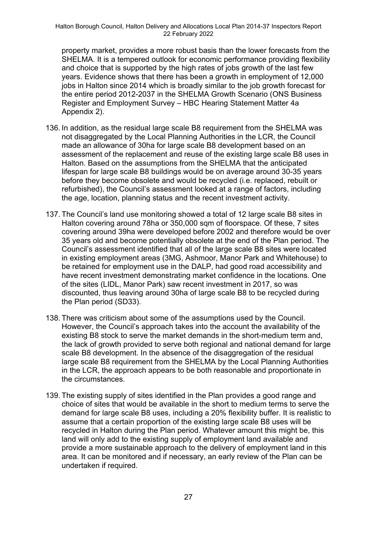property market, provides a more robust basis than the lower forecasts from the SHELMA. It is a tempered outlook for economic performance providing flexibility and choice that is supported by the high rates of jobs growth of the last few years. Evidence shows that there has been a growth in employment of 12,000 jobs in Halton since 2014 which is broadly similar to the job growth forecast for the entire period 2012-2037 in the SHELMA Growth Scenario (ONS Business Register and Employment Survey – HBC Hearing Statement Matter 4a Appendix 2).

- 136. In addition, as the residual large scale B8 requirement from the SHELMA was not disaggregated by the Local Planning Authorities in the LCR, the Council made an allowance of 30ha for large scale B8 development based on an assessment of the replacement and reuse of the existing large scale B8 uses in Halton. Based on the assumptions from the SHELMA that the anticipated lifespan for large scale B8 buildings would be on average around 30-35 years before they become obsolete and would be recycled (i.e. replaced, rebuilt or refurbished), the Council's assessment looked at a range of factors, including the age, location, planning status and the recent investment activity.
- 137. The Council's land use monitoring showed a total of 12 large scale B8 sites in Halton covering around 78ha or 350,000 sqm of floorspace. Of these, 7 sites covering around 39ha were developed before 2002 and therefore would be over 35 years old and become potentially obsolete at the end of the Plan period. The Council's assessment identified that all of the large scale B8 sites were located in existing employment areas (3MG, Ashmoor, Manor Park and Whitehouse) to be retained for employment use in the DALP, had good road accessibility and have recent investment demonstrating market confidence in the locations. One of the sites (LIDL, Manor Park) saw recent investment in 2017, so was discounted, thus leaving around 30ha of large scale B8 to be recycled during the Plan period (SD33).
- 138. There was criticism about some of the assumptions used by the Council. However, the Council's approach takes into the account the availability of the existing B8 stock to serve the market demands in the short-medium term and, the lack of growth provided to serve both regional and national demand for large scale B8 development. In the absence of the disaggregation of the residual large scale B8 requirement from the SHELMA by the Local Planning Authorities in the LCR, the approach appears to be both reasonable and proportionate in the circumstances.
- 139. The existing supply of sites identified in the Plan provides a good range and choice of sites that would be available in the short to medium terms to serve the demand for large scale B8 uses, including a 20% flexibility buffer. It is realistic to assume that a certain proportion of the existing large scale B8 uses will be recycled in Halton during the Plan period. Whatever amount this might be, this land will only add to the existing supply of employment land available and provide a more sustainable approach to the delivery of employment land in this area. It can be monitored and if necessary, an early review of the Plan can be undertaken if required.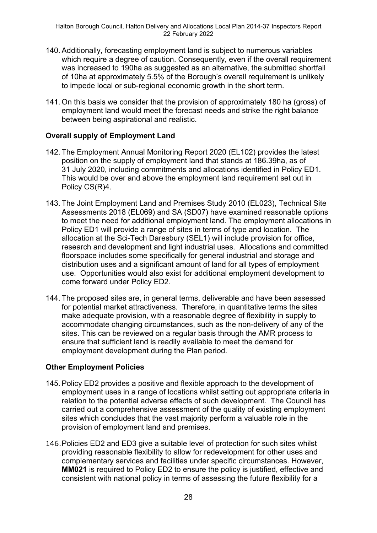- 140. Additionally, forecasting employment land is subject to numerous variables which require a degree of caution. Consequently, even if the overall requirement was increased to 190ha as suggested as an alternative, the submitted shortfall of 10ha at approximately 5.5% of the Borough's overall requirement is unlikely to impede local or sub-regional economic growth in the short term.
- 141. On this basis we consider that the provision of approximately 180 ha (gross) of employment land would meet the forecast needs and strike the right balance between being aspirational and realistic.

### **Overall supply of Employment Land**

- 142. The Employment Annual Monitoring Report 2020 (EL102) provides the latest position on the supply of employment land that stands at 186.39ha, as of 31 July 2020, including commitments and allocations identified in Policy ED1. This would be over and above the employment land requirement set out in Policy CS(R)4.
- 143. The Joint Employment Land and Premises Study 2010 (EL023), Technical Site Assessments 2018 (EL069) and SA (SD07) have examined reasonable options to meet the need for additional employment land. The employment allocations in Policy ED1 will provide a range of sites in terms of type and location. The allocation at the Sci-Tech Daresbury (SEL1) will include provision for office, research and development and light industrial uses. Allocations and committed floorspace includes some specifically for general industrial and storage and distribution uses and a significant amount of land for all types of employment use. Opportunities would also exist for additional employment development to come forward under Policy ED2.
- 144. The proposed sites are, in general terms, deliverable and have been assessed for potential market attractiveness. Therefore, in quantitative terms the sites make adequate provision, with a reasonable degree of flexibility in supply to accommodate changing circumstances, such as the non-delivery of any of the sites. This can be reviewed on a regular basis through the AMR process to ensure that sufficient land is readily available to meet the demand for employment development during the Plan period.

### **Other Employment Policies**

- 145. Policy ED2 provides a positive and flexible approach to the development of employment uses in a range of locations whilst setting out appropriate criteria in relation to the potential adverse effects of such development. The Council has carried out a comprehensive assessment of the quality of existing employment sites which concludes that the vast majority perform a valuable role in the provision of employment land and premises.
- 146.Policies ED2 and ED3 give a suitable level of protection for such sites whilst providing reasonable flexibility to allow for redevelopment for other uses and complementary services and facilities under specific circumstances. However, **MM021** is required to Policy ED2 to ensure the policy is justified, effective and consistent with national policy in terms of assessing the future flexibility for a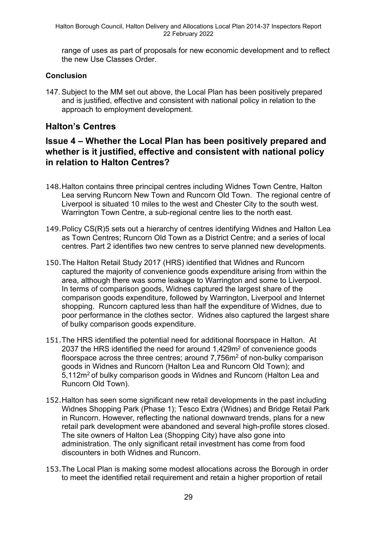range of uses as part of proposals for new economic development and to reflect the new Use Classes Order.

### **Conclusion**

147. Subject to the MM set out above, the Local Plan has been positively prepared and is justified, effective and consistent with national policy in relation to the approach to employment development.

## **Halton's Centres**

## **Issue 4 – Whether the Local Plan has been positively prepared and whether is it justified, effective and consistent with national policy in relation to Halton Centres?**

- 148.Halton contains three principal centres including Widnes Town Centre, Halton Lea serving Runcorn New Town and Runcorn Old Town. The regional centre of Liverpool is situated 10 miles to the west and Chester City to the south west. Warrington Town Centre, a sub-regional centre lies to the north east.
- 149.Policy CS(R)5 sets out a hierarchy of centres identifying Widnes and Halton Lea as Town Centres; Runcorn Old Town as a District Centre; and a series of local centres. Part 2 identifies two new centres to serve planned new developments.
- 150.The Halton Retail Study 2017 (HRS) identified that Widnes and Runcorn captured the majority of convenience goods expenditure arising from within the area, although there was some leakage to Warrington and some to Liverpool. In terms of comparison goods, Widnes captured the largest share of the comparison goods expenditure, followed by Warrington, Liverpool and Internet shopping. Runcorn captured less than half the expenditure of Widnes, due to poor performance in the clothes sector. Widnes also captured the largest share of bulky comparison goods expenditure.
- 151.The HRS identified the potential need for additional floorspace in Halton. At 2037 the HRS identified the need for around 1,429m<sup>2</sup> of convenience goods floorspace across the three centres; around 7,756m<sup>2</sup> of non-bulky comparison goods in Widnes and Runcorn (Halton Lea and Runcorn Old Town); and 5,112m<sup>2</sup> of bulky comparison goods in Widnes and Runcorn (Halton Lea and Runcorn Old Town).
- 152.Halton has seen some significant new retail developments in the past including Widnes Shopping Park (Phase 1); Tesco Extra (Widnes) and Bridge Retail Park in Runcorn. However, reflecting the national downward trends, plans for a new retail park development were abandoned and several high-profile stores closed. The site owners of Halton Lea (Shopping City) have also gone into administration. The only significant retail investment has come from food discounters in both Widnes and Runcorn.
- 153.The Local Plan is making some modest allocations across the Borough in order to meet the identified retail requirement and retain a higher proportion of retail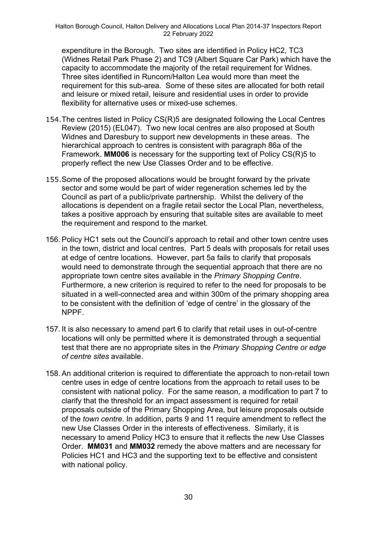expenditure in the Borough. Two sites are identified in Policy HC2, TC3 (Widnes Retail Park Phase 2) and TC9 (Albert Square Car Park) which have the capacity to accommodate the majority of the retail requirement for Widnes. Three sites identified in Runcorn/Halton Lea would more than meet the requirement for this sub-area. Some of these sites are allocated for both retail and leisure or mixed retail, leisure and residential uses in order to provide flexibility for alternative uses or mixed-use schemes.

- 154.The centres listed in Policy CS(R)5 are designated following the Local Centres Review (2015) (EL047). Two new local centres are also proposed at South Widnes and Daresbury to support new developments in these areas. The hierarchical approach to centres is consistent with paragraph 86a of the Framework. **MM006** is necessary for the supporting text of Policy CS(R)5 to properly reflect the new Use Classes Order and to be effective.
- 155.Some of the proposed allocations would be brought forward by the private sector and some would be part of wider regeneration schemes led by the Council as part of a public/private partnership. Whilst the delivery of the allocations is dependent on a fragile retail sector the Local Plan, nevertheless, takes a positive approach by ensuring that suitable sites are available to meet the requirement and respond to the market.
- 156. Policy HC1 sets out the Council's approach to retail and other town centre uses in the town, district and local centres. Part 5 deals with proposals for retail uses at edge of centre locations. However, part 5a fails to clarify that proposals would need to demonstrate through the sequential approach that there are no appropriate town centre sites available in the *Primary Shopping Centre*. Furthermore, a new criterion is required to refer to the need for proposals to be situated in a well-connected area and within 300m of the primary shopping area to be consistent with the definition of 'edge of centre' in the glossary of the NPPF.
- 157. It is also necessary to amend part 6 to clarify that retail uses in out-of-centre locations will only be permitted where it is demonstrated through a sequential test that there are no appropriate sites in the *Primary Shopping Centre or edge of centre sites* available.
- 158. An additional criterion is required to differentiate the approach to non-retail town centre uses in edge of centre locations from the approach to retail uses to be consistent with national policy. For the same reason, a modification to part 7 to clarify that the threshold for an impact assessment is required for retail proposals outside of the Primary Shopping Area, but leisure proposals outside of the *town centre*. In addition, parts 9 and 11 require amendment to reflect the new Use Classes Order in the interests of effectiveness. Similarly, it is necessary to amend Policy HC3 to ensure that it reflects the new Use Classes Order. **MM031** and **MM032** remedy the above matters and are necessary for Policies HC1 and HC3 and the supporting text to be effective and consistent with national policy.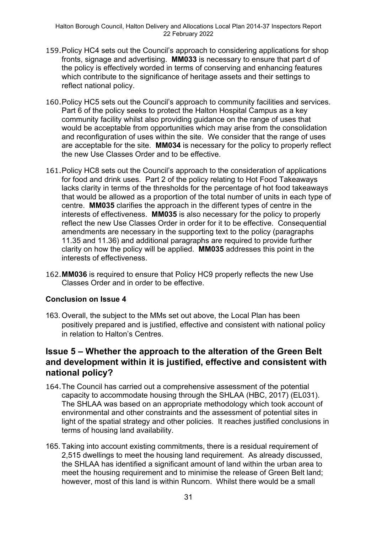- 159.Policy HC4 sets out the Council's approach to considering applications for shop fronts, signage and advertising. **MM033** is necessary to ensure that part d of the policy is effectively worded in terms of conserving and enhancing features which contribute to the significance of heritage assets and their settings to reflect national policy.
- 160.Policy HC5 sets out the Council's approach to community facilities and services. Part 6 of the policy seeks to protect the Halton Hospital Campus as a key community facility whilst also providing guidance on the range of uses that would be acceptable from opportunities which may arise from the consolidation and reconfiguration of uses within the site. We consider that the range of uses are acceptable for the site. **MM034** is necessary for the policy to properly reflect the new Use Classes Order and to be effective.
- 161.Policy HC8 sets out the Council's approach to the consideration of applications for food and drink uses. Part 2 of the policy relating to Hot Food Takeaways lacks clarity in terms of the thresholds for the percentage of hot food takeaways that would be allowed as a proportion of the total number of units in each type of centre. **MM035** clarifies the approach in the different types of centre in the interests of effectiveness. **MM035** is also necessary for the policy to properly reflect the new Use Classes Order in order for it to be effective. Consequential amendments are necessary in the supporting text to the policy (paragraphs 11.35 and 11.36) and additional paragraphs are required to provide further clarity on how the policy will be applied. **MM035** addresses this point in the interests of effectiveness.
- 162.**MM036** is required to ensure that Policy HC9 properly reflects the new Use Classes Order and in order to be effective.

### **Conclusion on Issue 4**

163. Overall, the subject to the MMs set out above, the Local Plan has been positively prepared and is justified, effective and consistent with national policy in relation to Halton's Centres.

## **Issue 5 – Whether the approach to the alteration of the Green Belt and development within it is justified, effective and consistent with national policy?**

- 164.The Council has carried out a comprehensive assessment of the potential capacity to accommodate housing through the SHLAA (HBC, 2017) (EL031). The SHLAA was based on an appropriate methodology which took account of environmental and other constraints and the assessment of potential sites in light of the spatial strategy and other policies. It reaches justified conclusions in terms of housing land availability.
- 165. Taking into account existing commitments, there is a residual requirement of 2,515 dwellings to meet the housing land requirement. As already discussed, the SHLAA has identified a significant amount of land within the urban area to meet the housing requirement and to minimise the release of Green Belt land; however, most of this land is within Runcorn. Whilst there would be a small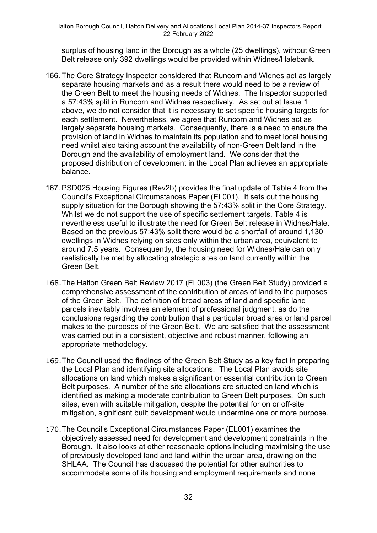surplus of housing land in the Borough as a whole (25 dwellings), without Green Belt release only 392 dwellings would be provided within Widnes/Halebank.

- 166. The Core Strategy Inspector considered that Runcorn and Widnes act as largely separate housing markets and as a result there would need to be a review of the Green Belt to meet the housing needs of Widnes. The Inspector supported a 57:43% split in Runcorn and Widnes respectively. As set out at Issue 1 above, we do not consider that it is necessary to set specific housing targets for each settlement. Nevertheless, we agree that Runcorn and Widnes act as largely separate housing markets. Consequently, there is a need to ensure the provision of land in Widnes to maintain its population and to meet local housing need whilst also taking account the availability of non-Green Belt land in the Borough and the availability of employment land. We consider that the proposed distribution of development in the Local Plan achieves an appropriate balance.
- 167. PSD025 Housing Figures (Rev2b) provides the final update of Table 4 from the Council's Exceptional Circumstances Paper (EL001). It sets out the housing supply situation for the Borough showing the 57:43% split in the Core Strategy. Whilst we do not support the use of specific settlement targets, Table 4 is nevertheless useful to illustrate the need for Green Belt release in Widnes/Hale. Based on the previous 57:43% split there would be a shortfall of around 1,130 dwellings in Widnes relying on sites only within the urban area, equivalent to around 7.5 years. Consequently, the housing need for Widnes/Hale can only realistically be met by allocating strategic sites on land currently within the Green Belt.
- 168.The Halton Green Belt Review 2017 (EL003) (the Green Belt Study) provided a comprehensive assessment of the contribution of areas of land to the purposes of the Green Belt. The definition of broad areas of land and specific land parcels inevitably involves an element of professional judgment, as do the conclusions regarding the contribution that a particular broad area or land parcel makes to the purposes of the Green Belt. We are satisfied that the assessment was carried out in a consistent, objective and robust manner, following an appropriate methodology.
- 169.The Council used the findings of the Green Belt Study as a key fact in preparing the Local Plan and identifying site allocations. The Local Plan avoids site allocations on land which makes a significant or essential contribution to Green Belt purposes. A number of the site allocations are situated on land which is identified as making a moderate contribution to Green Belt purposes. On such sites, even with suitable mitigation, despite the potential for on or off-site mitigation, significant built development would undermine one or more purpose.
- 170.The Council's Exceptional Circumstances Paper (EL001) examines the objectively assessed need for development and development constraints in the Borough. It also looks at other reasonable options including maximising the use of previously developed land and land within the urban area, drawing on the SHLAA. The Council has discussed the potential for other authorities to accommodate some of its housing and employment requirements and none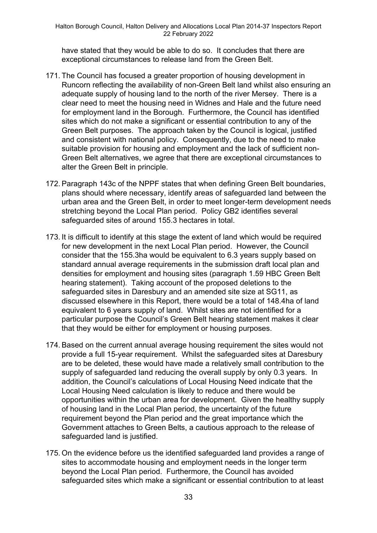have stated that they would be able to do so. It concludes that there are exceptional circumstances to release land from the Green Belt.

- 171. The Council has focused a greater proportion of housing development in Runcorn reflecting the availability of non-Green Belt land whilst also ensuring an adequate supply of housing land to the north of the river Mersey. There is a clear need to meet the housing need in Widnes and Hale and the future need for employment land in the Borough. Furthermore, the Council has identified sites which do not make a significant or essential contribution to any of the Green Belt purposes. The approach taken by the Council is logical, justified and consistent with national policy. Consequently, due to the need to make suitable provision for housing and employment and the lack of sufficient non-Green Belt alternatives, we agree that there are exceptional circumstances to alter the Green Belt in principle.
- 172. Paragraph 143c of the NPPF states that when defining Green Belt boundaries, plans should where necessary, identify areas of safeguarded land between the urban area and the Green Belt, in order to meet longer-term development needs stretching beyond the Local Plan period. Policy GB2 identifies several safeguarded sites of around 155.3 hectares in total.
- 173. It is difficult to identify at this stage the extent of land which would be required for new development in the next Local Plan period. However, the Council consider that the 155.3ha would be equivalent to 6.3 years supply based on standard annual average requirements in the submission draft local plan and densities for employment and housing sites (paragraph 1.59 HBC Green Belt hearing statement). Taking account of the proposed deletions to the safeguarded sites in Daresbury and an amended site size at SG11, as discussed elsewhere in this Report, there would be a total of 148.4ha of land equivalent to 6 years supply of land. Whilst sites are not identified for a particular purpose the Council's Green Belt hearing statement makes it clear that they would be either for employment or housing purposes.
- 174. Based on the current annual average housing requirement the sites would not provide a full 15-year requirement. Whilst the safeguarded sites at Daresbury are to be deleted, these would have made a relatively small contribution to the supply of safeguarded land reducing the overall supply by only 0.3 years. In addition, the Council's calculations of Local Housing Need indicate that the Local Housing Need calculation is likely to reduce and there would be opportunities within the urban area for development. Given the healthy supply of housing land in the Local Plan period, the uncertainty of the future requirement beyond the Plan period and the great importance which the Government attaches to Green Belts, a cautious approach to the release of safeguarded land is justified.
- 175. On the evidence before us the identified safeguarded land provides a range of sites to accommodate housing and employment needs in the longer term beyond the Local Plan period. Furthermore, the Council has avoided safeguarded sites which make a significant or essential contribution to at least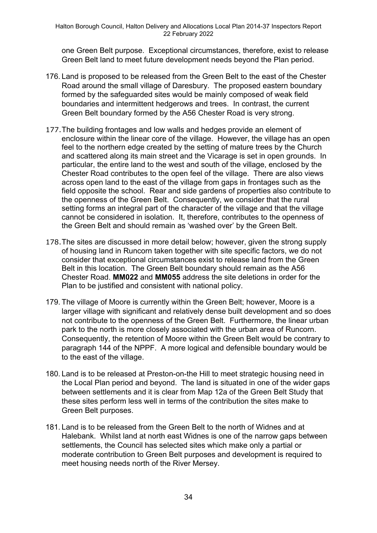one Green Belt purpose. Exceptional circumstances, therefore, exist to release Green Belt land to meet future development needs beyond the Plan period.

- 176. Land is proposed to be released from the Green Belt to the east of the Chester Road around the small village of Daresbury. The proposed eastern boundary formed by the safeguarded sites would be mainly composed of weak field boundaries and intermittent hedgerows and trees. In contrast, the current Green Belt boundary formed by the A56 Chester Road is very strong.
- 177.The building frontages and low walls and hedges provide an element of enclosure within the linear core of the village. However, the village has an open feel to the northern edge created by the setting of mature trees by the Church and scattered along its main street and the Vicarage is set in open grounds. In particular, the entire land to the west and south of the village, enclosed by the Chester Road contributes to the open feel of the village. There are also views across open land to the east of the village from gaps in frontages such as the field opposite the school. Rear and side gardens of properties also contribute to the openness of the Green Belt. Consequently, we consider that the rural setting forms an integral part of the character of the village and that the village cannot be considered in isolation. It, therefore, contributes to the openness of the Green Belt and should remain as 'washed over' by the Green Belt.
- 178.The sites are discussed in more detail below; however, given the strong supply of housing land in Runcorn taken together with site specific factors, we do not consider that exceptional circumstances exist to release land from the Green Belt in this location. The Green Belt boundary should remain as the A56 Chester Road. **MM022** and **MM055** address the site deletions in order for the Plan to be justified and consistent with national policy.
- 179. The village of Moore is currently within the Green Belt; however, Moore is a larger village with significant and relatively dense built development and so does not contribute to the openness of the Green Belt. Furthermore, the linear urban park to the north is more closely associated with the urban area of Runcorn. Consequently, the retention of Moore within the Green Belt would be contrary to paragraph 144 of the NPPF. A more logical and defensible boundary would be to the east of the village.
- 180. Land is to be released at Preston-on-the Hill to meet strategic housing need in the Local Plan period and beyond. The land is situated in one of the wider gaps between settlements and it is clear from Map 12a of the Green Belt Study that these sites perform less well in terms of the contribution the sites make to Green Belt purposes.
- 181. Land is to be released from the Green Belt to the north of Widnes and at Halebank. Whilst land at north east Widnes is one of the narrow gaps between settlements, the Council has selected sites which make only a partial or moderate contribution to Green Belt purposes and development is required to meet housing needs north of the River Mersey.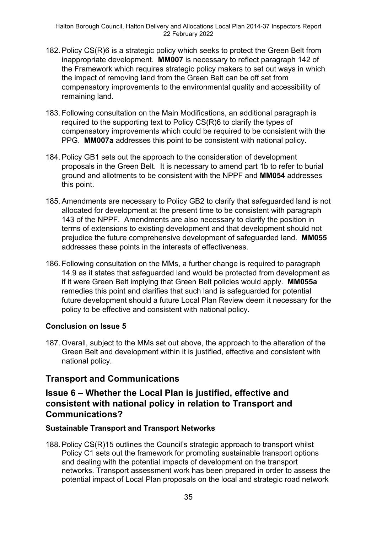- 182. Policy CS(R)6 is a strategic policy which seeks to protect the Green Belt from inappropriate development. **MM007** is necessary to reflect paragraph 142 of the Framework which requires strategic policy makers to set out ways in which the impact of removing land from the Green Belt can be off set from compensatory improvements to the environmental quality and accessibility of remaining land.
- 183. Following consultation on the Main Modifications, an additional paragraph is required to the supporting text to Policy CS(R)6 to clarify the types of compensatory improvements which could be required to be consistent with the PPG. **MM007a** addresses this point to be consistent with national policy.
- 184. Policy GB1 sets out the approach to the consideration of development proposals in the Green Belt. It is necessary to amend part 1b to refer to burial ground and allotments to be consistent with the NPPF and **MM054** addresses this point.
- 185. Amendments are necessary to Policy GB2 to clarify that safeguarded land is not allocated for development at the present time to be consistent with paragraph 143 of the NPPF. Amendments are also necessary to clarify the position in terms of extensions to existing development and that development should not prejudice the future comprehensive development of safeguarded land. **MM055** addresses these points in the interests of effectiveness.
- 186. Following consultation on the MMs, a further change is required to paragraph 14.9 as it states that safeguarded land would be protected from development as if it were Green Belt implying that Green Belt policies would apply. **MM055a** remedies this point and clarifies that such land is safeguarded for potential future development should a future Local Plan Review deem it necessary for the policy to be effective and consistent with national policy.

### **Conclusion on Issue 5**

187. Overall, subject to the MMs set out above, the approach to the alteration of the Green Belt and development within it is justified, effective and consistent with national policy.

## **Transport and Communications**

## **Issue 6 – Whether the Local Plan is justified, effective and consistent with national policy in relation to Transport and Communications?**

### **Sustainable Transport and Transport Networks**

188. Policy CS(R)15 outlines the Council's strategic approach to transport whilst Policy C1 sets out the framework for promoting sustainable transport options and dealing with the potential impacts of development on the transport networks. Transport assessment work has been prepared in order to assess the potential impact of Local Plan proposals on the local and strategic road network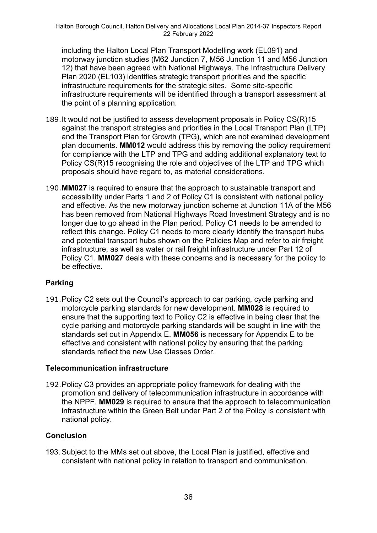including the Halton Local Plan Transport Modelling work (EL091) and motorway junction studies (M62 Junction 7, M56 Junction 11 and M56 Junction 12) that have been agreed with National Highways. The Infrastructure Delivery Plan 2020 (EL103) identifies strategic transport priorities and the specific infrastructure requirements for the strategic sites. Some site-specific infrastructure requirements will be identified through a transport assessment at the point of a planning application.

- 189.It would not be justified to assess development proposals in Policy CS(R)15 against the transport strategies and priorities in the Local Transport Plan (LTP) and the Transport Plan for Growth (TPG), which are not examined development plan documents. **MM012** would address this by removing the policy requirement for compliance with the LTP and TPG and adding additional explanatory text to Policy CS(R)15 recognising the role and objectives of the LTP and TPG which proposals should have regard to, as material considerations.
- 190.**MM027** is required to ensure that the approach to sustainable transport and accessibility under Parts 1 and 2 of Policy C1 is consistent with national policy and effective. As the new motorway junction scheme at Junction 11A of the M56 has been removed from National Highways Road Investment Strategy and is no longer due to go ahead in the Plan period, Policy C1 needs to be amended to reflect this change. Policy C1 needs to more clearly identify the transport hubs and potential transport hubs shown on the Policies Map and refer to air freight infrastructure, as well as water or rail freight infrastructure under Part 12 of Policy C1. **MM027** deals with these concerns and is necessary for the policy to be effective.

## **Parking**

191.Policy C2 sets out the Council's approach to car parking, cycle parking and motorcycle parking standards for new development. **MM028** is required to ensure that the supporting text to Policy C2 is effective in being clear that the cycle parking and motorcycle parking standards will be sought in line with the standards set out in Appendix E. **MM056** is necessary for Appendix E to be effective and consistent with national policy by ensuring that the parking standards reflect the new Use Classes Order.

### **Telecommunication infrastructure**

192.Policy C3 provides an appropriate policy framework for dealing with the promotion and delivery of telecommunication infrastructure in accordance with the NPPF. **MM029** is required to ensure that the approach to telecommunication infrastructure within the Green Belt under Part 2 of the Policy is consistent with national policy.

## **Conclusion**

193. Subject to the MMs set out above, the Local Plan is justified, effective and consistent with national policy in relation to transport and communication.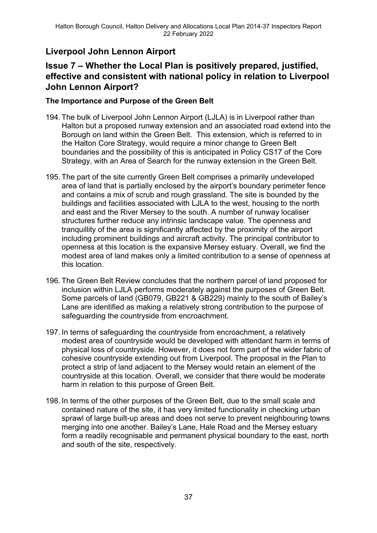# **Liverpool John Lennon Airport**

# **Issue 7 – Whether the Local Plan is positively prepared, justified, effective and consistent with national policy in relation to Liverpool John Lennon Airport?**

### **The Importance and Purpose of the Green Belt**

- 194. The bulk of Liverpool John Lennon Airport (LJLA) is in Liverpool rather than Halton but a proposed runway extension and an associated road extend into the Borough on land within the Green Belt. This extension, which is referred to in the Halton Core Strategy, would require a minor change to Green Belt boundaries and the possibility of this is anticipated in Policy CS17 of the Core Strategy, with an Area of Search for the runway extension in the Green Belt.
- 195. The part of the site currently Green Belt comprises a primarily undeveloped area of land that is partially enclosed by the airport's boundary perimeter fence and contains a mix of scrub and rough grassland. The site is bounded by the buildings and facilities associated with LJLA to the west, housing to the north and east and the River Mersey to the south. A number of runway localiser structures further reduce any intrinsic landscape value. The openness and tranquillity of the area is significantly affected by the proximity of the airport including prominent buildings and aircraft activity. The principal contributor to openness at this location is the expansive Mersey estuary. Overall, we find the modest area of land makes only a limited contribution to a sense of openness at this location.
- 196. The Green Belt Review concludes that the northern parcel of land proposed for inclusion within LJLA performs moderately against the purposes of Green Belt. Some parcels of land (GB079, GB221 & GB229) mainly to the south of Bailey's Lane are identified as making a relatively strong contribution to the purpose of safeguarding the countryside from encroachment.
- 197. In terms of safeguarding the countryside from encroachment, a relatively modest area of countryside would be developed with attendant harm in terms of physical loss of countryside. However, it does not form part of the wider fabric of cohesive countryside extending out from Liverpool. The proposal in the Plan to protect a strip of land adjacent to the Mersey would retain an element of the countryside at this location. Overall, we consider that there would be moderate harm in relation to this purpose of Green Belt.
- 198. In terms of the other purposes of the Green Belt, due to the small scale and contained nature of the site, it has very limited functionality in checking urban sprawl of large built-up areas and does not serve to prevent neighbouring towns merging into one another. Bailey's Lane, Hale Road and the Mersey estuary form a readily recognisable and permanent physical boundary to the east, north and south of the site, respectively.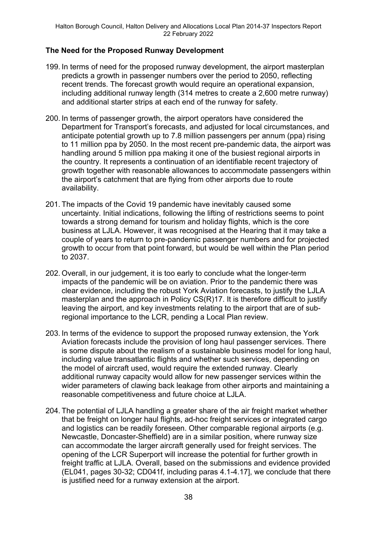## **The Need for the Proposed Runway Development**

- 199. In terms of need for the proposed runway development, the airport masterplan predicts a growth in passenger numbers over the period to 2050, reflecting recent trends. The forecast growth would require an operational expansion, including additional runway length (314 metres to create a 2,600 metre runway) and additional starter strips at each end of the runway for safety.
- 200. In terms of passenger growth, the airport operators have considered the Department for Transport's forecasts, and adjusted for local circumstances, and anticipate potential growth up to 7.8 million passengers per annum (ppa) rising to 11 million ppa by 2050. In the most recent pre-pandemic data, the airport was handling around 5 million ppa making it one of the busiest regional airports in the country. It represents a continuation of an identifiable recent trajectory of growth together with reasonable allowances to accommodate passengers within the airport's catchment that are flying from other airports due to route availability.
- 201. The impacts of the Covid 19 pandemic have inevitably caused some uncertainty. Initial indications, following the lifting of restrictions seems to point towards a strong demand for tourism and holiday flights, which is the core business at LJLA. However, it was recognised at the Hearing that it may take a couple of years to return to pre-pandemic passenger numbers and for projected growth to occur from that point forward, but would be well within the Plan period to 2037.
- 202. Overall, in our judgement, it is too early to conclude what the longer-term impacts of the pandemic will be on aviation. Prior to the pandemic there was clear evidence, including the robust York Aviation forecasts, to justify the LJLA masterplan and the approach in Policy CS(R)17. It is therefore difficult to justify leaving the airport, and key investments relating to the airport that are of subregional importance to the LCR, pending a Local Plan review.
- 203. In terms of the evidence to support the proposed runway extension, the York Aviation forecasts include the provision of long haul passenger services. There is some dispute about the realism of a sustainable business model for long haul, including value transatlantic flights and whether such services, depending on the model of aircraft used, would require the extended runway. Clearly additional runway capacity would allow for new passenger services within the wider parameters of clawing back leakage from other airports and maintaining a reasonable competitiveness and future choice at LJLA.
- 204. The potential of LJLA handling a greater share of the air freight market whether that be freight on longer haul flights, ad-hoc freight services or integrated cargo and logistics can be readily foreseen. Other comparable regional airports (e.g. Newcastle, Doncaster-Sheffield) are in a similar position, where runway size can accommodate the larger aircraft generally used for freight services. The opening of the LCR Superport will increase the potential for further growth in freight traffic at LJLA. Overall, based on the submissions and evidence provided (EL041, pages 30-32; CD041f, including paras 4.1-4.17], we conclude that there is justified need for a runway extension at the airport.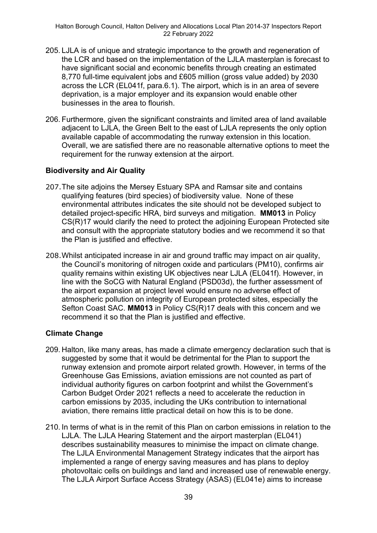- 205. LJLA is of unique and strategic importance to the growth and regeneration of the LCR and based on the implementation of the LJLA masterplan is forecast to have significant social and economic benefits through creating an estimated 8,770 full-time equivalent jobs and £605 million (gross value added) by 2030 across the LCR (EL041f, para.6.1). The airport, which is in an area of severe deprivation, is a major employer and its expansion would enable other businesses in the area to flourish.
- 206. Furthermore, given the significant constraints and limited area of land available adjacent to LJLA, the Green Belt to the east of LJLA represents the only option available capable of accommodating the runway extension in this location. Overall, we are satisfied there are no reasonable alternative options to meet the requirement for the runway extension at the airport.

## **Biodiversity and Air Quality**

- 207.The site adjoins the Mersey Estuary SPA and Ramsar site and contains qualifying features (bird species) of biodiversity value. None of these environmental attributes indicates the site should not be developed subject to detailed project-specific HRA, bird surveys and mitigation. **MM013** in Policy CS(R)17 would clarify the need to protect the adjoining European Protected site and consult with the appropriate statutory bodies and we recommend it so that the Plan is justified and effective.
- 208.Whilst anticipated increase in air and ground traffic may impact on air quality, the Council's monitoring of nitrogen oxide and particulars (PM10), confirms air quality remains within existing UK objectives near LJLA (EL041f). However, in line with the SoCG with Natural England (PSD03d), the further assessment of the airport expansion at project level would ensure no adverse effect of atmospheric pollution on integrity of European protected sites, especially the Sefton Coast SAC. **MM013** in Policy CS(R)17 deals with this concern and we recommend it so that the Plan is justified and effective.

#### **Climate Change**

- 209. Halton, like many areas, has made a climate emergency declaration such that is suggested by some that it would be detrimental for the Plan to support the runway extension and promote airport related growth. However, in terms of the Greenhouse Gas Emissions, aviation emissions are not counted as part of individual authority figures on carbon footprint and whilst the Government's Carbon Budget Order 2021 reflects a need to accelerate the reduction in carbon emissions by 2035, including the UKs contribution to international aviation, there remains little practical detail on how this is to be done.
- 210. In terms of what is in the remit of this Plan on carbon emissions in relation to the LJLA. The LJLA Hearing Statement and the airport masterplan (EL041) describes sustainability measures to minimise the impact on climate change. The LJLA Environmental Management Strategy indicates that the airport has implemented a range of energy saving measures and has plans to deploy photovoltaic cells on buildings and land and increased use of renewable energy. The LJLA Airport Surface Access Strategy (ASAS) (EL041e) aims to increase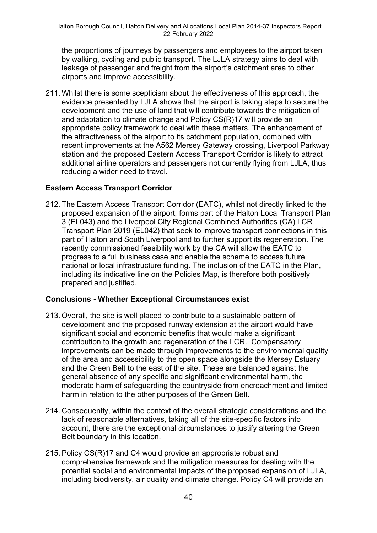the proportions of journeys by passengers and employees to the airport taken by walking, cycling and public transport. The LJLA strategy aims to deal with leakage of passenger and freight from the airport's catchment area to other airports and improve accessibility.

211. Whilst there is some scepticism about the effectiveness of this approach, the evidence presented by LJLA shows that the airport is taking steps to secure the development and the use of land that will contribute towards the mitigation of and adaptation to climate change and Policy CS(R)17 will provide an appropriate policy framework to deal with these matters. The enhancement of the attractiveness of the airport to its catchment population, combined with recent improvements at the A562 Mersey Gateway crossing, Liverpool Parkway station and the proposed Eastern Access Transport Corridor is likely to attract additional airline operators and passengers not currently flying from LJLA, thus reducing a wider need to travel.

## **Eastern Access Transport Corridor**

212. The Eastern Access Transport Corridor (EATC), whilst not directly linked to the proposed expansion of the airport, forms part of the Halton Local Transport Plan 3 (EL043) and the Liverpool City Regional Combined Authorities (CA) LCR Transport Plan 2019 (EL042) that seek to improve transport connections in this part of Halton and South Liverpool and to further support its regeneration. The recently commissioned feasibility work by the CA will allow the EATC to progress to a full business case and enable the scheme to access future national or local infrastructure funding. The inclusion of the EATC in the Plan, including its indicative line on the Policies Map, is therefore both positively prepared and justified.

## **Conclusions - Whether Exceptional Circumstances exist**

- 213. Overall, the site is well placed to contribute to a sustainable pattern of development and the proposed runway extension at the airport would have significant social and economic benefits that would make a significant contribution to the growth and regeneration of the LCR. Compensatory improvements can be made through improvements to the environmental quality of the area and accessibility to the open space alongside the Mersey Estuary and the Green Belt to the east of the site. These are balanced against the general absence of any specific and significant environmental harm, the moderate harm of safeguarding the countryside from encroachment and limited harm in relation to the other purposes of the Green Belt.
- 214. Consequently, within the context of the overall strategic considerations and the lack of reasonable alternatives, taking all of the site-specific factors into account, there are the exceptional circumstances to justify altering the Green Belt boundary in this location.
- 215. Policy CS(R)17 and C4 would provide an appropriate robust and comprehensive framework and the mitigation measures for dealing with the potential social and environmental impacts of the proposed expansion of LJLA, including biodiversity, air quality and climate change. Policy C4 will provide an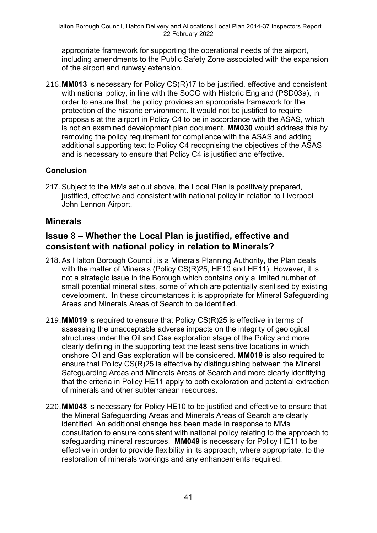appropriate framework for supporting the operational needs of the airport, including amendments to the Public Safety Zone associated with the expansion of the airport and runway extension.

216.**MM013** is necessary for Policy CS(R)17 to be justified, effective and consistent with national policy, in line with the SoCG with Historic England (PSD03a), in order to ensure that the policy provides an appropriate framework for the protection of the historic environment. It would not be justified to require proposals at the airport in Policy C4 to be in accordance with the ASAS, which is not an examined development plan document. **MM030** would address this by removing the policy requirement for compliance with the ASAS and adding additional supporting text to Policy C4 recognising the objectives of the ASAS and is necessary to ensure that Policy C4 is justified and effective.

## **Conclusion**

217. Subject to the MMs set out above, the Local Plan is positively prepared, justified, effective and consistent with national policy in relation to Liverpool John Lennon Airport.

## **Minerals**

## **Issue 8 – Whether the Local Plan is justified, effective and consistent with national policy in relation to Minerals?**

- 218. As Halton Borough Council, is a Minerals Planning Authority, the Plan deals with the matter of Minerals (Policy CS(R)25, HE10 and HE11). However, it is not a strategic issue in the Borough which contains only a limited number of small potential mineral sites, some of which are potentially sterilised by existing development. In these circumstances it is appropriate for Mineral Safeguarding Areas and Minerals Areas of Search to be identified.
- 219.**MM019** is required to ensure that Policy CS(R)25 is effective in terms of assessing the unacceptable adverse impacts on the integrity of geological structures under the Oil and Gas exploration stage of the Policy and more clearly defining in the supporting text the least sensitive locations in which onshore Oil and Gas exploration will be considered. **MM019** is also required to ensure that Policy CS(R)25 is effective by distinguishing between the Mineral Safeguarding Areas and Minerals Areas of Search and more clearly identifying that the criteria in Policy HE11 apply to both exploration and potential extraction of minerals and other subterranean resources.
- 220.**MM048** is necessary for Policy HE10 to be justified and effective to ensure that the Mineral Safeguarding Areas and Minerals Areas of Search are clearly identified. An additional change has been made in response to MMs consultation to ensure consistent with national policy relating to the approach to safeguarding mineral resources. **MM049** is necessary for Policy HE11 to be effective in order to provide flexibility in its approach, where appropriate, to the restoration of minerals workings and any enhancements required.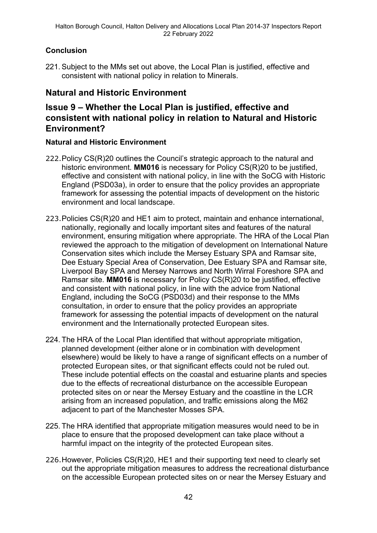## **Conclusion**

221. Subject to the MMs set out above, the Local Plan is justified, effective and consistent with national policy in relation to Minerals.

# **Natural and Historic Environment**

# **Issue 9 – Whether the Local Plan is justified, effective and consistent with national policy in relation to Natural and Historic Environment?**

## **Natural and Historic Environment**

- 222.Policy CS(R)20 outlines the Council's strategic approach to the natural and historic environment. **MM016** is necessary for Policy CS(R)20 to be justified, effective and consistent with national policy, in line with the SoCG with Historic England (PSD03a), in order to ensure that the policy provides an appropriate framework for assessing the potential impacts of development on the historic environment and local landscape.
- 223.Policies CS(R)20 and HE1 aim to protect, maintain and enhance international, nationally, regionally and locally important sites and features of the natural environment, ensuring mitigation where appropriate. The HRA of the Local Plan reviewed the approach to the mitigation of development on International Nature Conservation sites which include the Mersey Estuary SPA and Ramsar site, Dee Estuary Special Area of Conservation, Dee Estuary SPA and Ramsar site, Liverpool Bay SPA and Mersey Narrows and North Wirral Foreshore SPA and Ramsar site. **MM016** is necessary for Policy CS(R)20 to be justified, effective and consistent with national policy, in line with the advice from National England, including the SoCG (PSD03d) and their response to the MMs consultation, in order to ensure that the policy provides an appropriate framework for assessing the potential impacts of development on the natural environment and the Internationally protected European sites.
- 224. The HRA of the Local Plan identified that without appropriate mitigation, planned development (either alone or in combination with development elsewhere) would be likely to have a range of significant effects on a number of protected European sites, or that significant effects could not be ruled out. These include potential effects on the coastal and estuarine plants and species due to the effects of recreational disturbance on the accessible European protected sites on or near the Mersey Estuary and the coastline in the LCR arising from an increased population, and traffic emissions along the M62 adjacent to part of the Manchester Mosses SPA.
- 225. The HRA identified that appropriate mitigation measures would need to be in place to ensure that the proposed development can take place without a harmful impact on the integrity of the protected European sites.
- 226.However, Policies CS(R)20, HE1 and their supporting text need to clearly set out the appropriate mitigation measures to address the recreational disturbance on the accessible European protected sites on or near the Mersey Estuary and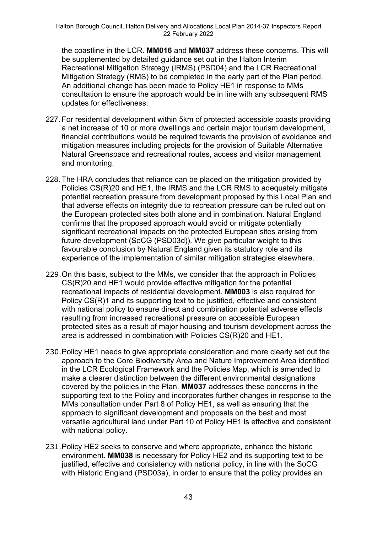the coastline in the LCR. **MM016** and **MM037** address these concerns. This will be supplemented by detailed guidance set out in the Halton Interim Recreational Mitigation Strategy (IRMS) (PSD04) and the LCR Recreational Mitigation Strategy (RMS) to be completed in the early part of the Plan period. An additional change has been made to Policy HE1 in response to MMs consultation to ensure the approach would be in line with any subsequent RMS updates for effectiveness.

- 227. For residential development within 5km of protected accessible coasts providing a net increase of 10 or more dwellings and certain major tourism development, financial contributions would be required towards the provision of avoidance and mitigation measures including projects for the provision of Suitable Alternative Natural Greenspace and recreational routes, access and visitor management and monitoring.
- 228. The HRA concludes that reliance can be placed on the mitigation provided by Policies CS(R)20 and HE1, the IRMS and the LCR RMS to adequately mitigate potential recreation pressure from development proposed by this Local Plan and that adverse effects on integrity due to recreation pressure can be ruled out on the European protected sites both alone and in combination. Natural England confirms that the proposed approach would avoid or mitigate potentially significant recreational impacts on the protected European sites arising from future development (SoCG (PSD03d)). We give particular weight to this favourable conclusion by Natural England given its statutory role and its experience of the implementation of similar mitigation strategies elsewhere.
- 229.On this basis, subject to the MMs, we consider that the approach in Policies CS(R)20 and HE1 would provide effective mitigation for the potential recreational impacts of residential development. **MM003** is also required for Policy CS(R)1 and its supporting text to be justified, effective and consistent with national policy to ensure direct and combination potential adverse effects resulting from increased recreational pressure on accessible European protected sites as a result of major housing and tourism development across the area is addressed in combination with Policies CS(R)20 and HE1.
- 230.Policy HE1 needs to give appropriate consideration and more clearly set out the approach to the Core Biodiversity Area and Nature Improvement Area identified in the LCR Ecological Framework and the Policies Map, which is amended to make a clearer distinction between the different environmental designations covered by the policies in the Plan. **MM037** addresses these concerns in the supporting text to the Policy and incorporates further changes in response to the MMs consultation under Part 8 of Policy HE1, as well as ensuring that the approach to significant development and proposals on the best and most versatile agricultural land under Part 10 of Policy HE1 is effective and consistent with national policy.
- 231.Policy HE2 seeks to conserve and where appropriate, enhance the historic environment. **MM038** is necessary for Policy HE2 and its supporting text to be justified, effective and consistency with national policy, in line with the SoCG with Historic England (PSD03a), in order to ensure that the policy provides an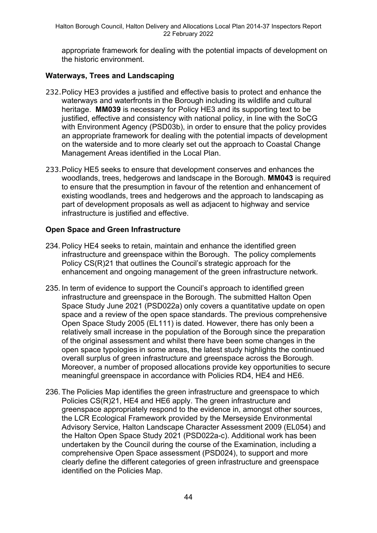appropriate framework for dealing with the potential impacts of development on the historic environment.

### **Waterways, Trees and Landscaping**

- 232.Policy HE3 provides a justified and effective basis to protect and enhance the waterways and waterfronts in the Borough including its wildlife and cultural heritage. **MM039** is necessary for Policy HE3 and its supporting text to be justified, effective and consistency with national policy, in line with the SoCG with Environment Agency (PSD03b), in order to ensure that the policy provides an appropriate framework for dealing with the potential impacts of development on the waterside and to more clearly set out the approach to Coastal Change Management Areas identified in the Local Plan.
- 233.Policy HE5 seeks to ensure that development conserves and enhances the woodlands, trees, hedgerows and landscape in the Borough. **MM043** is required to ensure that the presumption in favour of the retention and enhancement of existing woodlands, trees and hedgerows and the approach to landscaping as part of development proposals as well as adjacent to highway and service infrastructure is justified and effective.

### **Open Space and Green Infrastructure**

- 234. Policy HE4 seeks to retain, maintain and enhance the identified green infrastructure and greenspace within the Borough. The policy complements Policy CS(R)21 that outlines the Council's strategic approach for the enhancement and ongoing management of the green infrastructure network.
- 235. In term of evidence to support the Council's approach to identified green infrastructure and greenspace in the Borough. The submitted Halton Open Space Study June 2021 (PSD022a) only covers a quantitative update on open space and a review of the open space standards. The previous comprehensive Open Space Study 2005 (EL111) is dated. However, there has only been a relatively small increase in the population of the Borough since the preparation of the original assessment and whilst there have been some changes in the open space typologies in some areas, the latest study highlights the continued overall surplus of green infrastructure and greenspace across the Borough. Moreover, a number of proposed allocations provide key opportunities to secure meaningful greenspace in accordance with Policies RD4, HE4 and HE6.
- 236. The Policies Map identifies the green infrastructure and greenspace to which Policies CS(R)21, HE4 and HE6 apply. The green infrastructure and greenspace appropriately respond to the evidence in, amongst other sources, the LCR Ecological Framework provided by the Merseyside Environmental Advisory Service, Halton Landscape Character Assessment 2009 (EL054) and the Halton Open Space Study 2021 (PSD022a-c). Additional work has been undertaken by the Council during the course of the Examination, including a comprehensive Open Space assessment (PSD024), to support and more clearly define the different categories of green infrastructure and greenspace identified on the Policies Map.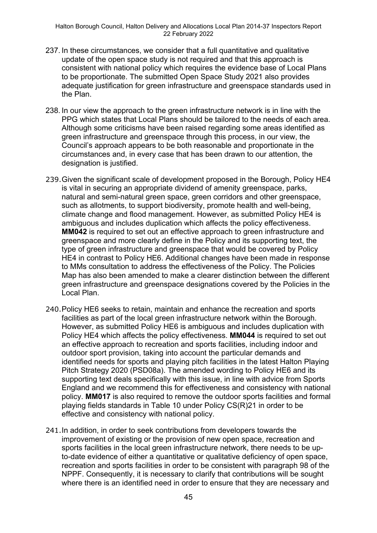- 237. In these circumstances, we consider that a full quantitative and qualitative update of the open space study is not required and that this approach is consistent with national policy which requires the evidence base of Local Plans to be proportionate. The submitted Open Space Study 2021 also provides adequate justification for green infrastructure and greenspace standards used in the Plan.
- 238. In our view the approach to the green infrastructure network is in line with the PPG which states that Local Plans should be tailored to the needs of each area. Although some criticisms have been raised regarding some areas identified as green infrastructure and greenspace through this process, in our view, the Council's approach appears to be both reasonable and proportionate in the circumstances and, in every case that has been drawn to our attention, the designation is justified.
- 239.Given the significant scale of development proposed in the Borough, Policy HE4 is vital in securing an appropriate dividend of amenity greenspace, parks, natural and semi-natural green space, green corridors and other greenspace, such as allotments, to support biodiversity, promote health and well-being, climate change and flood management. However, as submitted Policy HE4 is ambiguous and includes duplication which affects the policy effectiveness. **MM042** is required to set out an effective approach to green infrastructure and greenspace and more clearly define in the Policy and its supporting text, the type of green infrastructure and greenspace that would be covered by Policy HE4 in contrast to Policy HE6. Additional changes have been made in response to MMs consultation to address the effectiveness of the Policy. The Policies Map has also been amended to make a clearer distinction between the different green infrastructure and greenspace designations covered by the Policies in the Local Plan.
- 240.Policy HE6 seeks to retain, maintain and enhance the recreation and sports facilities as part of the local green infrastructure network within the Borough. However, as submitted Policy HE6 is ambiguous and includes duplication with Policy HE4 which affects the policy effectiveness. **MM044** is required to set out an effective approach to recreation and sports facilities, including indoor and outdoor sport provision, taking into account the particular demands and identified needs for sports and playing pitch facilities in the latest Halton Playing Pitch Strategy 2020 (PSD08a). The amended wording to Policy HE6 and its supporting text deals specifically with this issue, in line with advice from Sports England and we recommend this for effectiveness and consistency with national policy. **MM017** is also required to remove the outdoor sports facilities and formal playing fields standards in Table 10 under Policy CS(R)21 in order to be effective and consistency with national policy.
- 241.In addition, in order to seek contributions from developers towards the improvement of existing or the provision of new open space, recreation and sports facilities in the local green infrastructure network, there needs to be upto-date evidence of either a quantitative or qualitative deficiency of open space, recreation and sports facilities in order to be consistent with paragraph 98 of the NPPF. Consequently, it is necessary to clarify that contributions will be sought where there is an identified need in order to ensure that they are necessary and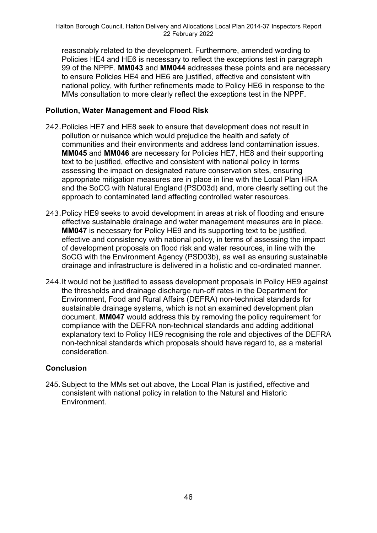reasonably related to the development. Furthermore, amended wording to Policies HE4 and HE6 is necessary to reflect the exceptions test in paragraph 99 of the NPPF. **MM043** and **MM044** addresses these points and are necessary to ensure Policies HE4 and HE6 are justified, effective and consistent with national policy, with further refinements made to Policy HE6 in response to the MMs consultation to more clearly reflect the exceptions test in the NPPF.

## **Pollution, Water Management and Flood Risk**

- 242.Policies HE7 and HE8 seek to ensure that development does not result in pollution or nuisance which would prejudice the health and safety of communities and their environments and address land contamination issues. **MM045** and **MM046** are necessary for Policies HE7, HE8 and their supporting text to be justified, effective and consistent with national policy in terms assessing the impact on designated nature conservation sites, ensuring appropriate mitigation measures are in place in line with the Local Plan HRA and the SoCG with Natural England (PSD03d) and, more clearly setting out the approach to contaminated land affecting controlled water resources.
- 243.Policy HE9 seeks to avoid development in areas at risk of flooding and ensure effective sustainable drainage and water management measures are in place. **MM047** is necessary for Policy HE9 and its supporting text to be justified, effective and consistency with national policy, in terms of assessing the impact of development proposals on flood risk and water resources, in line with the SoCG with the Environment Agency (PSD03b), as well as ensuring sustainable drainage and infrastructure is delivered in a holistic and co-ordinated manner.
- 244.It would not be justified to assess development proposals in Policy HE9 against the thresholds and drainage discharge run-off rates in the Department for Environment, Food and Rural Affairs (DEFRA) non-technical standards for sustainable drainage systems, which is not an examined development plan document. **MM047** would address this by removing the policy requirement for compliance with the DEFRA non-technical standards and adding additional explanatory text to Policy HE9 recognising the role and objectives of the DEFRA non-technical standards which proposals should have regard to, as a material consideration.

## **Conclusion**

245. Subject to the MMs set out above, the Local Plan is justified, effective and consistent with national policy in relation to the Natural and Historic Environment.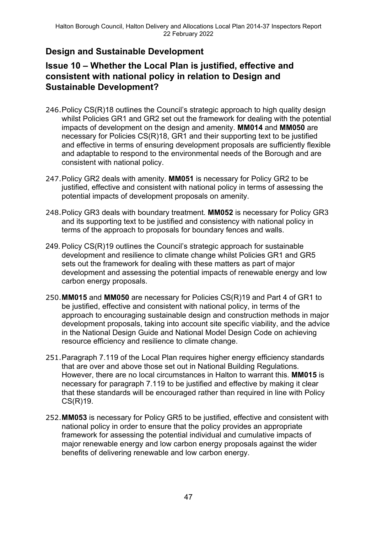# **Design and Sustainable Development**

# **Issue 10 – Whether the Local Plan is justified, effective and consistent with national policy in relation to Design and Sustainable Development?**

- 246.Policy CS(R)18 outlines the Council's strategic approach to high quality design whilst Policies GR1 and GR2 set out the framework for dealing with the potential impacts of development on the design and amenity. **MM014** and **MM050** are necessary for Policies CS(R)18, GR1 and their supporting text to be justified and effective in terms of ensuring development proposals are sufficiently flexible and adaptable to respond to the environmental needs of the Borough and are consistent with national policy.
- 247.Policy GR2 deals with amenity. **MM051** is necessary for Policy GR2 to be justified, effective and consistent with national policy in terms of assessing the potential impacts of development proposals on amenity.
- 248.Policy GR3 deals with boundary treatment. **MM052** is necessary for Policy GR3 and its supporting text to be justified and consistency with national policy in terms of the approach to proposals for boundary fences and walls.
- 249. Policy CS(R)19 outlines the Council's strategic approach for sustainable development and resilience to climate change whilst Policies GR1 and GR5 sets out the framework for dealing with these matters as part of major development and assessing the potential impacts of renewable energy and low carbon energy proposals.
- 250.**MM015** and **MM050** are necessary for Policies CS(R)19 and Part 4 of GR1 to be justified, effective and consistent with national policy, in terms of the approach to encouraging sustainable design and construction methods in major development proposals, taking into account site specific viability, and the advice in the National Design Guide and National Model Design Code on achieving resource efficiency and resilience to climate change.
- 251.Paragraph 7.119 of the Local Plan requires higher energy efficiency standards that are over and above those set out in National Building Regulations. However, there are no local circumstances in Halton to warrant this. **MM015** is necessary for paragraph 7.119 to be justified and effective by making it clear that these standards will be encouraged rather than required in line with Policy CS(R)19.
- 252.**MM053** is necessary for Policy GR5 to be justified, effective and consistent with national policy in order to ensure that the policy provides an appropriate framework for assessing the potential individual and cumulative impacts of major renewable energy and low carbon energy proposals against the wider benefits of delivering renewable and low carbon energy.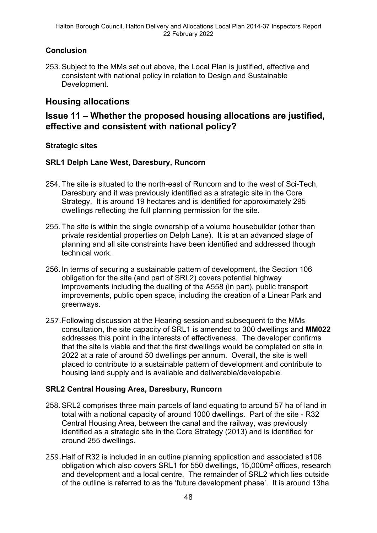## **Conclusion**

253. Subject to the MMs set out above, the Local Plan is justified, effective and consistent with national policy in relation to Design and Sustainable Development.

## **Housing allocations**

## **Issue 11 – Whether the proposed housing allocations are justified, effective and consistent with national policy?**

## **Strategic sites**

### **SRL1 Delph Lane West, Daresbury, Runcorn**

- 254. The site is situated to the north-east of Runcorn and to the west of Sci-Tech, Daresbury and it was previously identified as a strategic site in the Core Strategy. It is around 19 hectares and is identified for approximately 295 dwellings reflecting the full planning permission for the site.
- 255. The site is within the single ownership of a volume housebuilder (other than private residential properties on Delph Lane). It is at an advanced stage of planning and all site constraints have been identified and addressed though technical work.
- 256. In terms of securing a sustainable pattern of development, the Section 106 obligation for the site (and part of SRL2) covers potential highway improvements including the dualling of the A558 (in part), public transport improvements, public open space, including the creation of a Linear Park and greenways.
- 257.Following discussion at the Hearing session and subsequent to the MMs consultation, the site capacity of SRL1 is amended to 300 dwellings and **MM022** addresses this point in the interests of effectiveness. The developer confirms that the site is viable and that the first dwellings would be completed on site in 2022 at a rate of around 50 dwellings per annum. Overall, the site is well placed to contribute to a sustainable pattern of development and contribute to housing land supply and is available and deliverable/developable.

## **SRL2 Central Housing Area, Daresbury, Runcorn**

- 258. SRL2 comprises three main parcels of land equating to around 57 ha of land in total with a notional capacity of around 1000 dwellings. Part of the site - R32 Central Housing Area, between the canal and the railway, was previously identified as a strategic site in the Core Strategy (2013) and is identified for around 255 dwellings.
- 259.Half of R32 is included in an outline planning application and associated s106 obligation which also covers SRL1 for 550 dwellings, 15,000m<sup>2</sup> offices, research and development and a local centre. The remainder of SRL2 which lies outside of the outline is referred to as the 'future development phase'. It is around 13ha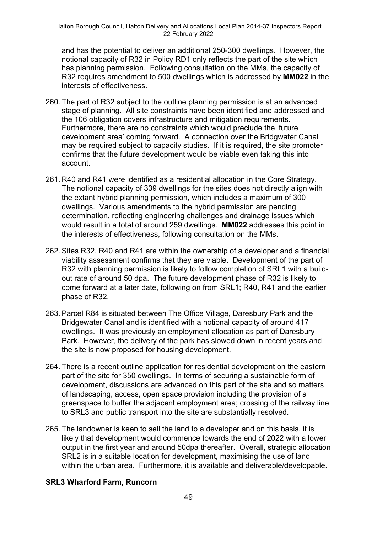and has the potential to deliver an additional 250-300 dwellings. However, the notional capacity of R32 in Policy RD1 only reflects the part of the site which has planning permission. Following consultation on the MMs, the capacity of R32 requires amendment to 500 dwellings which is addressed by **MM022** in the interests of effectiveness.

- 260. The part of R32 subject to the outline planning permission is at an advanced stage of planning. All site constraints have been identified and addressed and the 106 obligation covers infrastructure and mitigation requirements. Furthermore, there are no constraints which would preclude the 'future development area' coming forward. A connection over the Bridgwater Canal may be required subject to capacity studies. If it is required, the site promoter confirms that the future development would be viable even taking this into account.
- 261. R40 and R41 were identified as a residential allocation in the Core Strategy. The notional capacity of 339 dwellings for the sites does not directly align with the extant hybrid planning permission, which includes a maximum of 300 dwellings. Various amendments to the hybrid permission are pending determination, reflecting engineering challenges and drainage issues which would result in a total of around 259 dwellings. **MM022** addresses this point in the interests of effectiveness, following consultation on the MMs.
- 262. Sites R32, R40 and R41 are within the ownership of a developer and a financial viability assessment confirms that they are viable. Development of the part of R32 with planning permission is likely to follow completion of SRL1 with a buildout rate of around 50 dpa. The future development phase of R32 is likely to come forward at a later date, following on from SRL1; R40, R41 and the earlier phase of R32.
- 263. Parcel R84 is situated between The Office Village, Daresbury Park and the Bridgewater Canal and is identified with a notional capacity of around 417 dwellings. It was previously an employment allocation as part of Daresbury Park. However, the delivery of the park has slowed down in recent years and the site is now proposed for housing development.
- 264. There is a recent outline application for residential development on the eastern part of the site for 350 dwellings. In terms of securing a sustainable form of development, discussions are advanced on this part of the site and so matters of landscaping, access, open space provision including the provision of a greenspace to buffer the adjacent employment area; crossing of the railway line to SRL3 and public transport into the site are substantially resolved.
- 265. The landowner is keen to sell the land to a developer and on this basis, it is likely that development would commence towards the end of 2022 with a lower output in the first year and around 50dpa thereafter. Overall, strategic allocation SRL2 is in a suitable location for development, maximising the use of land within the urban area. Furthermore, it is available and deliverable/developable.

## **SRL3 Wharford Farm, Runcorn**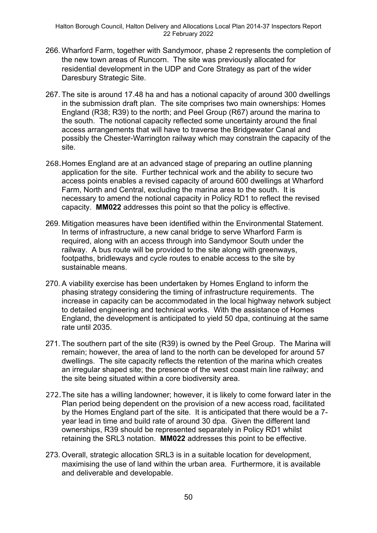- 266. Wharford Farm, together with Sandymoor, phase 2 represents the completion of the new town areas of Runcorn. The site was previously allocated for residential development in the UDP and Core Strategy as part of the wider Daresbury Strategic Site.
- 267. The site is around 17.48 ha and has a notional capacity of around 300 dwellings in the submission draft plan. The site comprises two main ownerships: Homes England (R38; R39) to the north; and Peel Group (R67) around the marina to the south. The notional capacity reflected some uncertainty around the final access arrangements that will have to traverse the Bridgewater Canal and possibly the Chester-Warrington railway which may constrain the capacity of the site.
- 268.Homes England are at an advanced stage of preparing an outline planning application for the site. Further technical work and the ability to secure two access points enables a revised capacity of around 600 dwellings at Wharford Farm, North and Central, excluding the marina area to the south. It is necessary to amend the notional capacity in Policy RD1 to reflect the revised capacity. **MM022** addresses this point so that the policy is effective.
- 269. Mitigation measures have been identified within the Environmental Statement. In terms of infrastructure, a new canal bridge to serve Wharford Farm is required, along with an access through into Sandymoor South under the railway. A bus route will be provided to the site along with greenways, footpaths, bridleways and cycle routes to enable access to the site by sustainable means.
- 270. A viability exercise has been undertaken by Homes England to inform the phasing strategy considering the timing of infrastructure requirements. The increase in capacity can be accommodated in the local highway network subject to detailed engineering and technical works. With the assistance of Homes England, the development is anticipated to yield 50 dpa, continuing at the same rate until 2035.
- 271. The southern part of the site (R39) is owned by the Peel Group. The Marina will remain; however, the area of land to the north can be developed for around 57 dwellings. The site capacity reflects the retention of the marina which creates an irregular shaped site; the presence of the west coast main line railway; and the site being situated within a core biodiversity area.
- 272.The site has a willing landowner; however, it is likely to come forward later in the Plan period being dependent on the provision of a new access road, facilitated by the Homes England part of the site. It is anticipated that there would be a 7 year lead in time and build rate of around 30 dpa. Given the different land ownerships, R39 should be represented separately in Policy RD1 whilst retaining the SRL3 notation. **MM022** addresses this point to be effective.
- 273. Overall, strategic allocation SRL3 is in a suitable location for development, maximising the use of land within the urban area. Furthermore, it is available and deliverable and developable.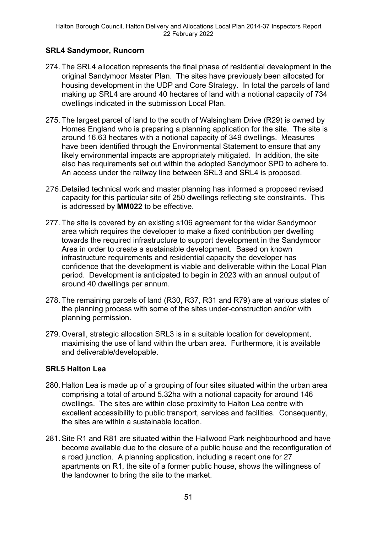## **SRL4 Sandymoor, Runcorn**

- 274. The SRL4 allocation represents the final phase of residential development in the original Sandymoor Master Plan. The sites have previously been allocated for housing development in the UDP and Core Strategy. In total the parcels of land making up SRL4 are around 40 hectares of land with a notional capacity of 734 dwellings indicated in the submission Local Plan.
- 275. The largest parcel of land to the south of Walsingham Drive (R29) is owned by Homes England who is preparing a planning application for the site. The site is around 16.63 hectares with a notional capacity of 349 dwellings. Measures have been identified through the Environmental Statement to ensure that any likely environmental impacts are appropriately mitigated. In addition, the site also has requirements set out within the adopted Sandymoor SPD to adhere to. An access under the railway line between SRL3 and SRL4 is proposed.
- 276.Detailed technical work and master planning has informed a proposed revised capacity for this particular site of 250 dwellings reflecting site constraints. This is addressed by **MM022** to be effective.
- 277. The site is covered by an existing s106 agreement for the wider Sandymoor area which requires the developer to make a fixed contribution per dwelling towards the required infrastructure to support development in the Sandymoor Area in order to create a sustainable development. Based on known infrastructure requirements and residential capacity the developer has confidence that the development is viable and deliverable within the Local Plan period. Development is anticipated to begin in 2023 with an annual output of around 40 dwellings per annum.
- 278. The remaining parcels of land (R30, R37, R31 and R79) are at various states of the planning process with some of the sites under-construction and/or with planning permission.
- 279. Overall, strategic allocation SRL3 is in a suitable location for development, maximising the use of land within the urban area. Furthermore, it is available and deliverable/developable.

## **SRL5 Halton Lea**

- 280. Halton Lea is made up of a grouping of four sites situated within the urban area comprising a total of around 5.32ha with a notional capacity for around 146 dwellings. The sites are within close proximity to Halton Lea centre with excellent accessibility to public transport, services and facilities. Consequently, the sites are within a sustainable location.
- 281. Site R1 and R81 are situated within the Hallwood Park neighbourhood and have become available due to the closure of a public house and the reconfiguration of a road junction. A planning application, including a recent one for 27 apartments on R1, the site of a former public house, shows the willingness of the landowner to bring the site to the market.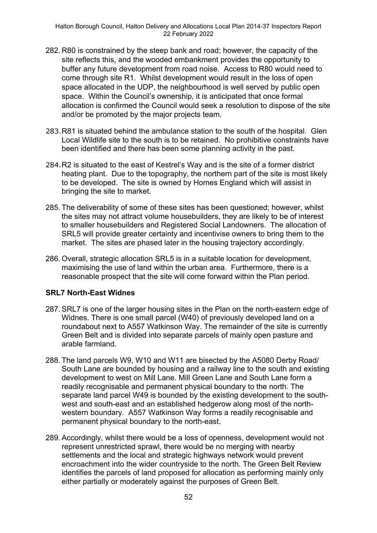- 282. R80 is constrained by the steep bank and road; however, the capacity of the site reflects this, and the wooded embankment provides the opportunity to buffer any future development from road noise. Access to R80 would need to come through site R1. Whilst development would result in the loss of open space allocated in the UDP, the neighbourhood is well served by public open space. Within the Council's ownership, it is anticipated that once formal allocation is confirmed the Council would seek a resolution to dispose of the site and/or be promoted by the major projects team.
- 283.R81 is situated behind the ambulance station to the south of the hospital. Glen Local Wildlife site to the south is to be retained. No prohibitive constraints have been identified and there has been some planning activity in the past.
- 284.R2 is situated to the east of Kestrel's Way and is the site of a former district heating plant. Due to the topography, the northern part of the site is most likely to be developed. The site is owned by Homes England which will assist in bringing the site to market.
- 285. The deliverability of some of these sites has been questioned; however, whilst the sites may not attract volume housebuilders, they are likely to be of interest to smaller housebuilders and Registered Social Landowners. The allocation of SRL5 will provide greater certainty and incentivise owners to bring them to the market. The sites are phased later in the housing trajectory accordingly.
- 286. Overall, strategic allocation SRL5 is in a suitable location for development, maximising the use of land within the urban area. Furthermore, there is a reasonable prospect that the site will come forward within the Plan period.

#### **SRL7 North-East Widnes**

- 287. SRL7 is one of the larger housing sites in the Plan on the north-eastern edge of Widnes. There is one small parcel (W40) of previously developed land on a roundabout next to A557 Watkinson Way. The remainder of the site is currently Green Belt and is divided into separate parcels of mainly open pasture and arable farmland.
- 288. The land parcels W9, W10 and W11 are bisected by the A5080 Derby Road/ South Lane are bounded by housing and a railway line to the south and existing development to west on Mill Lane. Mill Green Lane and South Lane form a readily recognisable and permanent physical boundary to the north. The separate land parcel W49 is bounded by the existing development to the southwest and south-east and an established hedgerow along most of the northwestern boundary. A557 Watkinson Way forms a readily recognisable and permanent physical boundary to the north-east.
- 289. Accordingly, whilst there would be a loss of openness, development would not represent unrestricted sprawl, there would be no merging with nearby settlements and the local and strategic highways network would prevent encroachment into the wider countryside to the north. The Green Belt Review identifies the parcels of land proposed for allocation as performing mainly only either partially or moderately against the purposes of Green Belt.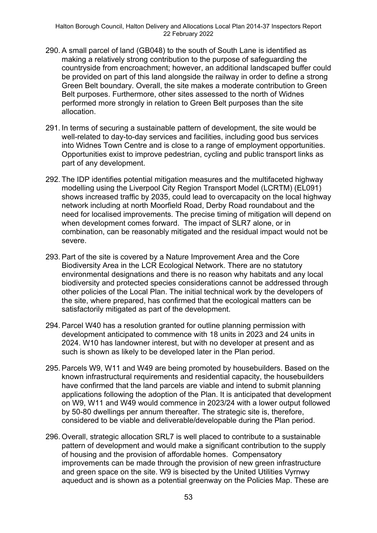- 290. A small parcel of land (GB048) to the south of South Lane is identified as making a relatively strong contribution to the purpose of safeguarding the countryside from encroachment; however, an additional landscaped buffer could be provided on part of this land alongside the railway in order to define a strong Green Belt boundary. Overall, the site makes a moderate contribution to Green Belt purposes. Furthermore, other sites assessed to the north of Widnes performed more strongly in relation to Green Belt purposes than the site allocation.
- 291. In terms of securing a sustainable pattern of development, the site would be well-related to day-to-day services and facilities, including good bus services into Widnes Town Centre and is close to a range of employment opportunities. Opportunities exist to improve pedestrian, cycling and public transport links as part of any development.
- 292. The IDP identifies potential mitigation measures and the multifaceted highway modelling using the Liverpool City Region Transport Model (LCRTM) (EL091) shows increased traffic by 2035, could lead to overcapacity on the local highway network including at north Moorfield Road, Derby Road roundabout and the need for localised improvements. The precise timing of mitigation will depend on when development comes forward. The impact of SLR7 alone, or in combination, can be reasonably mitigated and the residual impact would not be severe.
- 293. Part of the site is covered by a Nature Improvement Area and the Core Biodiversity Area in the LCR Ecological Network. There are no statutory environmental designations and there is no reason why habitats and any local biodiversity and protected species considerations cannot be addressed through other policies of the Local Plan. The initial technical work by the developers of the site, where prepared, has confirmed that the ecological matters can be satisfactorily mitigated as part of the development.
- 294. Parcel W40 has a resolution granted for outline planning permission with development anticipated to commence with 18 units in 2023 and 24 units in 2024. W10 has landowner interest, but with no developer at present and as such is shown as likely to be developed later in the Plan period.
- 295. Parcels W9, W11 and W49 are being promoted by housebuilders. Based on the known infrastructural requirements and residential capacity, the housebuilders have confirmed that the land parcels are viable and intend to submit planning applications following the adoption of the Plan. It is anticipated that development on W9, W11 and W49 would commence in 2023/24 with a lower output followed by 50-80 dwellings per annum thereafter. The strategic site is, therefore, considered to be viable and deliverable/developable during the Plan period.
- 296. Overall, strategic allocation SRL7 is well placed to contribute to a sustainable pattern of development and would make a significant contribution to the supply of housing and the provision of affordable homes. Compensatory improvements can be made through the provision of new green infrastructure and green space on the site. W9 is bisected by the United Utilities Vyrnwy aqueduct and is shown as a potential greenway on the Policies Map. These are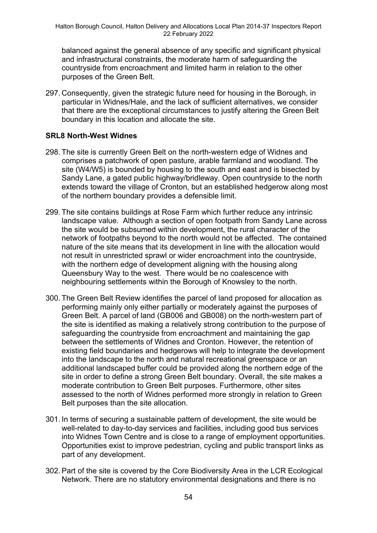balanced against the general absence of any specific and significant physical and infrastructural constraints, the moderate harm of safeguarding the countryside from encroachment and limited harm in relation to the other purposes of the Green Belt.

297. Consequently, given the strategic future need for housing in the Borough, in particular in Widnes/Hale, and the lack of sufficient alternatives, we consider that there are the exceptional circumstances to justify altering the Green Belt boundary in this location and allocate the site.

## **SRL8 North-West Widnes**

- 298. The site is currently Green Belt on the north-western edge of Widnes and comprises a patchwork of open pasture, arable farmland and woodland. The site (W4/W5) is bounded by housing to the south and east and is bisected by Sandy Lane, a gated public highway/bridleway. Open countryside to the north extends toward the village of Cronton, but an established hedgerow along most of the northern boundary provides a defensible limit.
- 299. The site contains buildings at Rose Farm which further reduce any intrinsic landscape value. Although a section of open footpath from Sandy Lane across the site would be subsumed within development, the rural character of the network of footpaths beyond to the north would not be affected. The contained nature of the site means that its development in line with the allocation would not result in unrestricted sprawl or wider encroachment into the countryside, with the northern edge of development aligning with the housing along Queensbury Way to the west. There would be no coalescence with neighbouring settlements within the Borough of Knowsley to the north.
- 300. The Green Belt Review identifies the parcel of land proposed for allocation as performing mainly only either partially or moderately against the purposes of Green Belt. A parcel of land (GB006 and GB008) on the north-western part of the site is identified as making a relatively strong contribution to the purpose of safeguarding the countryside from encroachment and maintaining the gap between the settlements of Widnes and Cronton. However, the retention of existing field boundaries and hedgerows will help to integrate the development into the landscape to the north and natural recreational greenspace or an additional landscaped buffer could be provided along the northern edge of the site in order to define a strong Green Belt boundary. Overall, the site makes a moderate contribution to Green Belt purposes. Furthermore, other sites assessed to the north of Widnes performed more strongly in relation to Green Belt purposes than the site allocation.
- 301. In terms of securing a sustainable pattern of development, the site would be well-related to day-to-day services and facilities, including good bus services into Widnes Town Centre and is close to a range of employment opportunities. Opportunities exist to improve pedestrian, cycling and public transport links as part of any development.
- 302. Part of the site is covered by the Core Biodiversity Area in the LCR Ecological Network. There are no statutory environmental designations and there is no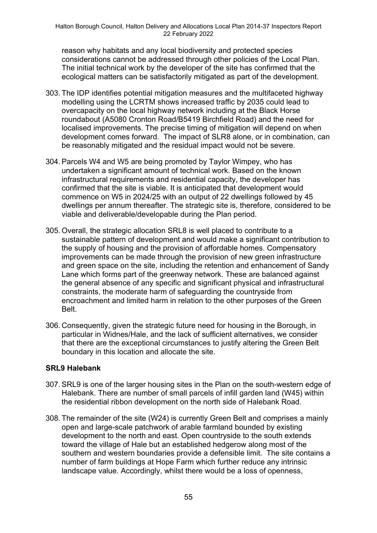reason why habitats and any local biodiversity and protected species considerations cannot be addressed through other policies of the Local Plan. The initial technical work by the developer of the site has confirmed that the ecological matters can be satisfactorily mitigated as part of the development.

- 303. The IDP identifies potential mitigation measures and the multifaceted highway modelling using the LCRTM shows increased traffic by 2035 could lead to overcapacity on the local highway network including at the Black Horse roundabout (A5080 Cronton Road/B5419 Birchfield Road) and the need for localised improvements. The precise timing of mitigation will depend on when development comes forward. The impact of SLR8 alone, or in combination, can be reasonably mitigated and the residual impact would not be severe.
- 304. Parcels W4 and W5 are being promoted by Taylor Wimpey, who has undertaken a significant amount of technical work. Based on the known infrastructural requirements and residential capacity, the developer has confirmed that the site is viable. It is anticipated that development would commence on W5 in 2024/25 with an output of 22 dwellings followed by 45 dwellings per annum thereafter. The strategic site is, therefore, considered to be viable and deliverable/developable during the Plan period.
- 305. Overall, the strategic allocation SRL8 is well placed to contribute to a sustainable pattern of development and would make a significant contribution to the supply of housing and the provision of affordable homes. Compensatory improvements can be made through the provision of new green infrastructure and green space on the site, including the retention and enhancement of Sandy Lane which forms part of the greenway network. These are balanced against the general absence of any specific and significant physical and infrastructural constraints, the moderate harm of safeguarding the countryside from encroachment and limited harm in relation to the other purposes of the Green Belt.
- 306. Consequently, given the strategic future need for housing in the Borough, in particular in Widnes/Hale, and the lack of sufficient alternatives, we consider that there are the exceptional circumstances to justify altering the Green Belt boundary in this location and allocate the site.

#### **SRL9 Halebank**

- 307. SRL9 is one of the larger housing sites in the Plan on the south-western edge of Halebank. There are number of small parcels of infill garden land (W45) within the residential ribbon development on the north side of Halebank Road.
- 308. The remainder of the site (W24) is currently Green Belt and comprises a mainly open and large-scale patchwork of arable farmland bounded by existing development to the north and east. Open countryside to the south extends toward the village of Hale but an established hedgerow along most of the southern and western boundaries provide a defensible limit. The site contains a number of farm buildings at Hope Farm which further reduce any intrinsic landscape value. Accordingly, whilst there would be a loss of openness,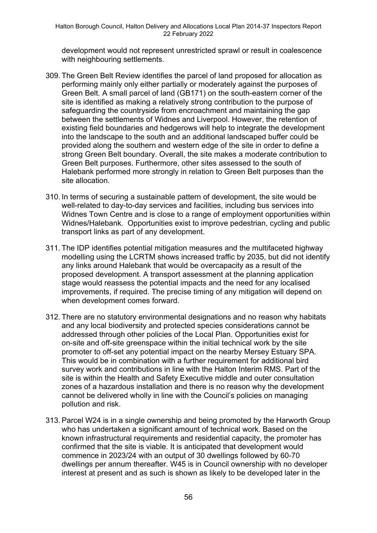development would not represent unrestricted sprawl or result in coalescence with neighbouring settlements.

- 309. The Green Belt Review identifies the parcel of land proposed for allocation as performing mainly only either partially or moderately against the purposes of Green Belt. A small parcel of land (GB171) on the south-eastern corner of the site is identified as making a relatively strong contribution to the purpose of safeguarding the countryside from encroachment and maintaining the gap between the settlements of Widnes and Liverpool. However, the retention of existing field boundaries and hedgerows will help to integrate the development into the landscape to the south and an additional landscaped buffer could be provided along the southern and western edge of the site in order to define a strong Green Belt boundary. Overall, the site makes a moderate contribution to Green Belt purposes. Furthermore, other sites assessed to the south of Halebank performed more strongly in relation to Green Belt purposes than the site allocation.
- 310. In terms of securing a sustainable pattern of development, the site would be well-related to day-to-day services and facilities, including bus services into Widnes Town Centre and is close to a range of employment opportunities within Widnes/Halebank. Opportunities exist to improve pedestrian, cycling and public transport links as part of any development.
- 311. The IDP identifies potential mitigation measures and the multifaceted highway modelling using the LCRTM shows increased traffic by 2035, but did not identify any links around Halebank that would be overcapacity as a result of the proposed development. A transport assessment at the planning application stage would reassess the potential impacts and the need for any localised improvements, if required. The precise timing of any mitigation will depend on when development comes forward.
- 312. There are no statutory environmental designations and no reason why habitats and any local biodiversity and protected species considerations cannot be addressed through other policies of the Local Plan. Opportunities exist for on-site and off-site greenspace within the initial technical work by the site promoter to off-set any potential impact on the nearby Mersey Estuary SPA. This would be in combination with a further requirement for additional bird survey work and contributions in line with the Halton Interim RMS. Part of the site is within the Health and Safety Executive middle and outer consultation zones of a hazardous installation and there is no reason why the development cannot be delivered wholly in line with the Council's policies on managing pollution and risk.
- 313. Parcel W24 is in a single ownership and being promoted by the Harworth Group who has undertaken a significant amount of technical work. Based on the known infrastructural requirements and residential capacity, the promoter has confirmed that the site is viable. It is anticipated that development would commence in 2023/24 with an output of 30 dwellings followed by 60-70 dwellings per annum thereafter. W45 is in Council ownership with no developer interest at present and as such is shown as likely to be developed later in the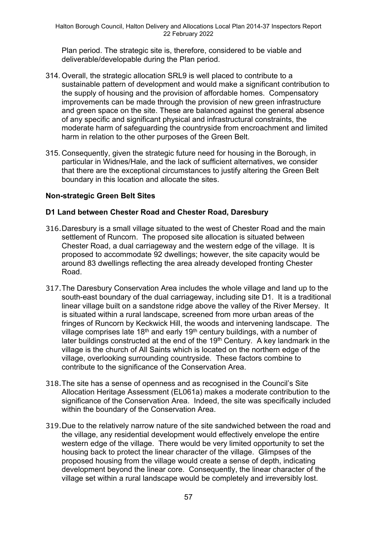Plan period. The strategic site is, therefore, considered to be viable and deliverable/developable during the Plan period.

- 314. Overall, the strategic allocation SRL9 is well placed to contribute to a sustainable pattern of development and would make a significant contribution to the supply of housing and the provision of affordable homes. Compensatory improvements can be made through the provision of new green infrastructure and green space on the site. These are balanced against the general absence of any specific and significant physical and infrastructural constraints, the moderate harm of safeguarding the countryside from encroachment and limited harm in relation to the other purposes of the Green Belt.
- 315. Consequently, given the strategic future need for housing in the Borough, in particular in Widnes/Hale, and the lack of sufficient alternatives, we consider that there are the exceptional circumstances to justify altering the Green Belt boundary in this location and allocate the sites.

## **Non-strategic Green Belt Sites**

### **D1 Land between Chester Road and Chester Road, Daresbury**

- 316.Daresbury is a small village situated to the west of Chester Road and the main settlement of Runcorn. The proposed site allocation is situated between Chester Road, a dual carriageway and the western edge of the village. It is proposed to accommodate 92 dwellings; however, the site capacity would be around 83 dwellings reflecting the area already developed fronting Chester Road.
- 317.The Daresbury Conservation Area includes the whole village and land up to the south-east boundary of the dual carriageway, including site D1. It is a traditional linear village built on a sandstone ridge above the valley of the River Mersey. It is situated within a rural landscape, screened from more urban areas of the fringes of Runcorn by Keckwick Hill, the woods and intervening landscape. The village comprises late 18<sup>th</sup> and early 19<sup>th</sup> century buildings, with a number of later buildings constructed at the end of the  $19<sup>th</sup>$  Century. A key landmark in the village is the church of All Saints which is located on the northern edge of the village, overlooking surrounding countryside. These factors combine to contribute to the significance of the Conservation Area.
- 318.The site has a sense of openness and as recognised in the Council's Site Allocation Heritage Assessment (EL061a) makes a moderate contribution to the significance of the Conservation Area. Indeed, the site was specifically included within the boundary of the Conservation Area.
- 319.Due to the relatively narrow nature of the site sandwiched between the road and the village, any residential development would effectively envelope the entire western edge of the village. There would be very limited opportunity to set the housing back to protect the linear character of the village. Glimpses of the proposed housing from the village would create a sense of depth, indicating development beyond the linear core. Consequently, the linear character of the village set within a rural landscape would be completely and irreversibly lost.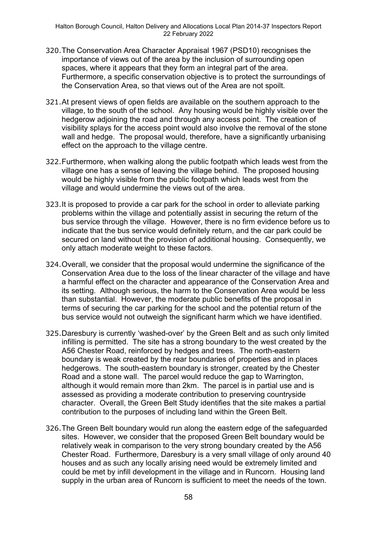- 320.The Conservation Area Character Appraisal 1967 (PSD10) recognises the importance of views out of the area by the inclusion of surrounding open spaces, where it appears that they form an integral part of the area. Furthermore, a specific conservation objective is to protect the surroundings of the Conservation Area, so that views out of the Area are not spoilt.
- 321.At present views of open fields are available on the southern approach to the village, to the south of the school. Any housing would be highly visible over the hedgerow adjoining the road and through any access point. The creation of visibility splays for the access point would also involve the removal of the stone wall and hedge. The proposal would, therefore, have a significantly urbanising effect on the approach to the village centre.
- 322.Furthermore, when walking along the public footpath which leads west from the village one has a sense of leaving the village behind. The proposed housing would be highly visible from the public footpath which leads west from the village and would undermine the views out of the area.
- 323.It is proposed to provide a car park for the school in order to alleviate parking problems within the village and potentially assist in securing the return of the bus service through the village. However, there is no firm evidence before us to indicate that the bus service would definitely return, and the car park could be secured on land without the provision of additional housing. Consequently, we only attach moderate weight to these factors.
- 324.Overall, we consider that the proposal would undermine the significance of the Conservation Area due to the loss of the linear character of the village and have a harmful effect on the character and appearance of the Conservation Area and its setting. Although serious, the harm to the Conservation Area would be less than substantial. However, the moderate public benefits of the proposal in terms of securing the car parking for the school and the potential return of the bus service would not outweigh the significant harm which we have identified.
- 325.Daresbury is currently 'washed-over' by the Green Belt and as such only limited infilling is permitted. The site has a strong boundary to the west created by the A56 Chester Road, reinforced by hedges and trees. The north-eastern boundary is weak created by the rear boundaries of properties and in places hedgerows. The south-eastern boundary is stronger, created by the Chester Road and a stone wall. The parcel would reduce the gap to Warrington, although it would remain more than 2km. The parcel is in partial use and is assessed as providing a moderate contribution to preserving countryside character. Overall, the Green Belt Study identifies that the site makes a partial contribution to the purposes of including land within the Green Belt.
- 326.The Green Belt boundary would run along the eastern edge of the safeguarded sites. However, we consider that the proposed Green Belt boundary would be relatively weak in comparison to the very strong boundary created by the A56 Chester Road. Furthermore, Daresbury is a very small village of only around 40 houses and as such any locally arising need would be extremely limited and could be met by infill development in the village and in Runcorn. Housing land supply in the urban area of Runcorn is sufficient to meet the needs of the town.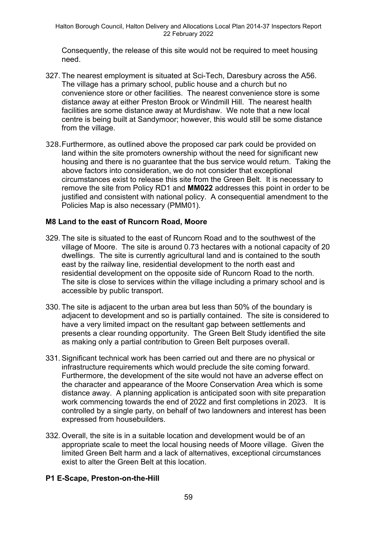Consequently, the release of this site would not be required to meet housing need.

- 327. The nearest employment is situated at Sci-Tech, Daresbury across the A56. The village has a primary school, public house and a church but no convenience store or other facilities. The nearest convenience store is some distance away at either Preston Brook or Windmill Hill. The nearest health facilities are some distance away at Murdishaw. We note that a new local centre is being built at Sandymoor; however, this would still be some distance from the village.
- 328.Furthermore, as outlined above the proposed car park could be provided on land within the site promoters ownership without the need for significant new housing and there is no guarantee that the bus service would return. Taking the above factors into consideration, we do not consider that exceptional circumstances exist to release this site from the Green Belt. It is necessary to remove the site from Policy RD1 and **MM022** addresses this point in order to be justified and consistent with national policy. A consequential amendment to the Policies Map is also necessary (PMM01).

### **M8 Land to the east of Runcorn Road, Moore**

- 329. The site is situated to the east of Runcorn Road and to the southwest of the village of Moore. The site is around 0.73 hectares with a notional capacity of 20 dwellings. The site is currently agricultural land and is contained to the south east by the railway line, residential development to the north east and residential development on the opposite side of Runcorn Road to the north. The site is close to services within the village including a primary school and is accessible by public transport.
- 330. The site is adjacent to the urban area but less than 50% of the boundary is adjacent to development and so is partially contained. The site is considered to have a very limited impact on the resultant gap between settlements and presents a clear rounding opportunity. The Green Belt Study identified the site as making only a partial contribution to Green Belt purposes overall.
- 331. Significant technical work has been carried out and there are no physical or infrastructure requirements which would preclude the site coming forward. Furthermore, the development of the site would not have an adverse effect on the character and appearance of the Moore Conservation Area which is some distance away. A planning application is anticipated soon with site preparation work commencing towards the end of 2022 and first completions in 2023. It is controlled by a single party, on behalf of two landowners and interest has been expressed from housebuilders.
- 332. Overall, the site is in a suitable location and development would be of an appropriate scale to meet the local housing needs of Moore village. Given the limited Green Belt harm and a lack of alternatives, exceptional circumstances exist to alter the Green Belt at this location.

## **P1 E-Scape, Preston-on-the-Hill**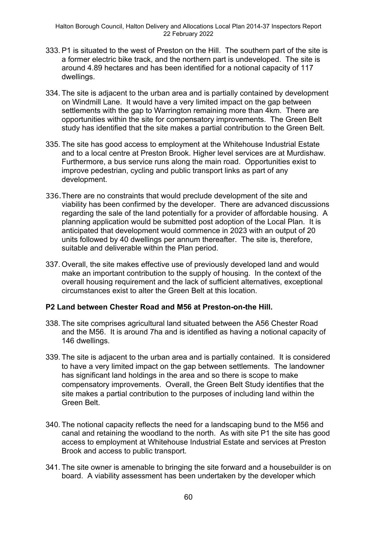- 333. P1 is situated to the west of Preston on the Hill. The southern part of the site is a former electric bike track, and the northern part is undeveloped. The site is around 4.89 hectares and has been identified for a notional capacity of 117 dwellings.
- 334. The site is adjacent to the urban area and is partially contained by development on Windmill Lane. It would have a very limited impact on the gap between settlements with the gap to Warrington remaining more than 4km. There are opportunities within the site for compensatory improvements. The Green Belt study has identified that the site makes a partial contribution to the Green Belt.
- 335. The site has good access to employment at the Whitehouse Industrial Estate and to a local centre at Preston Brook. Higher level services are at Murdishaw. Furthermore, a bus service runs along the main road. Opportunities exist to improve pedestrian, cycling and public transport links as part of any development.
- 336.There are no constraints that would preclude development of the site and viability has been confirmed by the developer. There are advanced discussions regarding the sale of the land potentially for a provider of affordable housing. A planning application would be submitted post adoption of the Local Plan. It is anticipated that development would commence in 2023 with an output of 20 units followed by 40 dwellings per annum thereafter. The site is, therefore, suitable and deliverable within the Plan period.
- 337. Overall, the site makes effective use of previously developed land and would make an important contribution to the supply of housing. In the context of the overall housing requirement and the lack of sufficient alternatives, exceptional circumstances exist to alter the Green Belt at this location.

#### **P2 Land between Chester Road and M56 at Preston-on-the Hill.**

- 338. The site comprises agricultural land situated between the A56 Chester Road and the M56. It is around 7ha and is identified as having a notional capacity of 146 dwellings.
- 339. The site is adjacent to the urban area and is partially contained. It is considered to have a very limited impact on the gap between settlements. The landowner has significant land holdings in the area and so there is scope to make compensatory improvements. Overall, the Green Belt Study identifies that the site makes a partial contribution to the purposes of including land within the Green Belt.
- 340. The notional capacity reflects the need for a landscaping bund to the M56 and canal and retaining the woodland to the north. As with site P1 the site has good access to employment at Whitehouse Industrial Estate and services at Preston Brook and access to public transport.
- 341. The site owner is amenable to bringing the site forward and a housebuilder is on board. A viability assessment has been undertaken by the developer which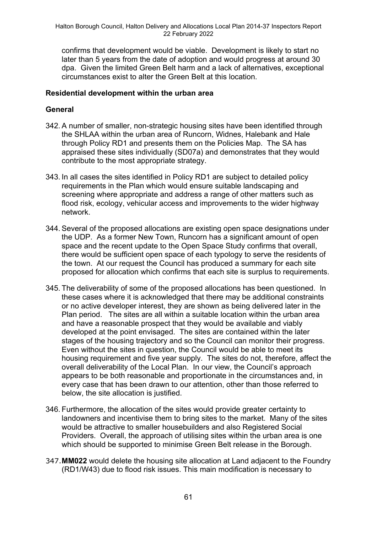confirms that development would be viable. Development is likely to start no later than 5 years from the date of adoption and would progress at around 30 dpa. Given the limited Green Belt harm and a lack of alternatives, exceptional circumstances exist to alter the Green Belt at this location.

### **Residential development within the urban area**

## **General**

- 342. A number of smaller, non-strategic housing sites have been identified through the SHLAA within the urban area of Runcorn, Widnes, Halebank and Hale through Policy RD1 and presents them on the Policies Map. The SA has appraised these sites individually (SD07a) and demonstrates that they would contribute to the most appropriate strategy.
- 343. In all cases the sites identified in Policy RD1 are subject to detailed policy requirements in the Plan which would ensure suitable landscaping and screening where appropriate and address a range of other matters such as flood risk, ecology, vehicular access and improvements to the wider highway network.
- 344. Several of the proposed allocations are existing open space designations under the UDP. As a former New Town, Runcorn has a significant amount of open space and the recent update to the Open Space Study confirms that overall, there would be sufficient open space of each typology to serve the residents of the town. At our request the Council has produced a summary for each site proposed for allocation which confirms that each site is surplus to requirements.
- 345. The deliverability of some of the proposed allocations has been questioned. In these cases where it is acknowledged that there may be additional constraints or no active developer interest, they are shown as being delivered later in the Plan period. The sites are all within a suitable location within the urban area and have a reasonable prospect that they would be available and viably developed at the point envisaged. The sites are contained within the later stages of the housing trajectory and so the Council can monitor their progress. Even without the sites in question, the Council would be able to meet its housing requirement and five year supply. The sites do not, therefore, affect the overall deliverability of the Local Plan. In our view, the Council's approach appears to be both reasonable and proportionate in the circumstances and, in every case that has been drawn to our attention, other than those referred to below, the site allocation is justified.
- 346. Furthermore, the allocation of the sites would provide greater certainty to landowners and incentivise them to bring sites to the market. Many of the sites would be attractive to smaller housebuilders and also Registered Social Providers. Overall, the approach of utilising sites within the urban area is one which should be supported to minimise Green Belt release in the Borough.
- 347.**MM022** would delete the housing site allocation at Land adjacent to the Foundry (RD1/W43) due to flood risk issues. This main modification is necessary to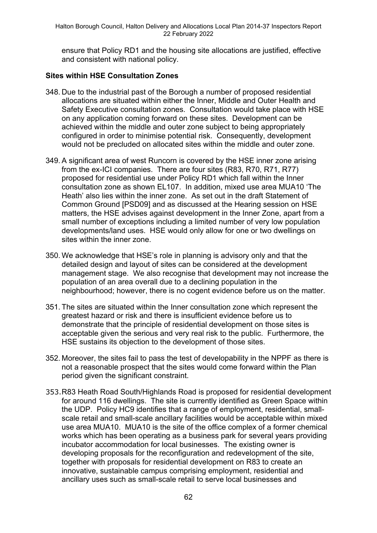ensure that Policy RD1 and the housing site allocations are justified, effective and consistent with national policy.

## **Sites within HSE Consultation Zones**

- 348. Due to the industrial past of the Borough a number of proposed residential allocations are situated within either the Inner, Middle and Outer Health and Safety Executive consultation zones. Consultation would take place with HSE on any application coming forward on these sites. Development can be achieved within the middle and outer zone subject to being appropriately configured in order to minimise potential risk. Consequently, development would not be precluded on allocated sites within the middle and outer zone.
- 349. A significant area of west Runcorn is covered by the HSE inner zone arising from the ex-ICI companies. There are four sites (R83, R70, R71, R77) proposed for residential use under Policy RD1 which fall within the Inner consultation zone as shown EL107. In addition, mixed use area MUA10 'The Heath' also lies within the inner zone. As set out in the draft Statement of Common Ground [PSD09] and as discussed at the Hearing session on HSE matters, the HSE advises against development in the Inner Zone, apart from a small number of exceptions including a limited number of very low population developments/land uses. HSE would only allow for one or two dwellings on sites within the inner zone.
- 350. We acknowledge that HSE's role in planning is advisory only and that the detailed design and layout of sites can be considered at the development management stage. We also recognise that development may not increase the population of an area overall due to a declining population in the neighbourhood; however, there is no cogent evidence before us on the matter.
- 351. The sites are situated within the Inner consultation zone which represent the greatest hazard or risk and there is insufficient evidence before us to demonstrate that the principle of residential development on those sites is acceptable given the serious and very real risk to the public. Furthermore, the HSE sustains its objection to the development of those sites.
- 352. Moreover, the sites fail to pass the test of developability in the NPPF as there is not a reasonable prospect that the sites would come forward within the Plan period given the significant constraint.
- 353.R83 Heath Road South/Highlands Road is proposed for residential development for around 116 dwellings. The site is currently identified as Green Space within the UDP. Policy HC9 identifies that a range of employment, residential, smallscale retail and small-scale ancillary facilities would be acceptable within mixed use area MUA10. MUA10 is the site of the office complex of a former chemical works which has been operating as a business park for several years providing incubator accommodation for local businesses. The existing owner is developing proposals for the reconfiguration and redevelopment of the site, together with proposals for residential development on R83 to create an innovative, sustainable campus comprising employment, residential and ancillary uses such as small-scale retail to serve local businesses and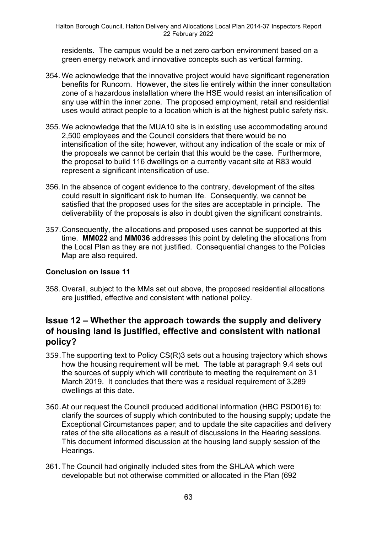residents. The campus would be a net zero carbon environment based on a green energy network and innovative concepts such as vertical farming.

- 354. We acknowledge that the innovative project would have significant regeneration benefits for Runcorn. However, the sites lie entirely within the inner consultation zone of a hazardous installation where the HSE would resist an intensification of any use within the inner zone. The proposed employment, retail and residential uses would attract people to a location which is at the highest public safety risk.
- 355. We acknowledge that the MUA10 site is in existing use accommodating around 2,500 employees and the Council considers that there would be no intensification of the site; however, without any indication of the scale or mix of the proposals we cannot be certain that this would be the case. Furthermore, the proposal to build 116 dwellings on a currently vacant site at R83 would represent a significant intensification of use.
- 356. In the absence of cogent evidence to the contrary, development of the sites could result in significant risk to human life. Consequently, we cannot be satisfied that the proposed uses for the sites are acceptable in principle. The deliverability of the proposals is also in doubt given the significant constraints.
- 357.Consequently, the allocations and proposed uses cannot be supported at this time. **MM022** and **MM036** addresses this point by deleting the allocations from the Local Plan as they are not justified. Consequential changes to the Policies Map are also required.

## **Conclusion on Issue 11**

358. Overall, subject to the MMs set out above, the proposed residential allocations are justified, effective and consistent with national policy.

# **Issue 12 – Whether the approach towards the supply and delivery of housing land is justified, effective and consistent with national policy?**

- 359.The supporting text to Policy CS(R)3 sets out a housing trajectory which shows how the housing requirement will be met. The table at paragraph 9.4 sets out the sources of supply which will contribute to meeting the requirement on 31 March 2019. It concludes that there was a residual requirement of 3,289 dwellings at this date.
- 360.At our request the Council produced additional information (HBC PSD016) to: clarify the sources of supply which contributed to the housing supply; update the Exceptional Circumstances paper; and to update the site capacities and delivery rates of the site allocations as a result of discussions in the Hearing sessions. This document informed discussion at the housing land supply session of the Hearings.
- 361. The Council had originally included sites from the SHLAA which were developable but not otherwise committed or allocated in the Plan (692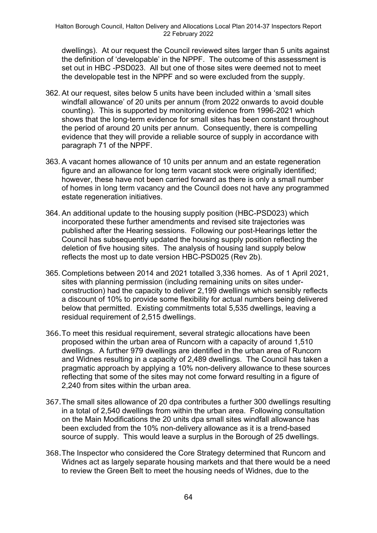dwellings). At our request the Council reviewed sites larger than 5 units against the definition of 'developable' in the NPPF. The outcome of this assessment is set out in HBC -PSD023. All but one of those sites were deemed not to meet the developable test in the NPPF and so were excluded from the supply.

- 362. At our request, sites below 5 units have been included within a 'small sites windfall allowance' of 20 units per annum (from 2022 onwards to avoid double counting). This is supported by monitoring evidence from 1996-2021 which shows that the long-term evidence for small sites has been constant throughout the period of around 20 units per annum. Consequently, there is compelling evidence that they will provide a reliable source of supply in accordance with paragraph 71 of the NPPF.
- 363. A vacant homes allowance of 10 units per annum and an estate regeneration figure and an allowance for long term vacant stock were originally identified; however, these have not been carried forward as there is only a small number of homes in long term vacancy and the Council does not have any programmed estate regeneration initiatives.
- 364. An additional update to the housing supply position (HBC-PSD023) which incorporated these further amendments and revised site trajectories was published after the Hearing sessions. Following our post-Hearings letter the Council has subsequently updated the housing supply position reflecting the deletion of five housing sites. The analysis of housing land supply below reflects the most up to date version HBC-PSD025 (Rev 2b).
- 365. Completions between 2014 and 2021 totalled 3,336 homes. As of 1 April 2021, sites with planning permission (including remaining units on sites underconstruction) had the capacity to deliver 2,199 dwellings which sensibly reflects a discount of 10% to provide some flexibility for actual numbers being delivered below that permitted. Existing commitments total 5,535 dwellings, leaving a residual requirement of 2,515 dwellings.
- 366.To meet this residual requirement, several strategic allocations have been proposed within the urban area of Runcorn with a capacity of around 1,510 dwellings. A further 979 dwellings are identified in the urban area of Runcorn and Widnes resulting in a capacity of 2,489 dwellings. The Council has taken a pragmatic approach by applying a 10% non-delivery allowance to these sources reflecting that some of the sites may not come forward resulting in a figure of 2,240 from sites within the urban area.
- 367.The small sites allowance of 20 dpa contributes a further 300 dwellings resulting in a total of 2,540 dwellings from within the urban area. Following consultation on the Main Modifications the 20 units dpa small sites windfall allowance has been excluded from the 10% non-delivery allowance as it is a trend-based source of supply. This would leave a surplus in the Borough of 25 dwellings.
- 368.The Inspector who considered the Core Strategy determined that Runcorn and Widnes act as largely separate housing markets and that there would be a need to review the Green Belt to meet the housing needs of Widnes, due to the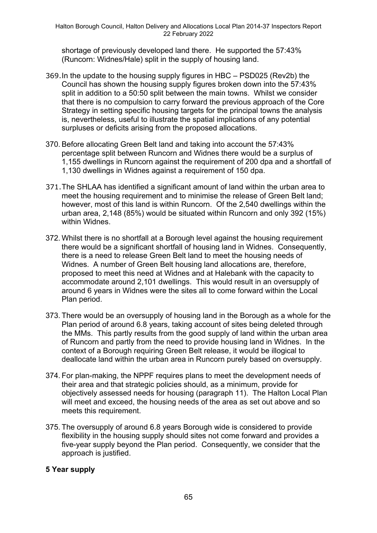shortage of previously developed land there. He supported the 57:43% (Runcorn: Widnes/Hale) split in the supply of housing land.

- 369.In the update to the housing supply figures in HBC PSD025 (Rev2b) the Council has shown the housing supply figures broken down into the 57:43% split in addition to a 50:50 split between the main towns. Whilst we consider that there is no compulsion to carry forward the previous approach of the Core Strategy in setting specific housing targets for the principal towns the analysis is, nevertheless, useful to illustrate the spatial implications of any potential surpluses or deficits arising from the proposed allocations.
- 370. Before allocating Green Belt land and taking into account the 57:43% percentage split between Runcorn and Widnes there would be a surplus of 1,155 dwellings in Runcorn against the requirement of 200 dpa and a shortfall of 1,130 dwellings in Widnes against a requirement of 150 dpa.
- 371.The SHLAA has identified a significant amount of land within the urban area to meet the housing requirement and to minimise the release of Green Belt land; however, most of this land is within Runcorn. Of the 2,540 dwellings within the urban area, 2,148 (85%) would be situated within Runcorn and only 392 (15%) within Widnes.
- 372. Whilst there is no shortfall at a Borough level against the housing requirement there would be a significant shortfall of housing land in Widnes. Consequently, there is a need to release Green Belt land to meet the housing needs of Widnes. A number of Green Belt housing land allocations are, therefore, proposed to meet this need at Widnes and at Halebank with the capacity to accommodate around 2,101 dwellings. This would result in an oversupply of around 6 years in Widnes were the sites all to come forward within the Local Plan period.
- 373. There would be an oversupply of housing land in the Borough as a whole for the Plan period of around 6.8 years, taking account of sites being deleted through the MMs. This partly results from the good supply of land within the urban area of Runcorn and partly from the need to provide housing land in Widnes. In the context of a Borough requiring Green Belt release, it would be illogical to deallocate land within the urban area in Runcorn purely based on oversupply.
- 374. For plan-making, the NPPF requires plans to meet the development needs of their area and that strategic policies should, as a minimum, provide for objectively assessed needs for housing (paragraph 11). The Halton Local Plan will meet and exceed, the housing needs of the area as set out above and so meets this requirement.
- 375. The oversupply of around 6.8 years Borough wide is considered to provide flexibility in the housing supply should sites not come forward and provides a five-year supply beyond the Plan period. Consequently, we consider that the approach is justified.

## **5 Year supply**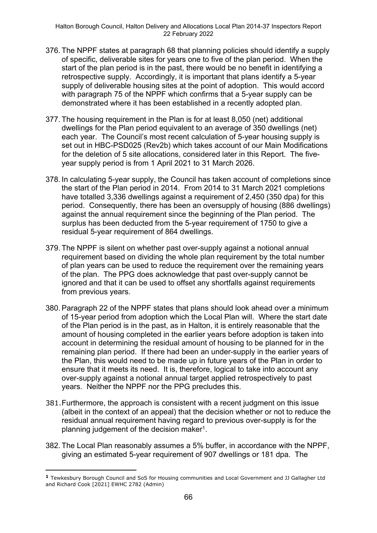- 376. The NPPF states at paragraph 68 that planning policies should identify a supply of specific, deliverable sites for years one to five of the plan period. When the start of the plan period is in the past, there would be no benefit in identifying a retrospective supply. Accordingly, it is important that plans identify a 5-year supply of deliverable housing sites at the point of adoption. This would accord with paragraph 75 of the NPPF which confirms that a 5-year supply can be demonstrated where it has been established in a recently adopted plan.
- 377. The housing requirement in the Plan is for at least 8,050 (net) additional dwellings for the Plan period equivalent to an average of 350 dwellings (net) each year. The Council's most recent calculation of 5-year housing supply is set out in HBC-PSD025 (Rev2b) which takes account of our Main Modifications for the deletion of 5 site allocations, considered later in this Report. The fiveyear supply period is from 1 April 2021 to 31 March 2026.
- 378. In calculating 5-year supply, the Council has taken account of completions since the start of the Plan period in 2014. From 2014 to 31 March 2021 completions have totalled 3,336 dwellings against a requirement of 2,450 (350 dpa) for this period. Consequently, there has been an oversupply of housing (886 dwellings) against the annual requirement since the beginning of the Plan period. The surplus has been deducted from the 5-year requirement of 1750 to give a residual 5-year requirement of 864 dwellings.
- 379. The NPPF is silent on whether past over-supply against a notional annual requirement based on dividing the whole plan requirement by the total number of plan years can be used to reduce the requirement over the remaining years of the plan. The PPG does acknowledge that past over-supply cannot be ignored and that it can be used to offset any shortfalls against requirements from previous years.
- 380. Paragraph 22 of the NPPF states that plans should look ahead over a minimum of 15-year period from adoption which the Local Plan will. Where the start date of the Plan period is in the past, as in Halton, it is entirely reasonable that the amount of housing completed in the earlier years before adoption is taken into account in determining the residual amount of housing to be planned for in the remaining plan period. If there had been an under-supply in the earlier years of the Plan, this would need to be made up in future years of the Plan in order to ensure that it meets its need. It is, therefore, logical to take into account any over-supply against a notional annual target applied retrospectively to past years. Neither the NPPF nor the PPG precludes this.
- 381.Furthermore, the approach is consistent with a recent judgment on this issue (albeit in the context of an appeal) that the decision whether or not to reduce the residual annual requirement having regard to previous over-supply is for the planning judgement of the decision maker<sup>1</sup>.
- 382. The Local Plan reasonably assumes a 5% buffer, in accordance with the NPPF, giving an estimated 5-year requirement of 907 dwellings or 181 dpa. The

**<sup>1</sup>** Tewkesbury Borough Council and SoS for Housing communities and Local Government and JJ Gallagher Ltd and Richard Cook [2021] EWHC 2782 (Admin)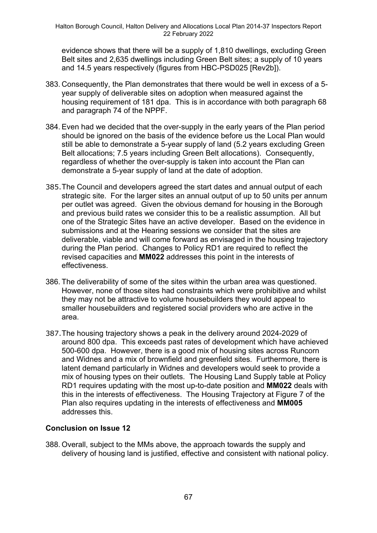evidence shows that there will be a supply of 1,810 dwellings, excluding Green Belt sites and 2,635 dwellings including Green Belt sites; a supply of 10 years and 14.5 years respectively (figures from HBC-PSD025 [Rev2b]).

- 383. Consequently, the Plan demonstrates that there would be well in excess of a 5 year supply of deliverable sites on adoption when measured against the housing requirement of 181 dpa. This is in accordance with both paragraph 68 and paragraph 74 of the NPPF.
- 384. Even had we decided that the over-supply in the early years of the Plan period should be ignored on the basis of the evidence before us the Local Plan would still be able to demonstrate a 5-year supply of land (5.2 years excluding Green Belt allocations; 7.5 years including Green Belt allocations). Consequently, regardless of whether the over-supply is taken into account the Plan can demonstrate a 5-year supply of land at the date of adoption.
- 385.The Council and developers agreed the start dates and annual output of each strategic site. For the larger sites an annual output of up to 50 units per annum per outlet was agreed. Given the obvious demand for housing in the Borough and previous build rates we consider this to be a realistic assumption. All but one of the Strategic Sites have an active developer. Based on the evidence in submissions and at the Hearing sessions we consider that the sites are deliverable, viable and will come forward as envisaged in the housing trajectory during the Plan period. Changes to Policy RD1 are required to reflect the revised capacities and **MM022** addresses this point in the interests of effectiveness.
- 386. The deliverability of some of the sites within the urban area was questioned. However, none of those sites had constraints which were prohibitive and whilst they may not be attractive to volume housebuilders they would appeal to smaller housebuilders and registered social providers who are active in the area.
- 387.The housing trajectory shows a peak in the delivery around 2024-2029 of around 800 dpa. This exceeds past rates of development which have achieved 500-600 dpa. However, there is a good mix of housing sites across Runcorn and Widnes and a mix of brownfield and greenfield sites. Furthermore, there is latent demand particularly in Widnes and developers would seek to provide a mix of housing types on their outlets. The Housing Land Supply table at Policy RD1 requires updating with the most up-to-date position and **MM022** deals with this in the interests of effectiveness. The Housing Trajectory at Figure 7 of the Plan also requires updating in the interests of effectiveness and **MM005** addresses this.

## **Conclusion on Issue 12**

388. Overall, subject to the MMs above, the approach towards the supply and delivery of housing land is justified, effective and consistent with national policy.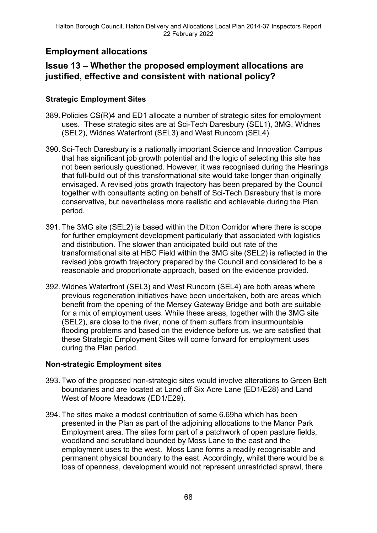# **Employment allocations**

# **Issue 13 – Whether the proposed employment allocations are justified, effective and consistent with national policy?**

## **Strategic Employment Sites**

- 389. Policies CS(R)4 and ED1 allocate a number of strategic sites for employment uses. These strategic sites are at Sci-Tech Daresbury (SEL1), 3MG, Widnes (SEL2), Widnes Waterfront (SEL3) and West Runcorn (SEL4).
- 390. Sci-Tech Daresbury is a nationally important Science and Innovation Campus that has significant job growth potential and the logic of selecting this site has not been seriously questioned. However, it was recognised during the Hearings that full-build out of this transformational site would take longer than originally envisaged. A revised jobs growth trajectory has been prepared by the Council together with consultants acting on behalf of Sci-Tech Daresbury that is more conservative, but nevertheless more realistic and achievable during the Plan period.
- 391. The 3MG site (SEL2) is based within the Ditton Corridor where there is scope for further employment development particularly that associated with logistics and distribution. The slower than anticipated build out rate of the transformational site at HBC Field within the 3MG site (SEL2) is reflected in the revised jobs growth trajectory prepared by the Council and considered to be a reasonable and proportionate approach, based on the evidence provided.
- 392. Widnes Waterfront (SEL3) and West Runcorn (SEL4) are both areas where previous regeneration initiatives have been undertaken, both are areas which benefit from the opening of the Mersey Gateway Bridge and both are suitable for a mix of employment uses. While these areas, together with the 3MG site (SEL2), are close to the river, none of them suffers from insurmountable flooding problems and based on the evidence before us, we are satisfied that these Strategic Employment Sites will come forward for employment uses during the Plan period.

## **Non-strategic Employment sites**

- 393. Two of the proposed non-strategic sites would involve alterations to Green Belt boundaries and are located at Land off Six Acre Lane (ED1/E28) and Land West of Moore Meadows (ED1/E29).
- 394. The sites make a modest contribution of some 6.69ha which has been presented in the Plan as part of the adjoining allocations to the Manor Park Employment area. The sites form part of a patchwork of open pasture fields, woodland and scrubland bounded by Moss Lane to the east and the employment uses to the west. Moss Lane forms a readily recognisable and permanent physical boundary to the east. Accordingly, whilst there would be a loss of openness, development would not represent unrestricted sprawl, there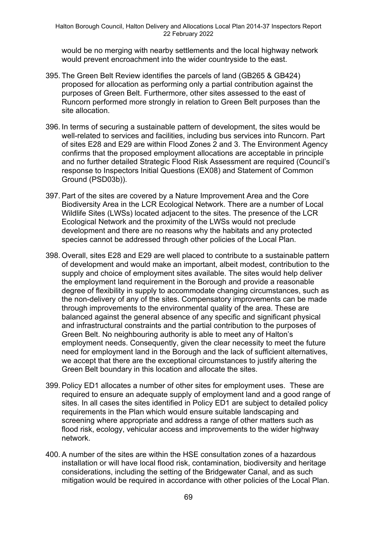would be no merging with nearby settlements and the local highway network would prevent encroachment into the wider countryside to the east.

- 395. The Green Belt Review identifies the parcels of land (GB265 & GB424) proposed for allocation as performing only a partial contribution against the purposes of Green Belt. Furthermore, other sites assessed to the east of Runcorn performed more strongly in relation to Green Belt purposes than the site allocation.
- 396. In terms of securing a sustainable pattern of development, the sites would be well-related to services and facilities, including bus services into Runcorn. Part of sites E28 and E29 are within Flood Zones 2 and 3. The Environment Agency confirms that the proposed employment allocations are acceptable in principle and no further detailed Strategic Flood Risk Assessment are required (Council's response to Inspectors Initial Questions (EX08) and Statement of Common Ground (PSD03b)).
- 397. Part of the sites are covered by a Nature Improvement Area and the Core Biodiversity Area in the LCR Ecological Network. There are a number of Local Wildlife Sites (LWSs) located adjacent to the sites. The presence of the LCR Ecological Network and the proximity of the LWSs would not preclude development and there are no reasons why the habitats and any protected species cannot be addressed through other policies of the Local Plan.
- 398. Overall, sites E28 and E29 are well placed to contribute to a sustainable pattern of development and would make an important, albeit modest, contribution to the supply and choice of employment sites available. The sites would help deliver the employment land requirement in the Borough and provide a reasonable degree of flexibility in supply to accommodate changing circumstances, such as the non-delivery of any of the sites. Compensatory improvements can be made through improvements to the environmental quality of the area. These are balanced against the general absence of any specific and significant physical and infrastructural constraints and the partial contribution to the purposes of Green Belt. No neighbouring authority is able to meet any of Halton's employment needs. Consequently, given the clear necessity to meet the future need for employment land in the Borough and the lack of sufficient alternatives, we accept that there are the exceptional circumstances to justify altering the Green Belt boundary in this location and allocate the sites.
- 399. Policy ED1 allocates a number of other sites for employment uses. These are required to ensure an adequate supply of employment land and a good range of sites. In all cases the sites identified in Policy ED1 are subject to detailed policy requirements in the Plan which would ensure suitable landscaping and screening where appropriate and address a range of other matters such as flood risk, ecology, vehicular access and improvements to the wider highway network.
- 400. A number of the sites are within the HSE consultation zones of a hazardous installation or will have local flood risk, contamination, biodiversity and heritage considerations, including the setting of the Bridgewater Canal, and as such mitigation would be required in accordance with other policies of the Local Plan.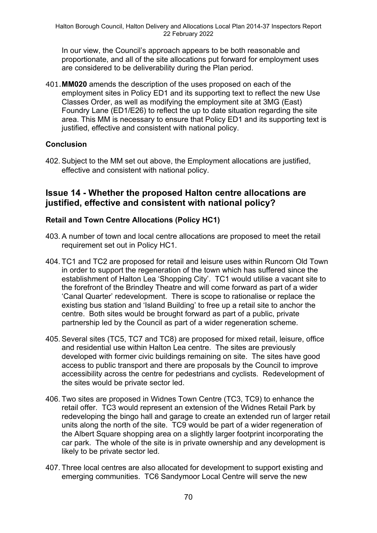In our view, the Council's approach appears to be both reasonable and proportionate, and all of the site allocations put forward for employment uses are considered to be deliverability during the Plan period.

401.**MM020** amends the description of the uses proposed on each of the employment sites in Policy ED1 and its supporting text to reflect the new Use Classes Order, as well as modifying the employment site at 3MG (East) Foundry Lane (ED1/E26) to reflect the up to date situation regarding the site area. This MM is necessary to ensure that Policy ED1 and its supporting text is justified, effective and consistent with national policy.

## **Conclusion**

402. Subject to the MM set out above, the Employment allocations are justified, effective and consistent with national policy.

## **Issue 14 - Whether the proposed Halton centre allocations are justified, effective and consistent with national policy?**

## **Retail and Town Centre Allocations (Policy HC1)**

- 403. A number of town and local centre allocations are proposed to meet the retail requirement set out in Policy HC1.
- 404. TC1 and TC2 are proposed for retail and leisure uses within Runcorn Old Town in order to support the regeneration of the town which has suffered since the establishment of Halton Lea 'Shopping City'. TC1 would utilise a vacant site to the forefront of the Brindley Theatre and will come forward as part of a wider 'Canal Quarter' redevelopment. There is scope to rationalise or replace the existing bus station and 'Island Building' to free up a retail site to anchor the centre. Both sites would be brought forward as part of a public, private partnership led by the Council as part of a wider regeneration scheme.
- 405. Several sites (TC5, TC7 and TC8) are proposed for mixed retail, leisure, office and residential use within Halton Lea centre. The sites are previously developed with former civic buildings remaining on site. The sites have good access to public transport and there are proposals by the Council to improve accessibility across the centre for pedestrians and cyclists. Redevelopment of the sites would be private sector led.
- 406. Two sites are proposed in Widnes Town Centre (TC3, TC9) to enhance the retail offer. TC3 would represent an extension of the Widnes Retail Park by redeveloping the bingo hall and garage to create an extended run of larger retail units along the north of the site. TC9 would be part of a wider regeneration of the Albert Square shopping area on a slightly larger footprint incorporating the car park. The whole of the site is in private ownership and any development is likely to be private sector led.
- 407. Three local centres are also allocated for development to support existing and emerging communities. TC6 Sandymoor Local Centre will serve the new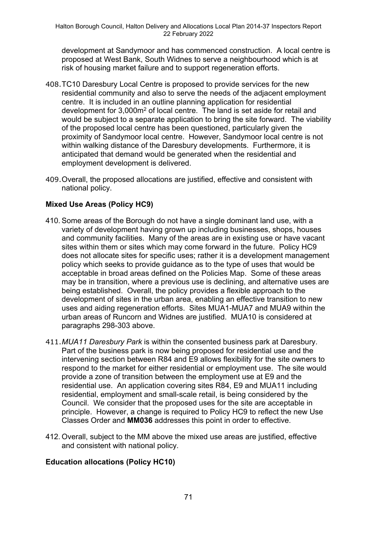development at Sandymoor and has commenced construction. A local centre is proposed at West Bank, South Widnes to serve a neighbourhood which is at risk of housing market failure and to support regeneration efforts.

- 408.TC10 Daresbury Local Centre is proposed to provide services for the new residential community and also to serve the needs of the adjacent employment centre. It is included in an outline planning application for residential development for 3,000m<sup>2</sup> of local centre. The land is set aside for retail and would be subject to a separate application to bring the site forward. The viability of the proposed local centre has been questioned, particularly given the proximity of Sandymoor local centre. However, Sandymoor local centre is not within walking distance of the Daresbury developments. Furthermore, it is anticipated that demand would be generated when the residential and employment development is delivered.
- 409.Overall, the proposed allocations are justified, effective and consistent with national policy.

## **Mixed Use Areas (Policy HC9)**

- 410. Some areas of the Borough do not have a single dominant land use, with a variety of development having grown up including businesses, shops, houses and community facilities. Many of the areas are in existing use or have vacant sites within them or sites which may come forward in the future. Policy HC9 does not allocate sites for specific uses; rather it is a development management policy which seeks to provide guidance as to the type of uses that would be acceptable in broad areas defined on the Policies Map. Some of these areas may be in transition, where a previous use is declining, and alternative uses are being established. Overall, the policy provides a flexible approach to the development of sites in the urban area, enabling an effective transition to new uses and aiding regeneration efforts. Sites MUA1-MUA7 and MUA9 within the urban areas of Runcorn and Widnes are justified. MUA10 is considered at paragraphs 298-303 above.
- 411.*MUA11 Daresbury Park* is within the consented business park at Daresbury. Part of the business park is now being proposed for residential use and the intervening section between R84 and E9 allows flexibility for the site owners to respond to the market for either residential or employment use. The site would provide a zone of transition between the employment use at E9 and the residential use. An application covering sites R84, E9 and MUA11 including residential, employment and small-scale retail, is being considered by the Council. We consider that the proposed uses for the site are acceptable in principle. However, a change is required to Policy HC9 to reflect the new Use Classes Order and **MM036** addresses this point in order to effective.
- 412. Overall, subject to the MM above the mixed use areas are justified, effective and consistent with national policy.

## **Education allocations (Policy HC10)**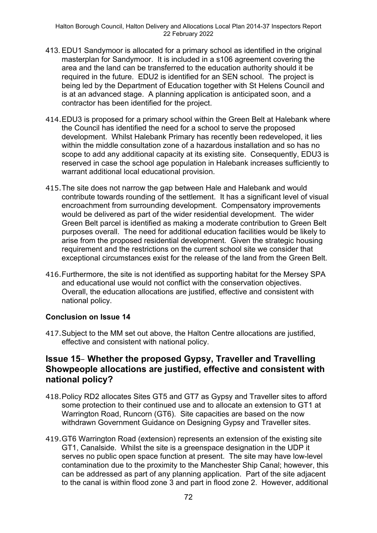- 413. EDU1 Sandymoor is allocated for a primary school as identified in the original masterplan for Sandymoor. It is included in a s106 agreement covering the area and the land can be transferred to the education authority should it be required in the future. EDU2 is identified for an SEN school. The project is being led by the Department of Education together with St Helens Council and is at an advanced stage. A planning application is anticipated soon, and a contractor has been identified for the project.
- 414.EDU3 is proposed for a primary school within the Green Belt at Halebank where the Council has identified the need for a school to serve the proposed development. Whilst Halebank Primary has recently been redeveloped, it lies within the middle consultation zone of a hazardous installation and so has no scope to add any additional capacity at its existing site. Consequently, EDU3 is reserved in case the school age population in Halebank increases sufficiently to warrant additional local educational provision.
- 415.The site does not narrow the gap between Hale and Halebank and would contribute towards rounding of the settlement. It has a significant level of visual encroachment from surrounding development. Compensatory improvements would be delivered as part of the wider residential development. The wider Green Belt parcel is identified as making a moderate contribution to Green Belt purposes overall. The need for additional education facilities would be likely to arise from the proposed residential development. Given the strategic housing requirement and the restrictions on the current school site we consider that exceptional circumstances exist for the release of the land from the Green Belt.
- 416.Furthermore, the site is not identified as supporting habitat for the Mersey SPA and educational use would not conflict with the conservation objectives. Overall, the education allocations are justified, effective and consistent with national policy.

## **Conclusion on Issue 14**

417.Subject to the MM set out above, the Halton Centre allocations are justified, effective and consistent with national policy.

## **Issue 15**– **Whether the proposed Gypsy, Traveller and Travelling Showpeople allocations are justified, effective and consistent with national policy?**

- 418.Policy RD2 allocates Sites GT5 and GT7 as Gypsy and Traveller sites to afford some protection to their continued use and to allocate an extension to GT1 at Warrington Road, Runcorn (GT6). Site capacities are based on the now withdrawn Government Guidance on Designing Gypsy and Traveller sites.
- 419.GT6 Warrington Road (extension) represents an extension of the existing site GT1, Canalside. Whilst the site is a greenspace designation in the UDP it serves no public open space function at present. The site may have low-level contamination due to the proximity to the Manchester Ship Canal; however, this can be addressed as part of any planning application. Part of the site adjacent to the canal is within flood zone 3 and part in flood zone 2. However, additional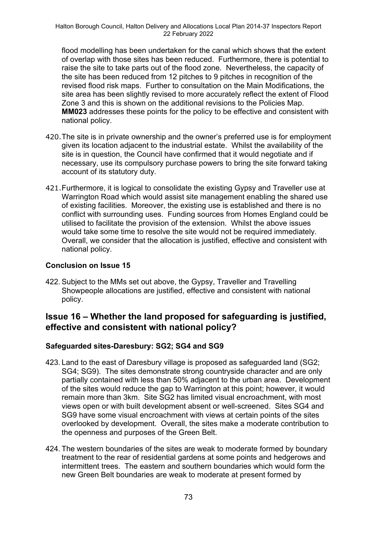flood modelling has been undertaken for the canal which shows that the extent of overlap with those sites has been reduced. Furthermore, there is potential to raise the site to take parts out of the flood zone. Nevertheless, the capacity of the site has been reduced from 12 pitches to 9 pitches in recognition of the revised flood risk maps. Further to consultation on the Main Modifications, the site area has been slightly revised to more accurately reflect the extent of Flood Zone 3 and this is shown on the additional revisions to the Policies Map. **MM023** addresses these points for the policy to be effective and consistent with national policy.

- 420.The site is in private ownership and the owner's preferred use is for employment given its location adjacent to the industrial estate. Whilst the availability of the site is in question, the Council have confirmed that it would negotiate and if necessary, use its compulsory purchase powers to bring the site forward taking account of its statutory duty.
- 421.Furthermore, it is logical to consolidate the existing Gypsy and Traveller use at Warrington Road which would assist site management enabling the shared use of existing facilities. Moreover, the existing use is established and there is no conflict with surrounding uses. Funding sources from Homes England could be utilised to facilitate the provision of the extension. Whilst the above issues would take some time to resolve the site would not be required immediately. Overall, we consider that the allocation is justified, effective and consistent with national policy.

### **Conclusion on Issue 15**

422. Subject to the MMs set out above, the Gypsy, Traveller and Travelling Showpeople allocations are justified, effective and consistent with national policy.

## **Issue 16 – Whether the land proposed for safeguarding is justified, effective and consistent with national policy?**

### **Safeguarded sites-Daresbury: SG2; SG4 and SG9**

- 423. Land to the east of Daresbury village is proposed as safeguarded land (SG2; SG4; SG9). The sites demonstrate strong countryside character and are only partially contained with less than 50% adjacent to the urban area. Development of the sites would reduce the gap to Warrington at this point; however, it would remain more than 3km. Site SG2 has limited visual encroachment, with most views open or with built development absent or well-screened. Sites SG4 and SG9 have some visual encroachment with views at certain points of the sites overlooked by development. Overall, the sites make a moderate contribution to the openness and purposes of the Green Belt.
- 424. The western boundaries of the sites are weak to moderate formed by boundary treatment to the rear of residential gardens at some points and hedgerows and intermittent trees. The eastern and southern boundaries which would form the new Green Belt boundaries are weak to moderate at present formed by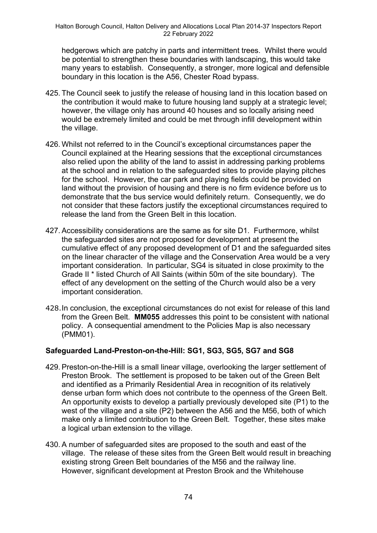hedgerows which are patchy in parts and intermittent trees. Whilst there would be potential to strengthen these boundaries with landscaping, this would take many years to establish. Consequently, a stronger, more logical and defensible boundary in this location is the A56, Chester Road bypass.

- 425. The Council seek to justify the release of housing land in this location based on the contribution it would make to future housing land supply at a strategic level; however, the village only has around 40 houses and so locally arising need would be extremely limited and could be met through infill development within the village.
- 426. Whilst not referred to in the Council's exceptional circumstances paper the Council explained at the Hearing sessions that the exceptional circumstances also relied upon the ability of the land to assist in addressing parking problems at the school and in relation to the safeguarded sites to provide playing pitches for the school. However, the car park and playing fields could be provided on land without the provision of housing and there is no firm evidence before us to demonstrate that the bus service would definitely return. Consequently, we do not consider that these factors justify the exceptional circumstances required to release the land from the Green Belt in this location.
- 427. Accessibility considerations are the same as for site D1. Furthermore, whilst the safeguarded sites are not proposed for development at present the cumulative effect of any proposed development of D1 and the safeguarded sites on the linear character of the village and the Conservation Area would be a very important consideration. In particular, SG4 is situated in close proximity to the Grade II \* listed Church of All Saints (within 50m of the site boundary). The effect of any development on the setting of the Church would also be a very important consideration.
- 428.In conclusion, the exceptional circumstances do not exist for release of this land from the Green Belt. **MM055** addresses this point to be consistent with national policy. A consequential amendment to the Policies Map is also necessary (PMM01).

### **Safeguarded Land-Preston-on-the-Hill: SG1, SG3, SG5, SG7 and SG8**

- 429. Preston-on-the-Hill is a small linear village, overlooking the larger settlement of Preston Brook. The settlement is proposed to be taken out of the Green Belt and identified as a Primarily Residential Area in recognition of its relatively dense urban form which does not contribute to the openness of the Green Belt. An opportunity exists to develop a partially previously developed site (P1) to the west of the village and a site (P2) between the A56 and the M56, both of which make only a limited contribution to the Green Belt. Together, these sites make a logical urban extension to the village.
- 430. A number of safeguarded sites are proposed to the south and east of the village. The release of these sites from the Green Belt would result in breaching existing strong Green Belt boundaries of the M56 and the railway line. However, significant development at Preston Brook and the Whitehouse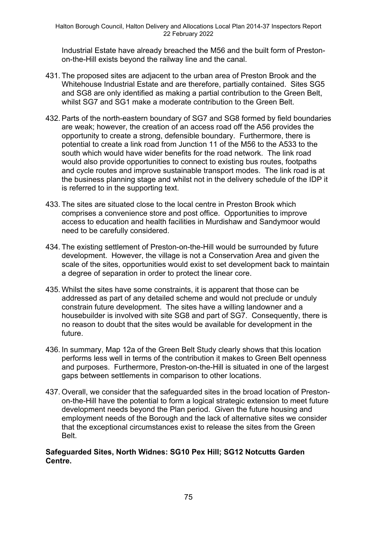Industrial Estate have already breached the M56 and the built form of Prestonon-the-Hill exists beyond the railway line and the canal.

- 431. The proposed sites are adjacent to the urban area of Preston Brook and the Whitehouse Industrial Estate and are therefore, partially contained. Sites SG5 and SG8 are only identified as making a partial contribution to the Green Belt, whilst SG7 and SG1 make a moderate contribution to the Green Belt.
- 432. Parts of the north-eastern boundary of SG7 and SG8 formed by field boundaries are weak; however, the creation of an access road off the A56 provides the opportunity to create a strong, defensible boundary. Furthermore, there is potential to create a link road from Junction 11 of the M56 to the A533 to the south which would have wider benefits for the road network. The link road would also provide opportunities to connect to existing bus routes, footpaths and cycle routes and improve sustainable transport modes. The link road is at the business planning stage and whilst not in the delivery schedule of the IDP it is referred to in the supporting text.
- 433. The sites are situated close to the local centre in Preston Brook which comprises a convenience store and post office. Opportunities to improve access to education and health facilities in Murdishaw and Sandymoor would need to be carefully considered.
- 434. The existing settlement of Preston-on-the-Hill would be surrounded by future development. However, the village is not a Conservation Area and given the scale of the sites, opportunities would exist to set development back to maintain a degree of separation in order to protect the linear core.
- 435. Whilst the sites have some constraints, it is apparent that those can be addressed as part of any detailed scheme and would not preclude or unduly constrain future development. The sites have a willing landowner and a housebuilder is involved with site SG8 and part of SG7. Consequently, there is no reason to doubt that the sites would be available for development in the future.
- 436. In summary, Map 12a of the Green Belt Study clearly shows that this location performs less well in terms of the contribution it makes to Green Belt openness and purposes. Furthermore, Preston-on-the-Hill is situated in one of the largest gaps between settlements in comparison to other locations.
- 437. Overall, we consider that the safeguarded sites in the broad location of Prestonon-the-Hill have the potential to form a logical strategic extension to meet future development needs beyond the Plan period. Given the future housing and employment needs of the Borough and the lack of alternative sites we consider that the exceptional circumstances exist to release the sites from the Green Belt.

#### **Safeguarded Sites, North Widnes: SG10 Pex Hill; SG12 Notcutts Garden Centre.**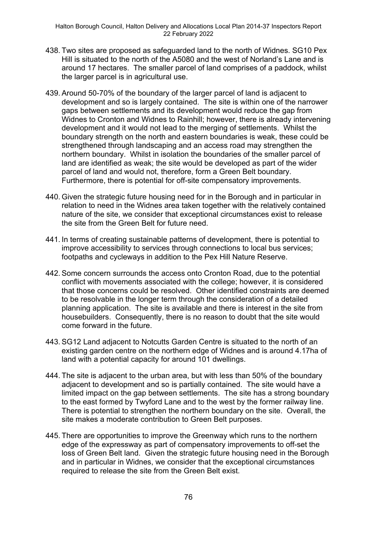- 438. Two sites are proposed as safeguarded land to the north of Widnes. SG10 Pex Hill is situated to the north of the A5080 and the west of Norland's Lane and is around 17 hectares. The smaller parcel of land comprises of a paddock, whilst the larger parcel is in agricultural use.
- 439. Around 50-70% of the boundary of the larger parcel of land is adjacent to development and so is largely contained. The site is within one of the narrower gaps between settlements and its development would reduce the gap from Widnes to Cronton and Widnes to Rainhill; however, there is already intervening development and it would not lead to the merging of settlements. Whilst the boundary strength on the north and eastern boundaries is weak, these could be strengthened through landscaping and an access road may strengthen the northern boundary. Whilst in isolation the boundaries of the smaller parcel of land are identified as weak; the site would be developed as part of the wider parcel of land and would not, therefore, form a Green Belt boundary. Furthermore, there is potential for off-site compensatory improvements.
- 440. Given the strategic future housing need for in the Borough and in particular in relation to need in the Widnes area taken together with the relatively contained nature of the site, we consider that exceptional circumstances exist to release the site from the Green Belt for future need.
- 441. In terms of creating sustainable patterns of development, there is potential to improve accessibility to services through connections to local bus services; footpaths and cycleways in addition to the Pex Hill Nature Reserve.
- 442. Some concern surrounds the access onto Cronton Road, due to the potential conflict with movements associated with the college; however, it is considered that those concerns could be resolved. Other identified constraints are deemed to be resolvable in the longer term through the consideration of a detailed planning application. The site is available and there is interest in the site from housebuilders. Consequently, there is no reason to doubt that the site would come forward in the future.
- 443. SG12 Land adjacent to Notcutts Garden Centre is situated to the north of an existing garden centre on the northern edge of Widnes and is around 4.17ha of land with a potential capacity for around 101 dwellings.
- 444. The site is adjacent to the urban area, but with less than 50% of the boundary adjacent to development and so is partially contained. The site would have a limited impact on the gap between settlements. The site has a strong boundary to the east formed by Twyford Lane and to the west by the former railway line. There is potential to strengthen the northern boundary on the site. Overall, the site makes a moderate contribution to Green Belt purposes.
- 445. There are opportunities to improve the Greenway which runs to the northern edge of the expressway as part of compensatory improvements to off-set the loss of Green Belt land. Given the strategic future housing need in the Borough and in particular in Widnes, we consider that the exceptional circumstances required to release the site from the Green Belt exist.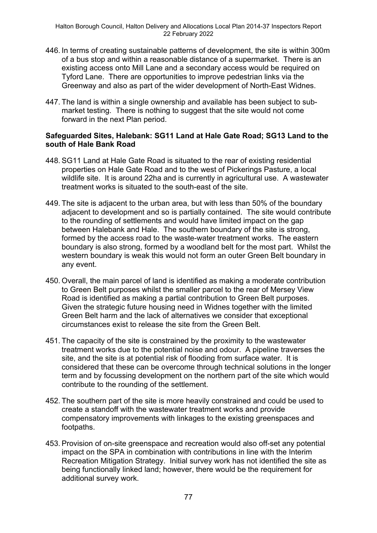- 446. In terms of creating sustainable patterns of development, the site is within 300m of a bus stop and within a reasonable distance of a supermarket. There is an existing access onto Mill Lane and a secondary access would be required on Tyford Lane. There are opportunities to improve pedestrian links via the Greenway and also as part of the wider development of North-East Widnes.
- 447. The land is within a single ownership and available has been subject to submarket testing. There is nothing to suggest that the site would not come forward in the next Plan period.

#### **Safeguarded Sites, Halebank: SG11 Land at Hale Gate Road; SG13 Land to the south of Hale Bank Road**

- 448. SG11 Land at Hale Gate Road is situated to the rear of existing residential properties on Hale Gate Road and to the west of Pickerings Pasture, a local wildlife site. It is around 22ha and is currently in agricultural use. A wastewater treatment works is situated to the south-east of the site.
- 449. The site is adjacent to the urban area, but with less than 50% of the boundary adjacent to development and so is partially contained. The site would contribute to the rounding of settlements and would have limited impact on the gap between Halebank and Hale. The southern boundary of the site is strong, formed by the access road to the waste-water treatment works. The eastern boundary is also strong, formed by a woodland belt for the most part. Whilst the western boundary is weak this would not form an outer Green Belt boundary in any event.
- 450. Overall, the main parcel of land is identified as making a moderate contribution to Green Belt purposes whilst the smaller parcel to the rear of Mersey View Road is identified as making a partial contribution to Green Belt purposes. Given the strategic future housing need in Widnes together with the limited Green Belt harm and the lack of alternatives we consider that exceptional circumstances exist to release the site from the Green Belt.
- 451. The capacity of the site is constrained by the proximity to the wastewater treatment works due to the potential noise and odour. A pipeline traverses the site, and the site is at potential risk of flooding from surface water. It is considered that these can be overcome through technical solutions in the longer term and by focussing development on the northern part of the site which would contribute to the rounding of the settlement.
- 452. The southern part of the site is more heavily constrained and could be used to create a standoff with the wastewater treatment works and provide compensatory improvements with linkages to the existing greenspaces and footpaths.
- 453. Provision of on-site greenspace and recreation would also off-set any potential impact on the SPA in combination with contributions in line with the Interim Recreation Mitigation Strategy. Initial survey work has not identified the site as being functionally linked land; however, there would be the requirement for additional survey work.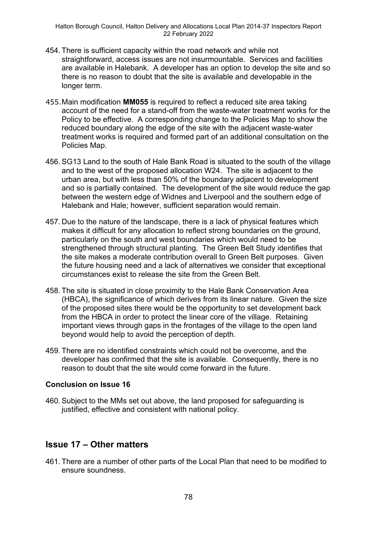- 454. There is sufficient capacity within the road network and while not straightforward, access issues are not insurmountable. Services and facilities are available in Halebank. A developer has an option to develop the site and so there is no reason to doubt that the site is available and developable in the longer term.
- 455.Main modification **MM055** is required to reflect a reduced site area taking account of the need for a stand-off from the waste-water treatment works for the Policy to be effective. A corresponding change to the Policies Map to show the reduced boundary along the edge of the site with the adjacent waste-water treatment works is required and formed part of an additional consultation on the Policies Map.
- 456. SG13 Land to the south of Hale Bank Road is situated to the south of the village and to the west of the proposed allocation W24. The site is adjacent to the urban area, but with less than 50% of the boundary adjacent to development and so is partially contained. The development of the site would reduce the gap between the western edge of Widnes and Liverpool and the southern edge of Halebank and Hale; however, sufficient separation would remain.
- 457. Due to the nature of the landscape, there is a lack of physical features which makes it difficult for any allocation to reflect strong boundaries on the ground, particularly on the south and west boundaries which would need to be strengthened through structural planting. The Green Belt Study identifies that the site makes a moderate contribution overall to Green Belt purposes. Given the future housing need and a lack of alternatives we consider that exceptional circumstances exist to release the site from the Green Belt.
- 458. The site is situated in close proximity to the Hale Bank Conservation Area (HBCA), the significance of which derives from its linear nature. Given the size of the proposed sites there would be the opportunity to set development back from the HBCA in order to protect the linear core of the village. Retaining important views through gaps in the frontages of the village to the open land beyond would help to avoid the perception of depth.
- 459. There are no identified constraints which could not be overcome, and the developer has confirmed that the site is available. Consequently, there is no reason to doubt that the site would come forward in the future.

### **Conclusion on Issue 16**

460. Subject to the MMs set out above, the land proposed for safeguarding is justified, effective and consistent with national policy.

# **Issue 17 – Other matters**

461. There are a number of other parts of the Local Plan that need to be modified to ensure soundness.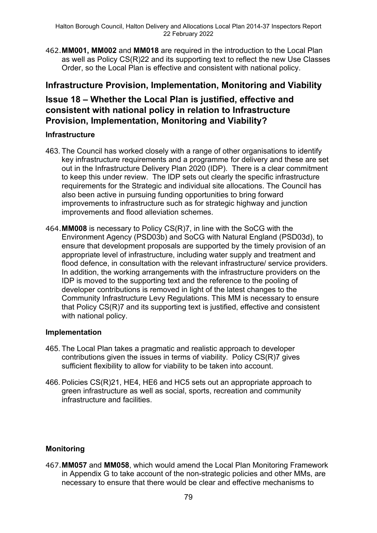462.**MM001, MM002** and **MM018** are required in the introduction to the Local Plan as well as Policy CS(R)22 and its supporting text to reflect the new Use Classes Order, so the Local Plan is effective and consistent with national policy.

### **Infrastructure Provision, Implementation, Monitoring and Viability**

## **Issue 18 – Whether the Local Plan is justified, effective and consistent with national policy in relation to Infrastructure Provision, Implementation, Monitoring and Viability?**

### **Infrastructure**

- 463. The Council has worked closely with a range of other organisations to identify key infrastructure requirements and a programme for delivery and these are set out in the Infrastructure Delivery Plan 2020 (IDP). There is a clear commitment to keep this under review. The IDP sets out clearly the specific infrastructure requirements for the Strategic and individual site allocations. The Council has also been active in pursuing funding opportunities to bring forward improvements to infrastructure such as for strategic highway and junction improvements and flood alleviation schemes.
- 464.**MM008** is necessary to Policy CS(R)7, in line with the SoCG with the Environment Agency (PSD03b) and SoCG with Natural England (PSD03d), to ensure that development proposals are supported by the timely provision of an appropriate level of infrastructure, including water supply and treatment and flood defence, in consultation with the relevant infrastructure/ service providers. In addition, the working arrangements with the infrastructure providers on the IDP is moved to the supporting text and the reference to the pooling of developer contributions is removed in light of the latest changes to the Community Infrastructure Levy Regulations. This MM is necessary to ensure that Policy CS(R)7 and its supporting text is justified, effective and consistent with national policy.

### **Implementation**

- 465. The Local Plan takes a pragmatic and realistic approach to developer contributions given the issues in terms of viability. Policy CS(R)7 gives sufficient flexibility to allow for viability to be taken into account.
- 466. Policies CS(R)21, HE4, HE6 and HC5 sets out an appropriate approach to green infrastructure as well as social, sports, recreation and community infrastructure and facilities.

### **Monitoring**

467.**MM057** and **MM058**, which would amend the Local Plan Monitoring Framework in Appendix G to take account of the non-strategic policies and other MMs, are necessary to ensure that there would be clear and effective mechanisms to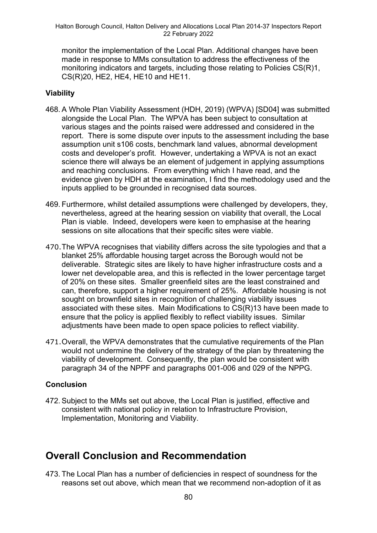monitor the implementation of the Local Plan. Additional changes have been made in response to MMs consultation to address the effectiveness of the monitoring indicators and targets, including those relating to Policies CS(R)1, CS(R)20, HE2, HE4, HE10 and HE11.

### **Viability**

- 468. A Whole Plan Viability Assessment (HDH, 2019) (WPVA) [SD04] was submitted alongside the Local Plan. The WPVA has been subject to consultation at various stages and the points raised were addressed and considered in the report. There is some dispute over inputs to the assessment including the base assumption unit s106 costs, benchmark land values, abnormal development costs and developer's profit. However, undertaking a WPVA is not an exact science there will always be an element of judgement in applying assumptions and reaching conclusions. From everything which I have read, and the evidence given by HDH at the examination, I find the methodology used and the inputs applied to be grounded in recognised data sources.
- 469. Furthermore, whilst detailed assumptions were challenged by developers, they, nevertheless, agreed at the hearing session on viability that overall, the Local Plan is viable. Indeed, developers were keen to emphasise at the hearing sessions on site allocations that their specific sites were viable.
- 470.The WPVA recognises that viability differs across the site typologies and that a blanket 25% affordable housing target across the Borough would not be deliverable. Strategic sites are likely to have higher infrastructure costs and a lower net developable area, and this is reflected in the lower percentage target of 20% on these sites. Smaller greenfield sites are the least constrained and can, therefore, support a higher requirement of 25%. Affordable housing is not sought on brownfield sites in recognition of challenging viability issues associated with these sites. Main Modifications to CS(R)13 have been made to ensure that the policy is applied flexibly to reflect viability issues. Similar adjustments have been made to open space policies to reflect viability.
- 471.Overall, the WPVA demonstrates that the cumulative requirements of the Plan would not undermine the delivery of the strategy of the plan by threatening the viability of development. Consequently, the plan would be consistent with paragraph 34 of the NPPF and paragraphs 001-006 and 029 of the NPPG.

### **Conclusion**

472. Subject to the MMs set out above, the Local Plan is justified, effective and consistent with national policy in relation to Infrastructure Provision, Implementation, Monitoring and Viability.

# **Overall Conclusion and Recommendation**

473. The Local Plan has a number of deficiencies in respect of soundness for the reasons set out above, which mean that we recommend non-adoption of it as